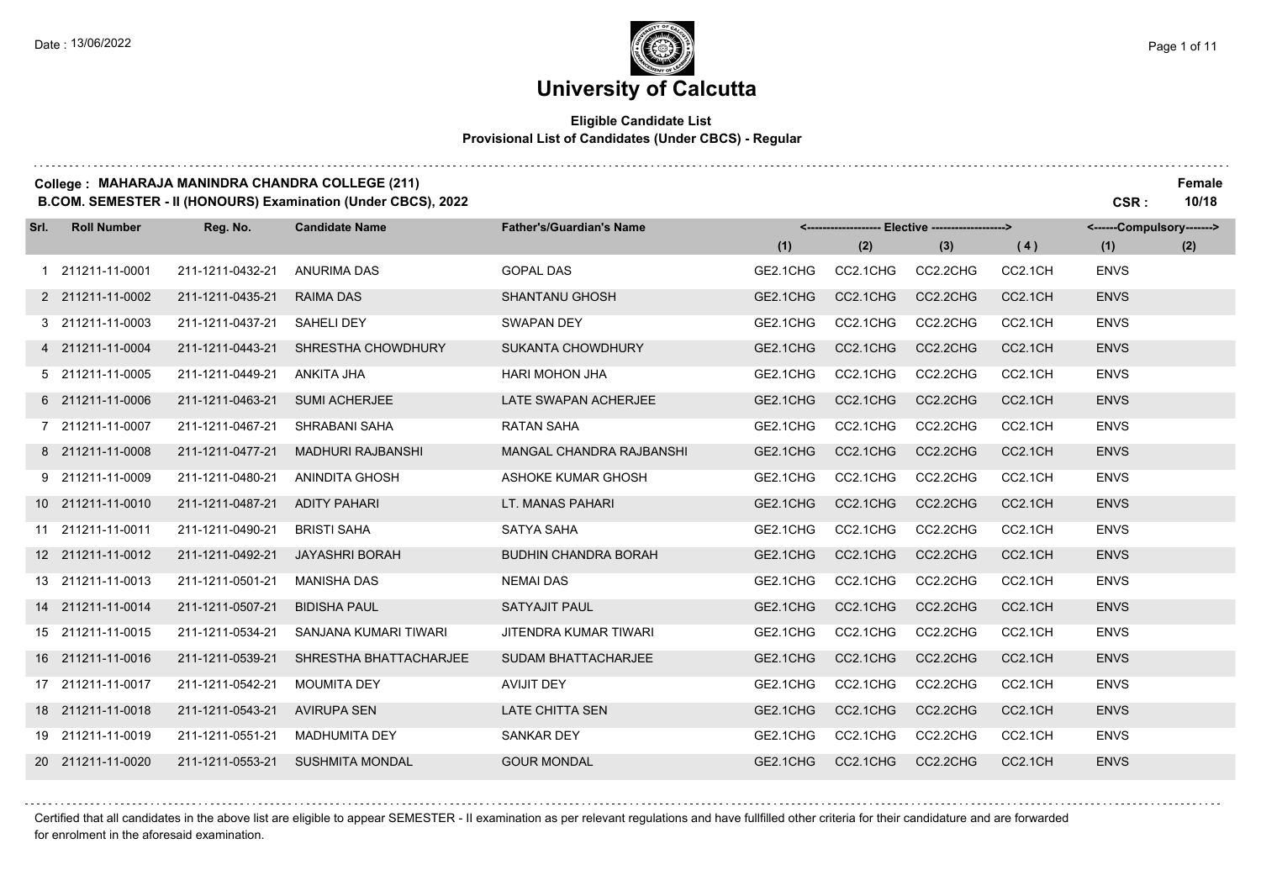### **University of Calcutta**

#### **Eligible Candidate List Provisional List of Candidates (Under CBCS) - Regular**

#### **College : MAHARAJA MANINDRA CHANDRA COLLEGE (211) Female**

**B.COM. SEMESTER - II (HONOURS) Examination (Under CBCS), 2022 CSR : 10/18**

| Srl. | <b>Roll Number</b> | Reg. No.         | <b>Candidate Name</b>    | <b>Father's/Guardian's Name</b> |          |          | <-------------------- Elective -------------------> |         | <------Compulsory-------> |     |
|------|--------------------|------------------|--------------------------|---------------------------------|----------|----------|-----------------------------------------------------|---------|---------------------------|-----|
|      |                    |                  |                          |                                 | (1)      | (2)      | (3)                                                 | (4)     | (1)                       | (2) |
|      | 211211-11-0001     | 211-1211-0432-21 | <b>ANURIMA DAS</b>       | <b>GOPAL DAS</b>                | GE2.1CHG | CC2.1CHG | CC2.2CHG                                            | CC2.1CH | <b>ENVS</b>               |     |
|      | 2 211211-11-0002   | 211-1211-0435-21 | <b>RAIMA DAS</b>         | <b>SHANTANU GHOSH</b>           | GE2.1CHG | CC2.1CHG | CC2.2CHG                                            | CC2.1CH | <b>ENVS</b>               |     |
|      | 3 211211-11-0003   | 211-1211-0437-21 | <b>SAHELI DEY</b>        | <b>SWAPAN DEY</b>               | GE2.1CHG | CC2.1CHG | CC2.2CHG                                            | CC2.1CH | <b>ENVS</b>               |     |
|      | 4 211211-11-0004   | 211-1211-0443-21 | SHRESTHA CHOWDHURY       | SUKANTA CHOWDHURY               | GE2.1CHG | CC2.1CHG | CC2.2CHG                                            | CC2.1CH | <b>ENVS</b>               |     |
|      | 5 211211-11-0005   | 211-1211-0449-21 | <b>ANKITA JHA</b>        | <b>HARI MOHON JHA</b>           | GE2.1CHG | CC2.1CHG | CC2.2CHG                                            | CC2.1CH | <b>ENVS</b>               |     |
|      | 6 211211-11-0006   | 211-1211-0463-21 | <b>SUMI ACHERJEE</b>     | LATE SWAPAN ACHERJEE            | GE2.1CHG | CC2.1CHG | CC2.2CHG                                            | CC2.1CH | <b>ENVS</b>               |     |
|      | 7 211211-11-0007   | 211-1211-0467-21 | SHRABANI SAHA            | <b>RATAN SAHA</b>               | GE2.1CHG | CC2.1CHG | CC2.2CHG                                            | CC2.1CH | <b>ENVS</b>               |     |
|      | 8 211211-11-0008   | 211-1211-0477-21 | <b>MADHURI RAJBANSHI</b> | MANGAL CHANDRA RAJBANSHI        | GE2.1CHG | CC2.1CHG | CC2.2CHG                                            | CC2.1CH | <b>ENVS</b>               |     |
|      | 9 211211-11-0009   | 211-1211-0480-21 | <b>ANINDITA GHOSH</b>    | ASHOKE KUMAR GHOSH              | GE2.1CHG | CC2.1CHG | CC2.2CHG                                            | CC2.1CH | <b>ENVS</b>               |     |
|      | 10 211211-11-0010  | 211-1211-0487-21 | <b>ADITY PAHARI</b>      | LT. MANAS PAHARI                | GE2.1CHG | CC2.1CHG | CC2.2CHG                                            | CC2.1CH | <b>ENVS</b>               |     |
|      | 11 211211-11-0011  | 211-1211-0490-21 | <b>BRISTI SAHA</b>       | <b>SATYA SAHA</b>               | GE2.1CHG | CC2.1CHG | CC2.2CHG                                            | CC2.1CH | <b>ENVS</b>               |     |
|      | 12 211211-11-0012  | 211-1211-0492-21 | <b>JAYASHRI BORAH</b>    | <b>BUDHIN CHANDRA BORAH</b>     | GE2.1CHG | CC2.1CHG | CC2.2CHG                                            | CC2.1CH | <b>ENVS</b>               |     |
|      | 13 211211-11-0013  | 211-1211-0501-21 | <b>MANISHA DAS</b>       | <b>NEMAI DAS</b>                | GE2.1CHG | CC2.1CHG | CC2.2CHG                                            | CC2.1CH | <b>ENVS</b>               |     |
|      | 14 211211-11-0014  | 211-1211-0507-21 | <b>BIDISHA PAUL</b>      | <b>SATYAJIT PAUL</b>            | GE2.1CHG | CC2.1CHG | CC2.2CHG                                            | CC2.1CH | <b>ENVS</b>               |     |
|      | 15 211211-11-0015  | 211-1211-0534-21 | SANJANA KUMARI TIWARI    | JITENDRA KUMAR TIWARI           | GE2.1CHG | CC2.1CHG | CC2.2CHG                                            | CC2.1CH | <b>ENVS</b>               |     |
|      | 16 211211-11-0016  | 211-1211-0539-21 | SHRESTHA BHATTACHARJEE   | <b>SUDAM BHATTACHARJEE</b>      | GE2.1CHG | CC2.1CHG | CC2.2CHG                                            | CC2.1CH | <b>ENVS</b>               |     |
|      | 17 211211-11-0017  | 211-1211-0542-21 | <b>MOUMITA DEY</b>       | <b>AVIJIT DEY</b>               | GE2.1CHG | CC2.1CHG | CC2.2CHG                                            | CC2.1CH | <b>ENVS</b>               |     |
|      | 18 211211-11-0018  | 211-1211-0543-21 | <b>AVIRUPA SEN</b>       | <b>LATE CHITTA SEN</b>          | GE2.1CHG | CC2.1CHG | CC2.2CHG                                            | CC2.1CH | <b>ENVS</b>               |     |
|      | 19 211211-11-0019  | 211-1211-0551-21 | <b>MADHUMITA DEY</b>     | <b>SANKAR DEY</b>               | GE2.1CHG | CC2.1CHG | CC2.2CHG                                            | CC2.1CH | <b>ENVS</b>               |     |
|      | 20 211211-11-0020  | 211-1211-0553-21 | <b>SUSHMITA MONDAL</b>   | <b>GOUR MONDAL</b>              | GE2.1CHG | CC2.1CHG | CC2.2CHG                                            | CC2.1CH | <b>ENVS</b>               |     |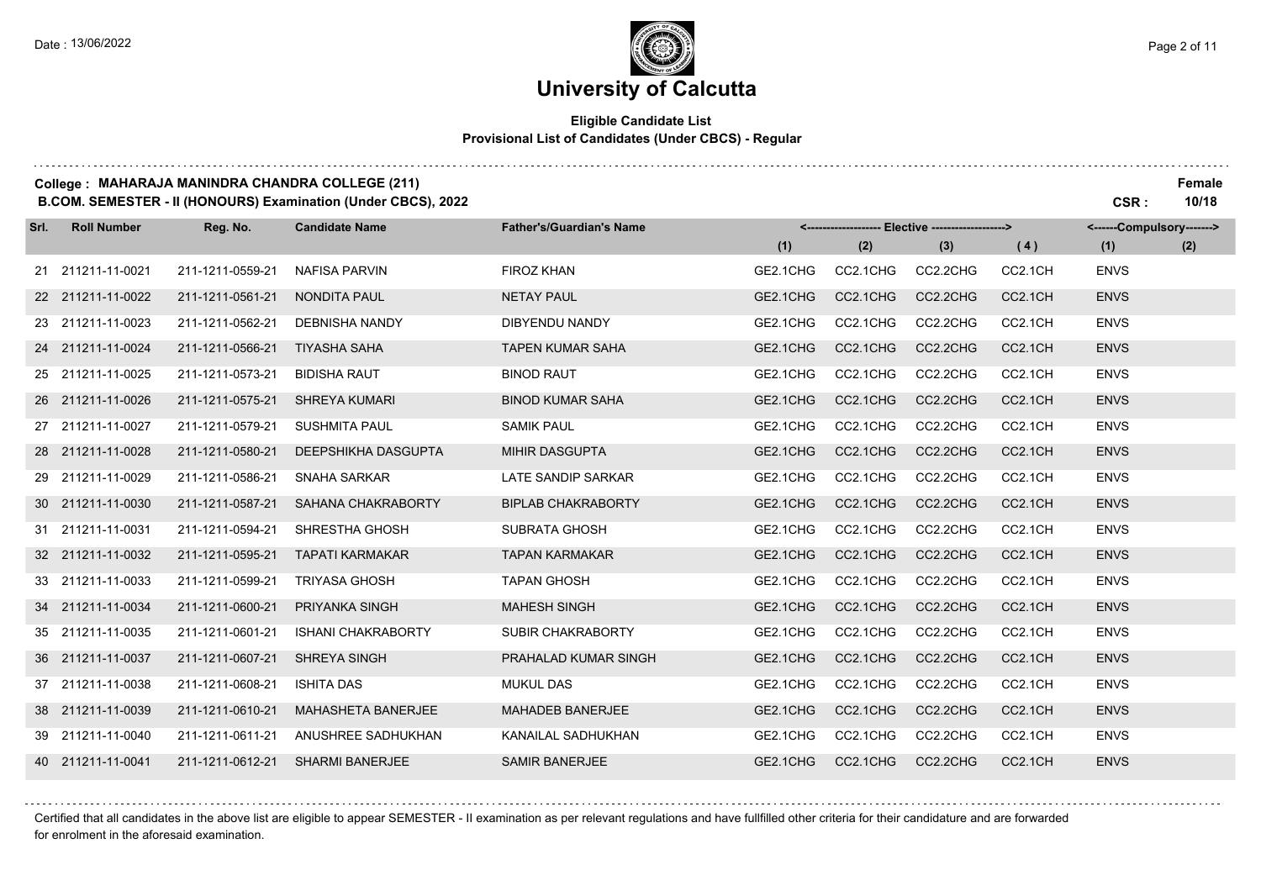#### **Eligible Candidate List Provisional List of Candidates (Under CBCS) - Regular**

#### **College : MAHARAJA MANINDRA CHANDRA COLLEGE (211) Female**

**B.COM. SEMESTER - II (HONOURS) Examination (Under CBCS), 2022 CSR : 10/18**

| Srl. | <b>Roll Number</b> | Reg. No.         | <b>Candidate Name</b>     | <b>Father's/Guardian's Name</b> |          |          | <------------------- Elective ------------------> |         | <------Compulsory-------> |     |
|------|--------------------|------------------|---------------------------|---------------------------------|----------|----------|---------------------------------------------------|---------|---------------------------|-----|
|      |                    |                  |                           |                                 | (1)      | (2)      | (3)                                               | (4)     | (1)                       | (2) |
|      | 21 211211-11-0021  | 211-1211-0559-21 | <b>NAFISA PARVIN</b>      | <b>FIROZ KHAN</b>               | GE2.1CHG | CC2.1CHG | CC2.2CHG                                          | CC2.1CH | <b>ENVS</b>               |     |
|      | 22 211211-11-0022  | 211-1211-0561-21 | <b>NONDITA PAUL</b>       | <b>NETAY PAUL</b>               | GE2.1CHG | CC2.1CHG | CC2.2CHG                                          | CC2.1CH | <b>ENVS</b>               |     |
|      | 23 211211-11-0023  | 211-1211-0562-21 | <b>DEBNISHA NANDY</b>     | DIBYENDU NANDY                  | GE2.1CHG | CC2.1CHG | CC2.2CHG                                          | CC2.1CH | <b>ENVS</b>               |     |
|      | 24 211211-11-0024  | 211-1211-0566-21 | <b>TIYASHA SAHA</b>       | <b>TAPEN KUMAR SAHA</b>         | GE2.1CHG | CC2.1CHG | CC2.2CHG                                          | CC2.1CH | <b>ENVS</b>               |     |
|      | 25 211211-11-0025  | 211-1211-0573-21 | <b>BIDISHA RAUT</b>       | <b>BINOD RAUT</b>               | GE2.1CHG | CC2.1CHG | CC2.2CHG                                          | CC2.1CH | <b>ENVS</b>               |     |
|      | 26 211211-11-0026  | 211-1211-0575-21 | <b>SHREYA KUMARI</b>      | <b>BINOD KUMAR SAHA</b>         | GE2.1CHG | CC2.1CHG | CC2.2CHG                                          | CC2.1CH | <b>ENVS</b>               |     |
|      | 27 211211-11-0027  | 211-1211-0579-21 | <b>SUSHMITA PAUL</b>      | <b>SAMIK PAUL</b>               | GE2.1CHG | CC2.1CHG | CC2.2CHG                                          | CC2.1CH | <b>ENVS</b>               |     |
|      | 28 211211-11-0028  | 211-1211-0580-21 | DEEPSHIKHA DASGUPTA       | <b>MIHIR DASGUPTA</b>           | GE2.1CHG | CC2.1CHG | CC2.2CHG                                          | CC2.1CH | <b>ENVS</b>               |     |
|      | 29 211211-11-0029  | 211-1211-0586-21 | SNAHA SARKAR              | LATE SANDIP SARKAR              | GE2.1CHG | CC2.1CHG | CC2.2CHG                                          | CC2.1CH | <b>ENVS</b>               |     |
|      | 30 211211-11-0030  | 211-1211-0587-21 | SAHANA CHAKRABORTY        | <b>BIPLAB CHAKRABORTY</b>       | GE2.1CHG | CC2.1CHG | CC2.2CHG                                          | CC2.1CH | <b>ENVS</b>               |     |
|      | 31 211211-11-0031  | 211-1211-0594-21 | SHRESTHA GHOSH            | <b>SUBRATA GHOSH</b>            | GE2.1CHG | CC2.1CHG | CC2.2CHG                                          | CC2.1CH | <b>ENVS</b>               |     |
|      | 32 211211-11-0032  | 211-1211-0595-21 | <b>TAPATI KARMAKAR</b>    | <b>TAPAN KARMAKAR</b>           | GE2.1CHG | CC2.1CHG | CC2.2CHG                                          | CC2.1CH | <b>ENVS</b>               |     |
|      | 33 211211-11-0033  | 211-1211-0599-21 | <b>TRIYASA GHOSH</b>      | <b>TAPAN GHOSH</b>              | GE2.1CHG | CC2.1CHG | CC2.2CHG                                          | CC2.1CH | <b>ENVS</b>               |     |
|      | 34 211211-11-0034  | 211-1211-0600-21 | PRIYANKA SINGH            | <b>MAHESH SINGH</b>             | GE2.1CHG | CC2.1CHG | CC2.2CHG                                          | CC2.1CH | <b>ENVS</b>               |     |
|      | 35 211211-11-0035  | 211-1211-0601-21 | <b>ISHANI CHAKRABORTY</b> | <b>SUBIR CHAKRABORTY</b>        | GE2.1CHG | CC2.1CHG | CC2.2CHG                                          | CC2.1CH | <b>ENVS</b>               |     |
|      | 36 211211-11-0037  | 211-1211-0607-21 | <b>SHREYA SINGH</b>       | PRAHALAD KUMAR SINGH            | GE2.1CHG | CC2.1CHG | CC2.2CHG                                          | CC2.1CH | <b>ENVS</b>               |     |
|      | 37 211211-11-0038  | 211-1211-0608-21 | <b>ISHITA DAS</b>         | <b>MUKUL DAS</b>                | GE2.1CHG | CC2.1CHG | CC2.2CHG                                          | CC2.1CH | <b>ENVS</b>               |     |
|      | 38 211211-11-0039  | 211-1211-0610-21 | <b>MAHASHETA BANERJEE</b> | MAHADEB BANERJEE                | GE2.1CHG | CC2.1CHG | CC2.2CHG                                          | CC2.1CH | <b>ENVS</b>               |     |
|      | 39 211211-11-0040  | 211-1211-0611-21 | ANUSHREE SADHUKHAN        | KANAILAL SADHUKHAN              | GE2.1CHG | CC2.1CHG | CC2.2CHG                                          | CC2.1CH | <b>ENVS</b>               |     |
|      | 40 211211-11-0041  | 211-1211-0612-21 | SHARMI BANERJEE           | <b>SAMIR BANERJEE</b>           | GE2.1CHG | CC2.1CHG | CC2.2CHG                                          | CC2.1CH | <b>ENVS</b>               |     |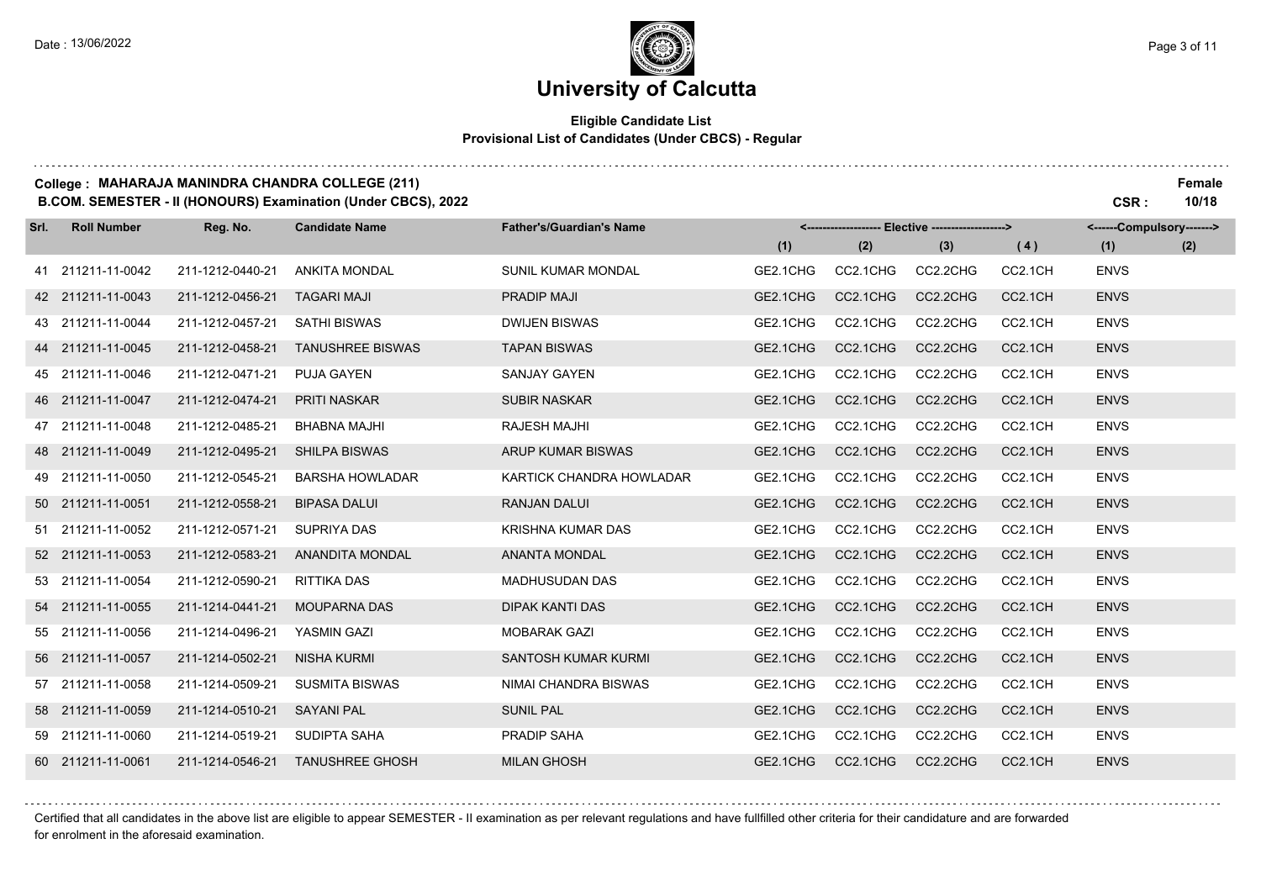### **University of Calcutta**

#### **Eligible Candidate List Provisional List of Candidates (Under CBCS) - Regular**

#### **College : MAHARAJA MANINDRA CHANDRA COLLEGE (211) Female**

**B.COM. SEMESTER - II (HONOURS) Examination (Under CBCS), 2022 CSR : 10/18**

| Srl. | <b>Roll Number</b> | Reg. No.         | <b>Candidate Name</b>   | <b>Father's/Guardian's Name</b> |          |          | <------------------- Elective -------------------> |         | <------Compulsory-------> |     |
|------|--------------------|------------------|-------------------------|---------------------------------|----------|----------|----------------------------------------------------|---------|---------------------------|-----|
|      |                    |                  |                         |                                 | (1)      | (2)      | (3)                                                | (4)     | (1)                       | (2) |
|      | 41 211211-11-0042  | 211-1212-0440-21 | <b>ANKITA MONDAL</b>    | <b>SUNIL KUMAR MONDAL</b>       | GE2.1CHG | CC2.1CHG | CC2.2CHG                                           | CC2.1CH | <b>ENVS</b>               |     |
|      | 42 211211-11-0043  | 211-1212-0456-21 | <b>TAGARI MAJI</b>      | <b>PRADIP MAJI</b>              | GE2.1CHG | CC2.1CHG | CC2.2CHG                                           | CC2.1CH | <b>ENVS</b>               |     |
|      | 43 211211-11-0044  | 211-1212-0457-21 | <b>SATHI BISWAS</b>     | <b>DWIJEN BISWAS</b>            | GE2.1CHG | CC2.1CHG | CC2.2CHG                                           | CC2.1CH | <b>ENVS</b>               |     |
|      | 44 211211-11-0045  | 211-1212-0458-21 | <b>TANUSHREE BISWAS</b> | <b>TAPAN BISWAS</b>             | GE2.1CHG | CC2.1CHG | CC2.2CHG                                           | CC2.1CH | <b>ENVS</b>               |     |
|      | 45 211211-11-0046  | 211-1212-0471-21 | <b>PUJA GAYEN</b>       | <b>SANJAY GAYEN</b>             | GE2.1CHG | CC2.1CHG | CC2.2CHG                                           | CC2.1CH | <b>ENVS</b>               |     |
|      | 46 211211-11-0047  | 211-1212-0474-21 | PRITI NASKAR            | <b>SUBIR NASKAR</b>             | GE2.1CHG | CC2.1CHG | CC2.2CHG                                           | CC2.1CH | <b>ENVS</b>               |     |
|      | 47 211211-11-0048  | 211-1212-0485-21 | <b>BHABNA MAJHI</b>     | <b>RAJESH MAJHI</b>             | GE2.1CHG | CC2.1CHG | CC2.2CHG                                           | CC2.1CH | <b>ENVS</b>               |     |
|      | 48 211211-11-0049  | 211-1212-0495-21 | <b>SHILPA BISWAS</b>    | ARUP KUMAR BISWAS               | GE2.1CHG | CC2.1CHG | CC2.2CHG                                           | CC2.1CH | <b>ENVS</b>               |     |
|      | 49 211211-11-0050  | 211-1212-0545-21 | <b>BARSHA HOWLADAR</b>  | KARTICK CHANDRA HOWLADAR        | GE2.1CHG | CC2.1CHG | CC2.2CHG                                           | CC2.1CH | <b>ENVS</b>               |     |
|      | 50 211211-11-0051  | 211-1212-0558-21 | <b>BIPASA DALUI</b>     | <b>RANJAN DALUI</b>             | GE2.1CHG | CC2.1CHG | CC2.2CHG                                           | CC2.1CH | <b>ENVS</b>               |     |
|      | 51 211211-11-0052  | 211-1212-0571-21 | <b>SUPRIYA DAS</b>      | <b>KRISHNA KUMAR DAS</b>        | GE2.1CHG | CC2.1CHG | CC2.2CHG                                           | CC2.1CH | <b>ENVS</b>               |     |
|      | 52 211211-11-0053  | 211-1212-0583-21 | <b>ANANDITA MONDAL</b>  | <b>ANANTA MONDAL</b>            | GE2.1CHG | CC2.1CHG | CC2.2CHG                                           | CC2.1CH | <b>ENVS</b>               |     |
|      | 53 211211-11-0054  | 211-1212-0590-21 | RITTIKA DAS             | <b>MADHUSUDAN DAS</b>           | GE2.1CHG | CC2.1CHG | CC2.2CHG                                           | CC2.1CH | <b>ENVS</b>               |     |
|      | 54 211211-11-0055  | 211-1214-0441-21 | <b>MOUPARNA DAS</b>     | <b>DIPAK KANTI DAS</b>          | GE2.1CHG | CC2.1CHG | CC2.2CHG                                           | CC2.1CH | <b>ENVS</b>               |     |
|      | 55 211211-11-0056  | 211-1214-0496-21 | <b>YASMIN GAZI</b>      | <b>MOBARAK GAZI</b>             | GE2.1CHG | CC2.1CHG | CC2.2CHG                                           | CC2.1CH | <b>ENVS</b>               |     |
|      | 56 211211-11-0057  | 211-1214-0502-21 | <b>NISHA KURMI</b>      | SANTOSH KUMAR KURMI             | GE2.1CHG | CC2.1CHG | CC2.2CHG                                           | CC2.1CH | <b>ENVS</b>               |     |
|      | 57 211211-11-0058  | 211-1214-0509-21 | <b>SUSMITA BISWAS</b>   | NIMAI CHANDRA BISWAS            | GE2.1CHG | CC2.1CHG | CC2.2CHG                                           | CC2.1CH | <b>ENVS</b>               |     |
|      | 58 211211-11-0059  | 211-1214-0510-21 | <b>SAYANI PAL</b>       | <b>SUNIL PAL</b>                | GE2.1CHG | CC2.1CHG | CC2.2CHG                                           | CC2.1CH | <b>ENVS</b>               |     |
|      | 59 211211-11-0060  | 211-1214-0519-21 | <b>SUDIPTA SAHA</b>     | PRADIP SAHA                     | GE2.1CHG | CC2.1CHG | CC2.2CHG                                           | CC2.1CH | <b>ENVS</b>               |     |
|      | 60 211211-11-0061  | 211-1214-0546-21 | <b>TANUSHREE GHOSH</b>  | <b>MILAN GHOSH</b>              | GE2.1CHG | CC2.1CHG | CC2.2CHG                                           | CC2.1CH | <b>ENVS</b>               |     |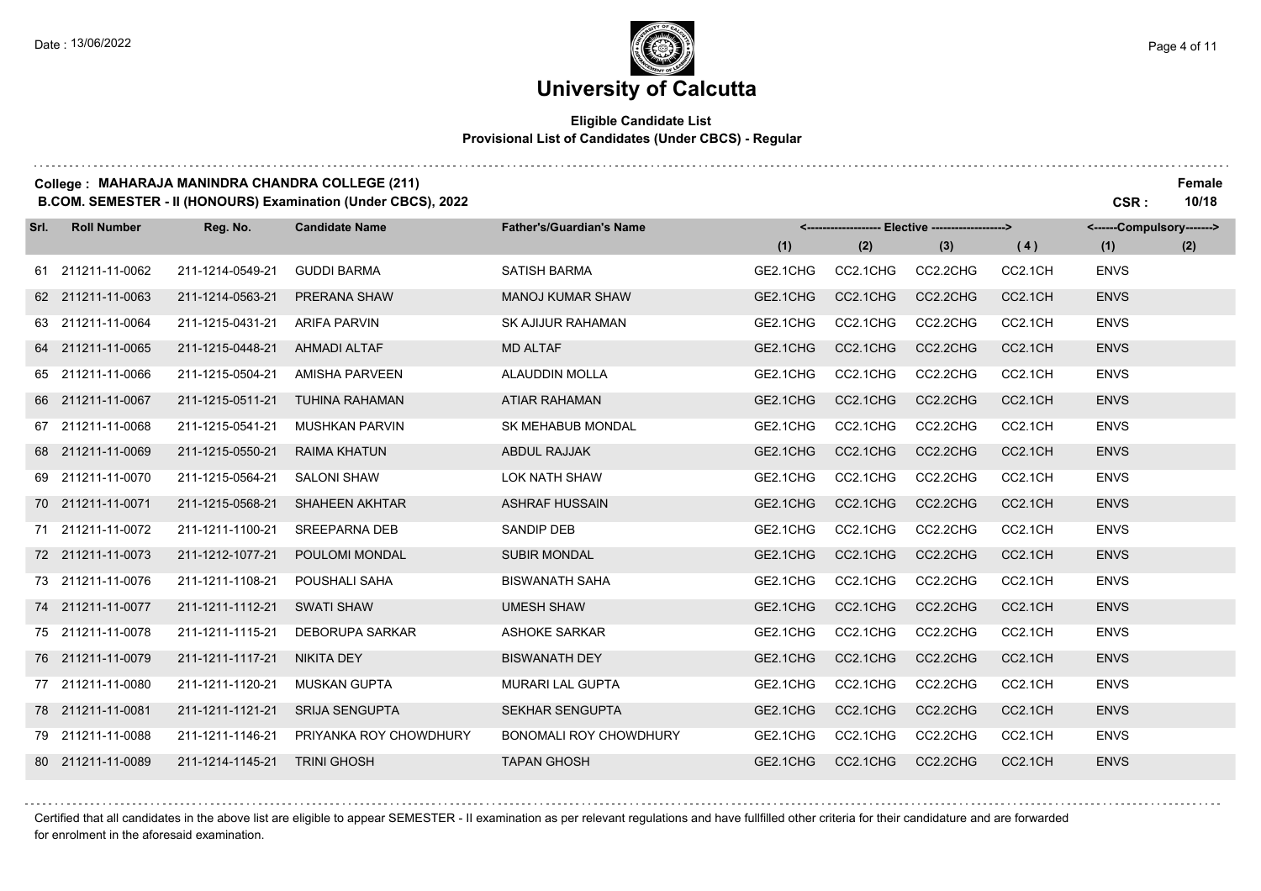### **University of Calcutta**

#### **Eligible Candidate List Provisional List of Candidates (Under CBCS) - Regular**

#### **College : MAHARAJA MANINDRA CHANDRA COLLEGE (211) Female**

**B.COM. SEMESTER - II (HONOURS) Examination (Under CBCS), 2022 CSR : 10/18**

| Srl. | <b>Roll Number</b> | Reg. No.         | <b>Candidate Name</b>  | <b>Father's/Guardian's Name</b> |          |          | <------------------- Elective ------------------> |                     | <------Compulsory-------> |     |
|------|--------------------|------------------|------------------------|---------------------------------|----------|----------|---------------------------------------------------|---------------------|---------------------------|-----|
|      |                    |                  |                        |                                 | (1)      | (2)      | (3)                                               | (4)                 | (1)                       | (2) |
|      | 61 211211-11-0062  | 211-1214-0549-21 | <b>GUDDI BARMA</b>     | <b>SATISH BARMA</b>             | GE2.1CHG | CC2.1CHG | CC2.2CHG                                          | CC2.1CH             | <b>ENVS</b>               |     |
|      | 62 211211-11-0063  | 211-1214-0563-21 | PRERANA SHAW           | <b>MANOJ KUMAR SHAW</b>         | GE2.1CHG | CC2.1CHG | CC2.2CHG                                          | CC2.1CH             | <b>ENVS</b>               |     |
|      | 63 211211-11-0064  | 211-1215-0431-21 | <b>ARIFA PARVIN</b>    | <b>SK AJIJUR RAHAMAN</b>        | GE2.1CHG | CC2.1CHG | CC2.2CHG                                          | CC2.1CH             | <b>ENVS</b>               |     |
|      | 64 211211-11-0065  | 211-1215-0448-21 | <b>AHMADI ALTAF</b>    | <b>MD ALTAF</b>                 | GE2.1CHG | CC2.1CHG | CC2.2CHG                                          | CC2.1CH             | <b>ENVS</b>               |     |
|      | 65 211211-11-0066  | 211-1215-0504-21 | <b>AMISHA PARVEEN</b>  | ALAUDDIN MOLLA                  | GE2.1CHG | CC2.1CHG | CC2.2CHG                                          | CC2.1CH             | <b>ENVS</b>               |     |
|      | 66 211211-11-0067  | 211-1215-0511-21 | <b>TUHINA RAHAMAN</b>  | <b>ATIAR RAHAMAN</b>            | GE2.1CHG | CC2.1CHG | CC2.2CHG                                          | CC2.1CH             | <b>ENVS</b>               |     |
|      | 67 211211-11-0068  | 211-1215-0541-21 | <b>MUSHKAN PARVIN</b>  | <b>SK MEHABUB MONDAL</b>        | GE2.1CHG | CC2.1CHG | CC2.2CHG                                          | CC2.1CH             | <b>ENVS</b>               |     |
|      | 68 211211-11-0069  | 211-1215-0550-21 | <b>RAIMA KHATUN</b>    | <b>ABDUL RAJJAK</b>             | GE2.1CHG | CC2.1CHG | CC2.2CHG                                          | CC2.1CH             | <b>ENVS</b>               |     |
|      | 69 211211-11-0070  | 211-1215-0564-21 | <b>SALONI SHAW</b>     | <b>LOK NATH SHAW</b>            | GE2.1CHG | CC2.1CHG | CC2.2CHG                                          | CC2.1CH             | <b>ENVS</b>               |     |
|      | 70 211211-11-0071  | 211-1215-0568-21 | <b>SHAHEEN AKHTAR</b>  | <b>ASHRAF HUSSAIN</b>           | GE2.1CHG | CC2.1CHG | CC2.2CHG                                          | CC2.1CH             | <b>ENVS</b>               |     |
|      | 71 211211-11-0072  | 211-1211-1100-21 | <b>SREEPARNA DEB</b>   | <b>SANDIP DEB</b>               | GE2.1CHG | CC2.1CHG | CC2.2CHG                                          | CC2.1CH             | <b>ENVS</b>               |     |
|      | 72 211211-11-0073  | 211-1212-1077-21 | POULOMI MONDAL         | <b>SUBIR MONDAL</b>             | GE2.1CHG | CC2.1CHG | CC2.2CHG                                          | CC2.1CH             | <b>ENVS</b>               |     |
|      | 73 211211-11-0076  | 211-1211-1108-21 | POUSHALI SAHA          | <b>BISWANATH SAHA</b>           | GE2.1CHG | CC2.1CHG | CC2.2CHG                                          | CC2.1CH             | <b>ENVS</b>               |     |
|      | 74 211211-11-0077  | 211-1211-1112-21 | <b>SWATI SHAW</b>      | <b>UMESH SHAW</b>               | GE2.1CHG | CC2.1CHG | CC2.2CHG                                          | CC2.1CH             | <b>ENVS</b>               |     |
|      | 75 211211-11-0078  | 211-1211-1115-21 | <b>DEBORUPA SARKAR</b> | <b>ASHOKE SARKAR</b>            | GE2.1CHG | CC2.1CHG | CC2.2CHG                                          | CC2.1CH             | <b>ENVS</b>               |     |
|      | 76 211211-11-0079  | 211-1211-1117-21 | <b>NIKITA DEY</b>      | <b>BISWANATH DEY</b>            | GE2.1CHG | CC2.1CHG | CC2.2CHG                                          | CC2.1CH             | <b>ENVS</b>               |     |
|      | 77 211211-11-0080  | 211-1211-1120-21 | <b>MUSKAN GUPTA</b>    | <b>MURARI LAL GUPTA</b>         | GE2.1CHG | CC2.1CHG | CC2.2CHG                                          | CC2.1CH             | <b>ENVS</b>               |     |
|      | 78 211211-11-0081  | 211-1211-1121-21 | <b>SRIJA SENGUPTA</b>  | <b>SEKHAR SENGUPTA</b>          | GE2.1CHG | CC2.1CHG | CC2.2CHG                                          | CC <sub>2.1CH</sub> | <b>ENVS</b>               |     |
|      | 79 211211-11-0088  | 211-1211-1146-21 | PRIYANKA ROY CHOWDHURY | <b>BONOMALI ROY CHOWDHURY</b>   | GE2.1CHG | CC2.1CHG | CC2.2CHG                                          | CC2.1CH             | <b>ENVS</b>               |     |
|      | 80 211211-11-0089  | 211-1214-1145-21 | <b>TRINI GHOSH</b>     | <b>TAPAN GHOSH</b>              | GE2.1CHG | CC2.1CHG | CC2.2CHG                                          | CC2.1CH             | <b>ENVS</b>               |     |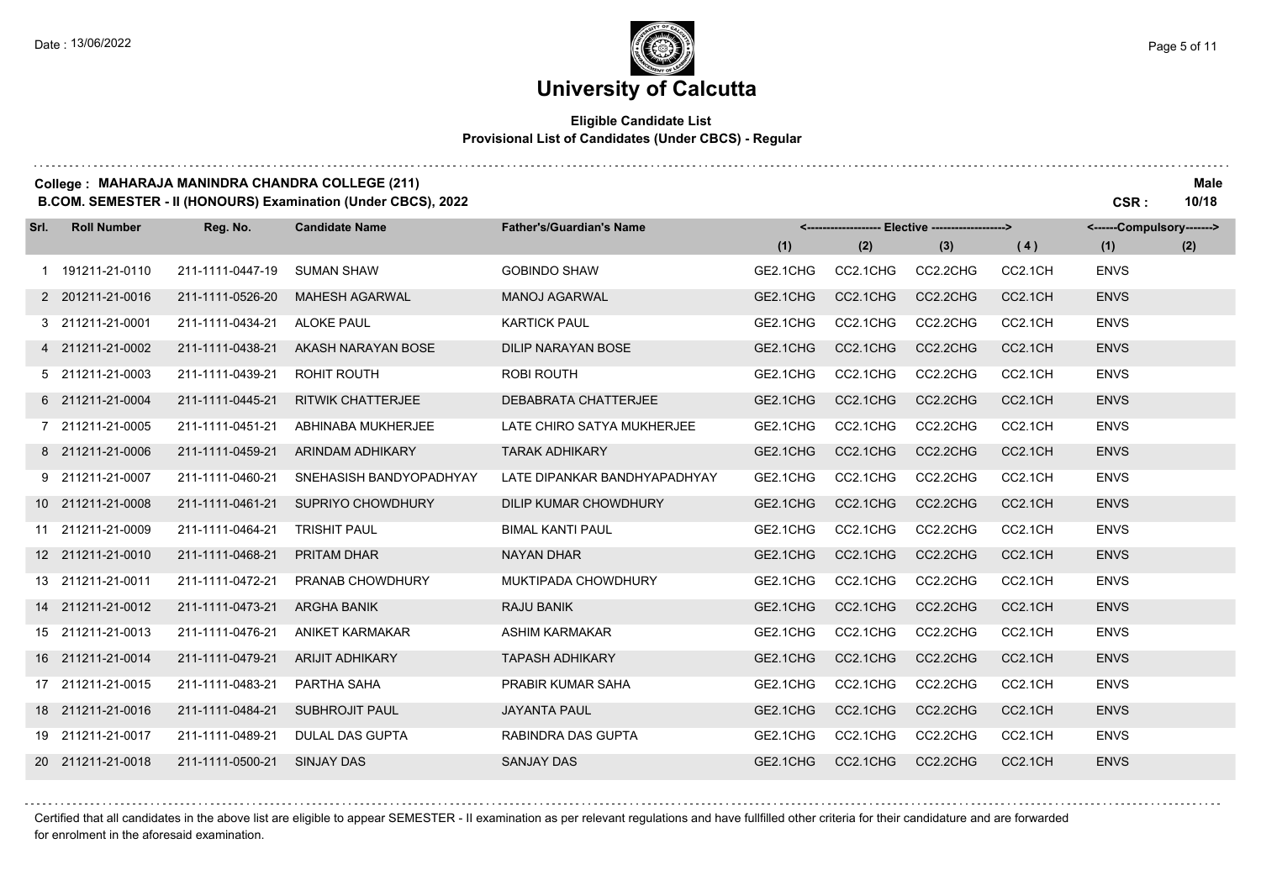### **University of Calcutta**

#### **Eligible Candidate List Provisional List of Candidates (Under CBCS) - Regular**

#### **College : MAHARAJA MANINDRA CHANDRA COLLEGE (211) Male**

**B.COM. SEMESTER - II (HONOURS) Examination (Under CBCS), 2022 CSR : 10/18**

| Srl. | <b>Roll Number</b> | Reg. No.         | <b>Candidate Name</b>    | <b>Father's/Guardian's Name</b> | <-------------------- Elective -------------------> |          |          |                     | <------Compulsory-------> |     |
|------|--------------------|------------------|--------------------------|---------------------------------|-----------------------------------------------------|----------|----------|---------------------|---------------------------|-----|
|      |                    |                  |                          |                                 | (1)                                                 | (2)      | (3)      | (4)                 | (1)                       | (2) |
|      | 1 191211-21-0110   | 211-1111-0447-19 | <b>SUMAN SHAW</b>        | <b>GOBINDO SHAW</b>             | GE2.1CHG                                            | CC2.1CHG | CC2.2CHG | CC2.1CH             | <b>ENVS</b>               |     |
|      | 2 201211-21-0016   | 211-1111-0526-20 | <b>MAHESH AGARWAL</b>    | <b>MANOJ AGARWAL</b>            | GE2.1CHG                                            | CC2.1CHG | CC2.2CHG | CC2.1CH             | <b>ENVS</b>               |     |
|      | 3 211211-21-0001   | 211-1111-0434-21 | <b>ALOKE PAUL</b>        | <b>KARTICK PAUL</b>             | GE2.1CHG                                            | CC2.1CHG | CC2.2CHG | CC2.1CH             | <b>ENVS</b>               |     |
|      | 4 211211-21-0002   | 211-1111-0438-21 | AKASH NARAYAN BOSE       | DILIP NARAYAN BOSE              | GE2.1CHG                                            | CC2.1CHG | CC2.2CHG | CC2.1CH             | <b>ENVS</b>               |     |
|      | 5 211211-21-0003   | 211-1111-0439-21 | ROHIT ROUTH              | <b>ROBI ROUTH</b>               | GE2.1CHG                                            | CC2.1CHG | CC2.2CHG | CC2.1CH             | <b>ENVS</b>               |     |
|      | 6 211211-21-0004   | 211-1111-0445-21 | <b>RITWIK CHATTERJEE</b> | DEBABRATA CHATTERJEE            | GE2.1CHG                                            | CC2.1CHG | CC2.2CHG | CC2.1CH             | <b>ENVS</b>               |     |
|      | 7 211211-21-0005   | 211-1111-0451-21 | ABHINABA MUKHERJEE       | LATE CHIRO SATYA MUKHERJEE      | GE2.1CHG                                            | CC2.1CHG | CC2.2CHG | CC2.1CH             | <b>ENVS</b>               |     |
|      | 8 211211-21-0006   | 211-1111-0459-21 | ARINDAM ADHIKARY         | <b>TARAK ADHIKARY</b>           | GE2.1CHG                                            | CC2.1CHG | CC2.2CHG | CC <sub>2.1CH</sub> | <b>ENVS</b>               |     |
|      | 9 211211-21-0007   | 211-1111-0460-21 | SNEHASISH BANDYOPADHYAY  | LATE DIPANKAR BANDHYAPADHYAY    | GE2.1CHG                                            | CC2.1CHG | CC2.2CHG | CC2.1CH             | <b>ENVS</b>               |     |
|      | 10 211211-21-0008  | 211-1111-0461-21 | <b>SUPRIYO CHOWDHURY</b> | <b>DILIP KUMAR CHOWDHURY</b>    | GE2.1CHG                                            | CC2.1CHG | CC2.2CHG | CC2.1CH             | <b>ENVS</b>               |     |
|      | 11 211211-21-0009  | 211-1111-0464-21 | <b>TRISHIT PAUL</b>      | <b>BIMAL KANTI PAUL</b>         | GE2.1CHG                                            | CC2.1CHG | CC2.2CHG | CC2.1CH             | <b>ENVS</b>               |     |
|      | 12 211211-21-0010  | 211-1111-0468-21 | <b>PRITAM DHAR</b>       | <b>NAYAN DHAR</b>               | GE2.1CHG                                            | CC2.1CHG | CC2.2CHG | CC2.1CH             | <b>ENVS</b>               |     |
|      | 13 211211-21-0011  | 211-1111-0472-21 | PRANAB CHOWDHURY         | MUKTIPADA CHOWDHURY             | GE2.1CHG                                            | CC2.1CHG | CC2.2CHG | CC2.1CH             | <b>ENVS</b>               |     |
|      | 14 211211-21-0012  | 211-1111-0473-21 | <b>ARGHA BANIK</b>       | <b>RAJU BANIK</b>               | GE2.1CHG                                            | CC2.1CHG | CC2.2CHG | CC2.1CH             | <b>ENVS</b>               |     |
|      | 15 211211-21-0013  | 211-1111-0476-21 | <b>ANIKET KARMAKAR</b>   | <b>ASHIM KARMAKAR</b>           | GE2.1CHG                                            | CC2.1CHG | CC2.2CHG | CC2.1CH             | <b>ENVS</b>               |     |
|      | 16 211211-21-0014  | 211-1111-0479-21 | <b>ARIJIT ADHIKARY</b>   | <b>TAPASH ADHIKARY</b>          | GE2.1CHG                                            | CC2.1CHG | CC2.2CHG | CC2.1CH             | <b>ENVS</b>               |     |
|      | 17 211211-21-0015  | 211-1111-0483-21 | PARTHA SAHA              | PRABIR KUMAR SAHA               | GE2.1CHG                                            | CC2.1CHG | CC2.2CHG | CC2.1CH             | <b>ENVS</b>               |     |
|      | 18 211211-21-0016  | 211-1111-0484-21 | <b>SUBHROJIT PAUL</b>    | <b>JAYANTA PAUL</b>             | GE2.1CHG                                            | CC2.1CHG | CC2.2CHG | CC2.1CH             | <b>ENVS</b>               |     |
|      | 19 211211-21-0017  | 211-1111-0489-21 | <b>DULAL DAS GUPTA</b>   | RABINDRA DAS GUPTA              | GE2.1CHG                                            | CC2.1CHG | CC2.2CHG | CC2.1CH             | <b>ENVS</b>               |     |
|      | 20 211211-21-0018  | 211-1111-0500-21 | <b>SINJAY DAS</b>        | <b>SANJAY DAS</b>               | GE2.1CHG                                            | CC2.1CHG | CC2.2CHG | CC2.1CH             | <b>ENVS</b>               |     |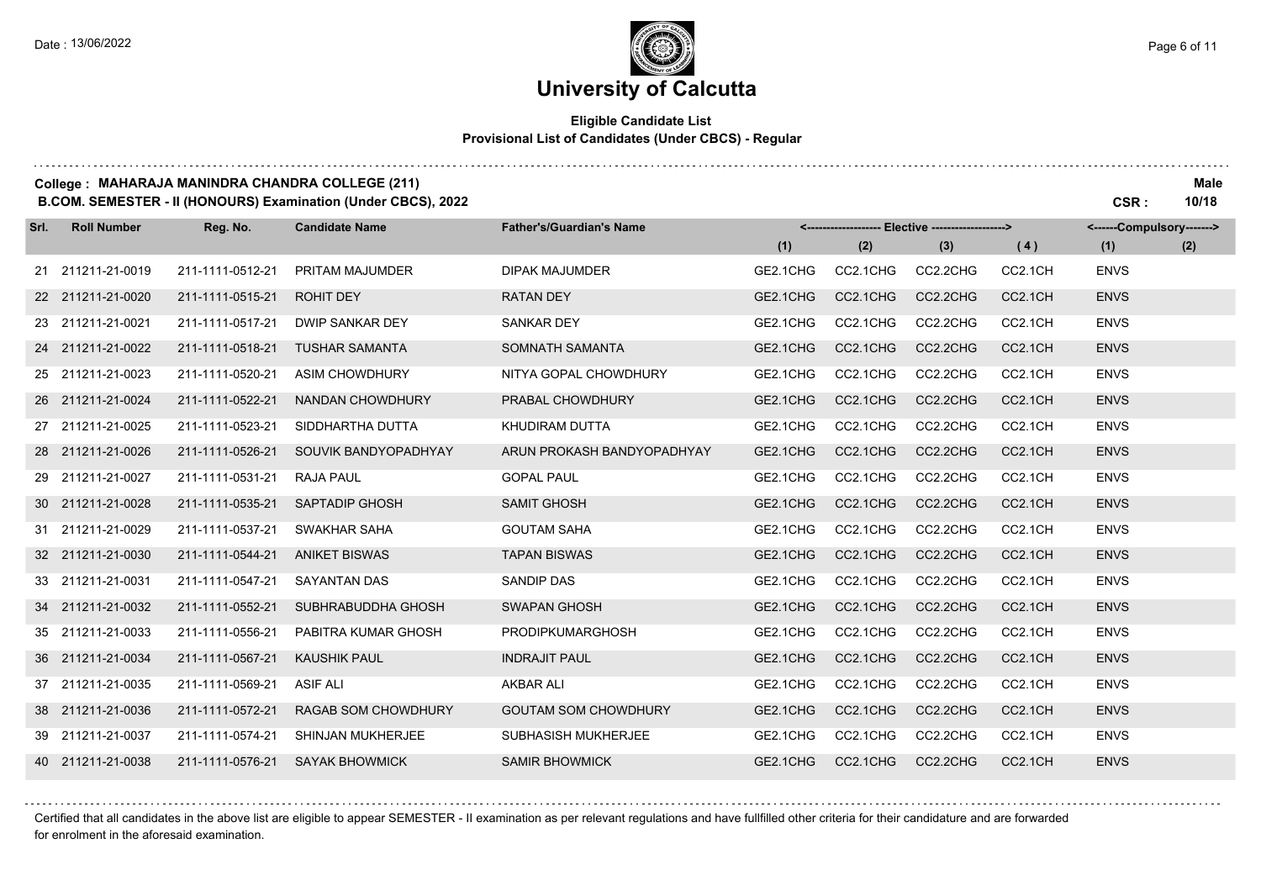#### **Eligible Candidate List Provisional List of Candidates (Under CBCS) - Regular**

#### **College : MAHARAJA MANINDRA CHANDRA COLLEGE (211) Male**

**B.COM. SEMESTER - II (HONOURS) Examination (Under CBCS), 2022 CSR : 10/18**

| Srl. | <b>Roll Number</b> | Reg. No.         | <b>Candidate Name</b>  | <b>Father's/Guardian's Name</b> |          |          | <------------------- Elective -------------------> |                     | <------Compulsory-------> |     |
|------|--------------------|------------------|------------------------|---------------------------------|----------|----------|----------------------------------------------------|---------------------|---------------------------|-----|
|      |                    |                  |                        |                                 | (1)      | (2)      | (3)                                                | (4)                 | (1)                       | (2) |
|      | 21 211211-21-0019  | 211-1111-0512-21 | PRITAM MAJUMDER        | <b>DIPAK MAJUMDER</b>           | GE2.1CHG | CC2.1CHG | CC2.2CHG                                           | CC2.1CH             | <b>ENVS</b>               |     |
|      | 22 211211-21-0020  | 211-1111-0515-21 | ROHIT DEY              | <b>RATAN DEY</b>                | GE2.1CHG | CC2.1CHG | CC2.2CHG                                           | CC <sub>2.1CH</sub> | <b>ENVS</b>               |     |
|      | 23 211211-21-0021  | 211-1111-0517-21 | <b>DWIP SANKAR DEY</b> | <b>SANKAR DEY</b>               | GE2.1CHG | CC2.1CHG | CC2.2CHG                                           | CC2.1CH             | <b>ENVS</b>               |     |
|      | 24 211211-21-0022  | 211-1111-0518-21 | <b>TUSHAR SAMANTA</b>  | SOMNATH SAMANTA                 | GE2.1CHG | CC2.1CHG | CC2.2CHG                                           | CC2.1CH             | <b>ENVS</b>               |     |
|      | 25 211211-21-0023  | 211-1111-0520-21 | ASIM CHOWDHURY         | NITYA GOPAL CHOWDHURY           | GE2.1CHG | CC2.1CHG | CC2.2CHG                                           | CC2.1CH             | <b>ENVS</b>               |     |
|      | 26 211211-21-0024  | 211-1111-0522-21 | NANDAN CHOWDHURY       | PRABAL CHOWDHURY                | GE2.1CHG | CC2.1CHG | CC2.2CHG                                           | CC2.1CH             | <b>ENVS</b>               |     |
|      | 27 211211-21-0025  | 211-1111-0523-21 | SIDDHARTHA DUTTA       | KHUDIRAM DUTTA                  | GE2.1CHG | CC2.1CHG | CC2.2CHG                                           | CC2.1CH             | <b>ENVS</b>               |     |
|      | 28 211211-21-0026  | 211-1111-0526-21 | SOUVIK BANDYOPADHYAY   | ARUN PROKASH BANDYOPADHYAY      | GE2.1CHG | CC2.1CHG | CC2.2CHG                                           | CC2.1CH             | <b>ENVS</b>               |     |
|      | 29 211211-21-0027  | 211-1111-0531-21 | <b>RAJA PAUL</b>       | <b>GOPAL PAUL</b>               | GE2.1CHG | CC2.1CHG | CC2.2CHG                                           | CC2.1CH             | <b>ENVS</b>               |     |
|      | 30 211211-21-0028  | 211-1111-0535-21 | <b>SAPTADIP GHOSH</b>  | <b>SAMIT GHOSH</b>              | GE2.1CHG | CC2.1CHG | CC2.2CHG                                           | CC2.1CH             | <b>ENVS</b>               |     |
|      | 31 211211-21-0029  | 211-1111-0537-21 | SWAKHAR SAHA           | <b>GOUTAM SAHA</b>              | GE2.1CHG | CC2.1CHG | CC2.2CHG                                           | CC2.1CH             | <b>ENVS</b>               |     |
|      | 32 211211-21-0030  | 211-1111-0544-21 | <b>ANIKET BISWAS</b>   | <b>TAPAN BISWAS</b>             | GE2.1CHG | CC2.1CHG | CC2.2CHG                                           | CC2.1CH             | <b>ENVS</b>               |     |
|      | 33 211211-21-0031  | 211-1111-0547-21 | <b>SAYANTAN DAS</b>    | <b>SANDIP DAS</b>               | GE2.1CHG | CC2.1CHG | CC2.2CHG                                           | CC2.1CH             | <b>ENVS</b>               |     |
|      | 34 211211-21-0032  | 211-1111-0552-21 | SUBHRABUDDHA GHOSH     | <b>SWAPAN GHOSH</b>             | GE2.1CHG | CC2.1CHG | CC2.2CHG                                           | CC2.1CH             | <b>ENVS</b>               |     |
|      | 35 211211-21-0033  | 211-1111-0556-21 | PABITRA KUMAR GHOSH    | <b>PRODIPKUMARGHOSH</b>         | GE2.1CHG | CC2.1CHG | CC2.2CHG                                           | CC2.1CH             | <b>ENVS</b>               |     |
|      | 36 211211-21-0034  | 211-1111-0567-21 | <b>KAUSHIK PAUL</b>    | <b>INDRAJIT PAUL</b>            | GE2.1CHG | CC2.1CHG | CC2.2CHG                                           | CC2.1CH             | <b>ENVS</b>               |     |
|      | 37 211211-21-0035  | 211-1111-0569-21 | <b>ASIF ALI</b>        | <b>AKBAR ALI</b>                | GE2.1CHG | CC2.1CHG | CC2.2CHG                                           | CC2.1CH             | <b>ENVS</b>               |     |
|      | 38 211211-21-0036  | 211-1111-0572-21 | RAGAB SOM CHOWDHURY    | <b>GOUTAM SOM CHOWDHURY</b>     | GE2.1CHG | CC2.1CHG | CC2.2CHG                                           | CC2.1CH             | <b>ENVS</b>               |     |
|      | 39 211211-21-0037  | 211-1111-0574-21 | SHINJAN MUKHERJEE      | SUBHASISH MUKHERJEE             | GE2.1CHG | CC2.1CHG | CC2.2CHG                                           | CC2.1CH             | <b>ENVS</b>               |     |
|      | 40 211211-21-0038  | 211-1111-0576-21 | <b>SAYAK BHOWMICK</b>  | <b>SAMIR BHOWMICK</b>           | GE2.1CHG | CC2.1CHG | CC2.2CHG                                           | CC2.1CH             | <b>ENVS</b>               |     |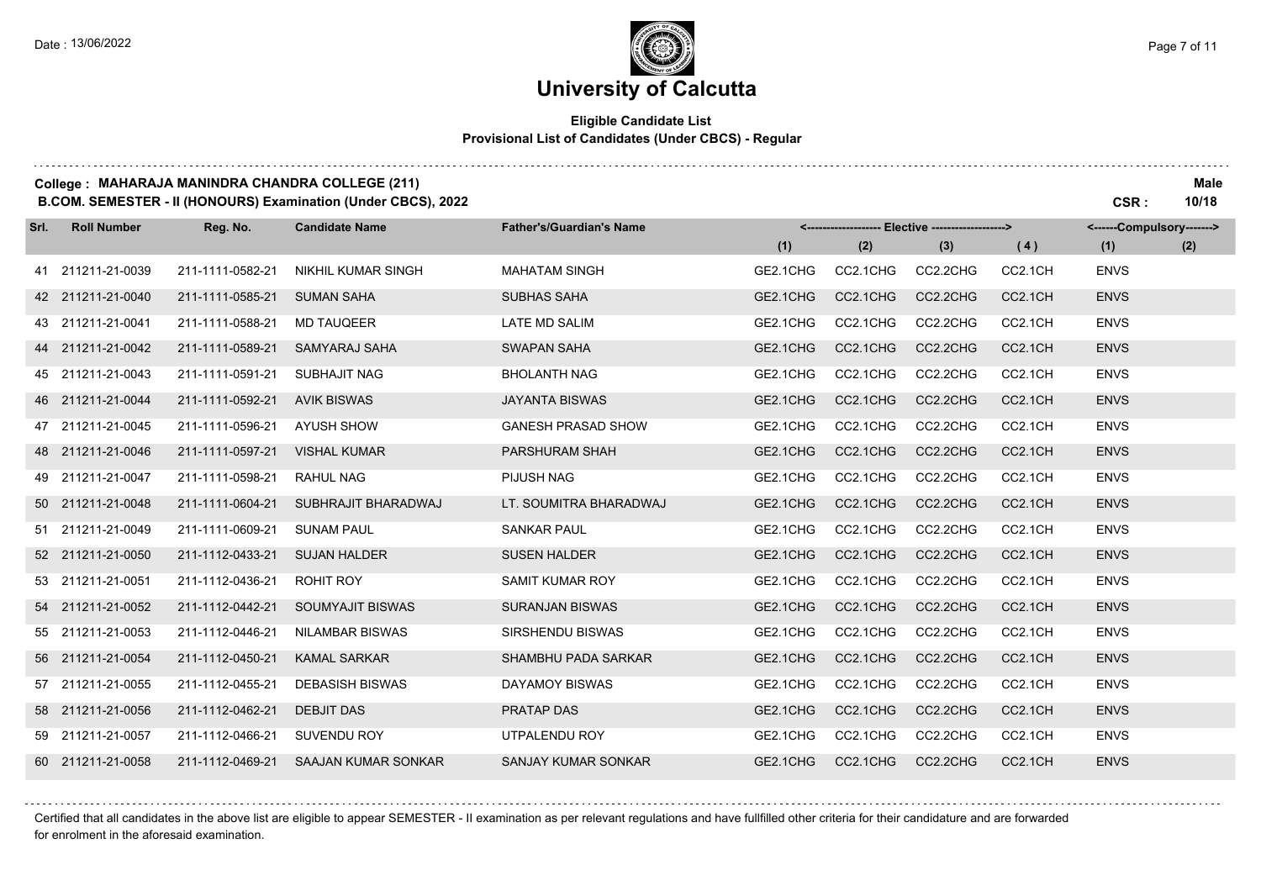#### **Eligible Candidate List Provisional List of Candidates (Under CBCS) - Regular**

#### **College : MAHARAJA MANINDRA CHANDRA COLLEGE (211) Male**

**B.COM. SEMESTER - II (HONOURS) Examination (Under CBCS), 2022 CSR : 10/18**

| Srl. | <b>Roll Number</b> | Reg. No.         | <b>Candidate Name</b>     | <b>Father's/Guardian's Name</b> |          |          | <------------------- Elective -------------------> |         | <------Compulsory-------> |     |
|------|--------------------|------------------|---------------------------|---------------------------------|----------|----------|----------------------------------------------------|---------|---------------------------|-----|
|      |                    |                  |                           |                                 | (1)      | (2)      | (3)                                                | (4)     | (1)                       | (2) |
|      | 41 211211-21-0039  | 211-1111-0582-21 | <b>NIKHIL KUMAR SINGH</b> | <b>MAHATAM SINGH</b>            | GE2.1CHG | CC2.1CHG | CC2.2CHG                                           | CC2.1CH | <b>ENVS</b>               |     |
|      | 42 211211-21-0040  | 211-1111-0585-21 | <b>SUMAN SAHA</b>         | <b>SUBHAS SAHA</b>              | GE2.1CHG | CC2.1CHG | CC2.2CHG                                           | CC2.1CH | <b>ENVS</b>               |     |
|      | 43 211211-21-0041  | 211-1111-0588-21 | <b>MD TAUQEER</b>         | LATE MD SALIM                   | GE2.1CHG | CC2.1CHG | CC2.2CHG                                           | CC2.1CH | <b>ENVS</b>               |     |
|      | 44 211211-21-0042  | 211-1111-0589-21 | SAMYARAJ SAHA             | <b>SWAPAN SAHA</b>              | GE2.1CHG | CC2.1CHG | CC2.2CHG                                           | CC2.1CH | <b>ENVS</b>               |     |
|      | 45 211211-21-0043  | 211-1111-0591-21 | <b>SUBHAJIT NAG</b>       | <b>BHOLANTH NAG</b>             | GE2.1CHG | CC2.1CHG | CC2.2CHG                                           | CC2.1CH | <b>ENVS</b>               |     |
|      | 46 211211-21-0044  | 211-1111-0592-21 | <b>AVIK BISWAS</b>        | <b>JAYANTA BISWAS</b>           | GE2.1CHG | CC2.1CHG | CC2.2CHG                                           | CC2.1CH | <b>ENVS</b>               |     |
|      | 47 211211-21-0045  | 211-1111-0596-21 | <b>AYUSH SHOW</b>         | <b>GANESH PRASAD SHOW</b>       | GE2.1CHG | CC2.1CHG | CC2.2CHG                                           | CC2.1CH | <b>ENVS</b>               |     |
|      | 48 211211-21-0046  | 211-1111-0597-21 | <b>VISHAL KUMAR</b>       | PARSHURAM SHAH                  | GE2.1CHG | CC2.1CHG | CC2.2CHG                                           | CC2.1CH | <b>ENVS</b>               |     |
|      | 49 211211-21-0047  | 211-1111-0598-21 | <b>RAHUL NAG</b>          | PIJUSH NAG                      | GE2.1CHG | CC2.1CHG | CC2.2CHG                                           | CC2.1CH | <b>ENVS</b>               |     |
|      | 50 211211-21-0048  | 211-1111-0604-21 | SUBHRAJIT BHARADWAJ       | LT. SOUMITRA BHARADWAJ          | GE2.1CHG | CC2.1CHG | CC2.2CHG                                           | CC2.1CH | <b>ENVS</b>               |     |
|      | 51 211211-21-0049  | 211-1111-0609-21 | <b>SUNAM PAUL</b>         | <b>SANKAR PAUL</b>              | GE2.1CHG | CC2.1CHG | CC2.2CHG                                           | CC2.1CH | <b>ENVS</b>               |     |
|      | 52 211211-21-0050  | 211-1112-0433-21 | <b>SUJAN HALDER</b>       | <b>SUSEN HALDER</b>             | GE2.1CHG | CC2.1CHG | CC2.2CHG                                           | CC2.1CH | <b>ENVS</b>               |     |
|      | 53 211211-21-0051  | 211-1112-0436-21 | ROHIT ROY                 | SAMIT KUMAR ROY                 | GE2.1CHG | CC2.1CHG | CC2.2CHG                                           | CC2.1CH | <b>ENVS</b>               |     |
|      | 54 211211-21-0052  | 211-1112-0442-21 | <b>SOUMYAJIT BISWAS</b>   | <b>SURANJAN BISWAS</b>          | GE2.1CHG | CC2.1CHG | CC2.2CHG                                           | CC2.1CH | <b>ENVS</b>               |     |
|      | 55 211211-21-0053  | 211-1112-0446-21 | <b>NILAMBAR BISWAS</b>    | <b>SIRSHENDU BISWAS</b>         | GE2.1CHG | CC2.1CHG | CC2.2CHG                                           | CC2.1CH | <b>ENVS</b>               |     |
|      | 56 211211-21-0054  | 211-1112-0450-21 | <b>KAMAL SARKAR</b>       | <b>SHAMBHU PADA SARKAR</b>      | GE2.1CHG | CC2.1CHG | CC2.2CHG                                           | CC2.1CH | <b>ENVS</b>               |     |
|      | 57 211211-21-0055  | 211-1112-0455-21 | <b>DEBASISH BISWAS</b>    | DAYAMOY BISWAS                  | GE2.1CHG | CC2.1CHG | CC2.2CHG                                           | CC2.1CH | <b>ENVS</b>               |     |
|      | 58 211211-21-0056  | 211-1112-0462-21 | <b>DEBJIT DAS</b>         | <b>PRATAP DAS</b>               | GE2.1CHG | CC2.1CHG | CC2.2CHG                                           | CC2.1CH | <b>ENVS</b>               |     |
|      | 59 211211-21-0057  | 211-1112-0466-21 | <b>SUVENDU ROY</b>        | UTPALENDU ROY                   | GE2.1CHG | CC2.1CHG | CC2.2CHG                                           | CC2.1CH | <b>ENVS</b>               |     |
|      | 60 211211-21-0058  | 211-1112-0469-21 | SAAJAN KUMAR SONKAR       | <b>SANJAY KUMAR SONKAR</b>      | GE2.1CHG | CC2.1CHG | CC2.2CHG                                           | CC2.1CH | <b>ENVS</b>               |     |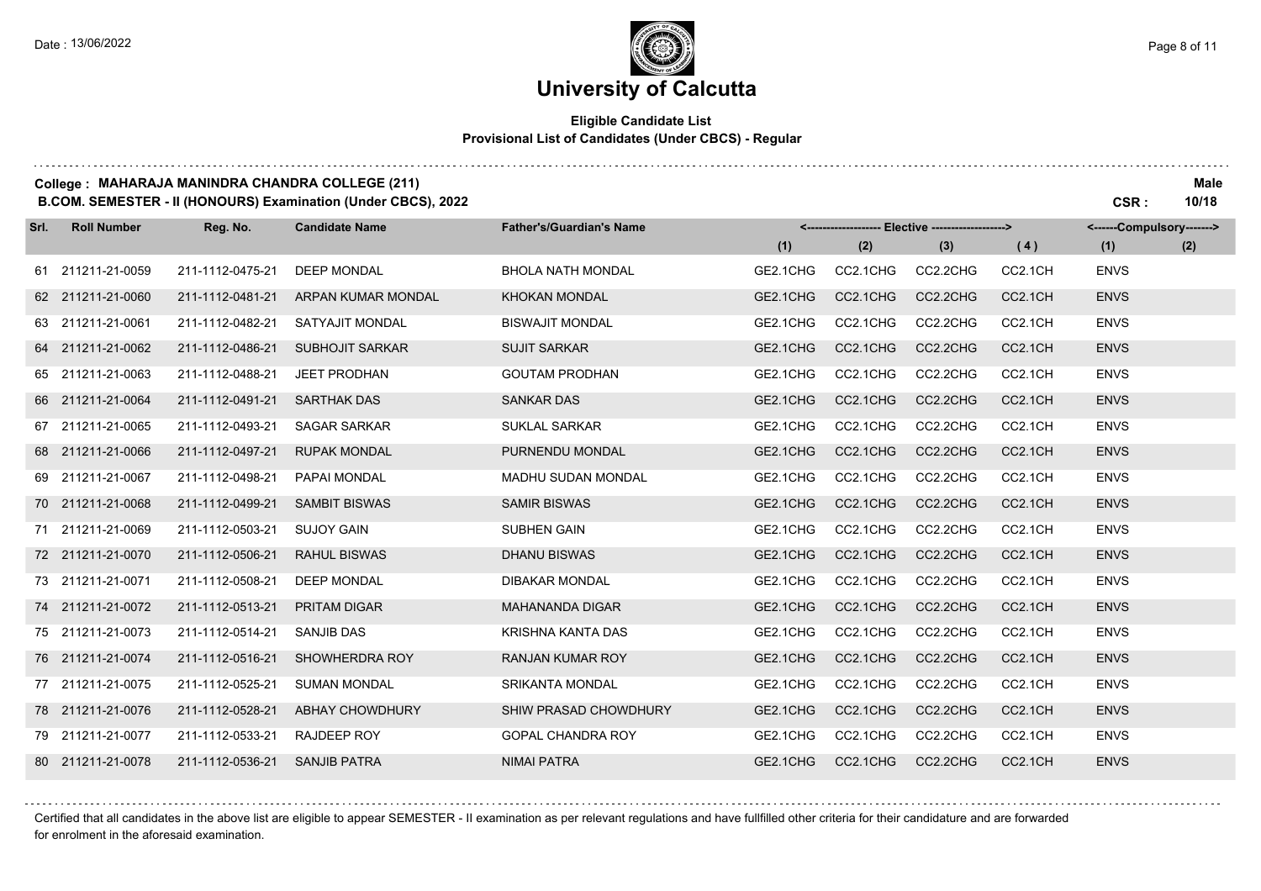#### **Eligible Candidate List Provisional List of Candidates (Under CBCS) - Regular**

#### **College : MAHARAJA MANINDRA CHANDRA COLLEGE (211) Male**

**B.COM. SEMESTER - II (HONOURS) Examination (Under CBCS), 2022 CSR : 10/18**

| Srl. | <b>Roll Number</b> | Reg. No.         | <b>Candidate Name</b>  | <b>Father's/Guardian's Name</b> | <------------------- Elective ------------------> |          |          |         | <------Compulsory-------> |     |
|------|--------------------|------------------|------------------------|---------------------------------|---------------------------------------------------|----------|----------|---------|---------------------------|-----|
|      |                    |                  |                        |                                 | (1)                                               | (2)      | (3)      | (4)     | (1)                       | (2) |
|      | 61 211211-21-0059  | 211-1112-0475-21 | <b>DEEP MONDAL</b>     | <b>BHOLA NATH MONDAL</b>        | GE2.1CHG                                          | CC2.1CHG | CC2.2CHG | CC2.1CH | <b>ENVS</b>               |     |
|      | 62 211211-21-0060  | 211-1112-0481-21 | ARPAN KUMAR MONDAL     | <b>KHOKAN MONDAL</b>            | GE2.1CHG                                          | CC2.1CHG | CC2.2CHG | CC2.1CH | <b>ENVS</b>               |     |
|      | 63 211211-21-0061  | 211-1112-0482-21 | SATYAJIT MONDAL        | <b>BISWAJIT MONDAL</b>          | GE2.1CHG                                          | CC2.1CHG | CC2.2CHG | CC2.1CH | <b>ENVS</b>               |     |
|      | 64 211211-21-0062  | 211-1112-0486-21 | <b>SUBHOJIT SARKAR</b> | <b>SUJIT SARKAR</b>             | GE2.1CHG                                          | CC2.1CHG | CC2.2CHG | CC2.1CH | <b>ENVS</b>               |     |
|      | 65 211211-21-0063  | 211-1112-0488-21 | <b>JEET PRODHAN</b>    | <b>GOUTAM PRODHAN</b>           | GE2.1CHG                                          | CC2.1CHG | CC2.2CHG | CC2.1CH | <b>ENVS</b>               |     |
|      | 66 211211-21-0064  | 211-1112-0491-21 | <b>SARTHAK DAS</b>     | <b>SANKAR DAS</b>               | GE2.1CHG                                          | CC2.1CHG | CC2.2CHG | CC2.1CH | <b>ENVS</b>               |     |
|      | 67 211211-21-0065  | 211-1112-0493-21 | <b>SAGAR SARKAR</b>    | <b>SUKLAL SARKAR</b>            | GE2.1CHG                                          | CC2.1CHG | CC2.2CHG | CC2.1CH | <b>ENVS</b>               |     |
|      | 68 211211-21-0066  | 211-1112-0497-21 | <b>RUPAK MONDAL</b>    | PURNENDU MONDAL                 | GE2.1CHG                                          | CC2.1CHG | CC2.2CHG | CC2.1CH | <b>ENVS</b>               |     |
|      | 69 211211-21-0067  | 211-1112-0498-21 | PAPAI MONDAL           | MADHU SUDAN MONDAL              | GE2.1CHG                                          | CC2.1CHG | CC2.2CHG | CC2.1CH | <b>ENVS</b>               |     |
|      | 70 211211-21-0068  | 211-1112-0499-21 | <b>SAMBIT BISWAS</b>   | <b>SAMIR BISWAS</b>             | GE2.1CHG                                          | CC2.1CHG | CC2.2CHG | CC2.1CH | <b>ENVS</b>               |     |
|      | 71 211211-21-0069  | 211-1112-0503-21 | <b>SUJOY GAIN</b>      | <b>SUBHEN GAIN</b>              | GE2.1CHG                                          | CC2.1CHG | CC2.2CHG | CC2.1CH | <b>ENVS</b>               |     |
|      | 72 211211-21-0070  | 211-1112-0506-21 | <b>RAHUL BISWAS</b>    | <b>DHANU BISWAS</b>             | GE2.1CHG                                          | CC2.1CHG | CC2.2CHG | CC2.1CH | <b>ENVS</b>               |     |
|      | 73 211211-21-0071  | 211-1112-0508-21 | DEEP MONDAL            | <b>DIBAKAR MONDAL</b>           | GE2.1CHG                                          | CC2.1CHG | CC2.2CHG | CC2.1CH | <b>ENVS</b>               |     |
|      | 74 211211-21-0072  | 211-1112-0513-21 | <b>PRITAM DIGAR</b>    | <b>MAHANANDA DIGAR</b>          | GE2.1CHG                                          | CC2.1CHG | CC2.2CHG | CC2.1CH | <b>ENVS</b>               |     |
|      | 75 211211-21-0073  | 211-1112-0514-21 | <b>SANJIB DAS</b>      | KRISHNA KANTA DAS               | GE2.1CHG                                          | CC2.1CHG | CC2.2CHG | CC2.1CH | <b>ENVS</b>               |     |
|      | 76 211211-21-0074  | 211-1112-0516-21 | SHOWHERDRA ROY         | <b>RANJAN KUMAR ROY</b>         | GE2.1CHG                                          | CC2.1CHG | CC2.2CHG | CC2.1CH | <b>ENVS</b>               |     |
|      | 77 211211-21-0075  | 211-1112-0525-21 | <b>SUMAN MONDAL</b>    | <b>SRIKANTA MONDAL</b>          | GE2.1CHG                                          | CC2.1CHG | CC2.2CHG | CC2.1CH | <b>ENVS</b>               |     |
|      | 78 211211-21-0076  | 211-1112-0528-21 | <b>ABHAY CHOWDHURY</b> | SHIW PRASAD CHOWDHURY           | GE2.1CHG                                          | CC2.1CHG | CC2.2CHG | CC2.1CH | <b>ENVS</b>               |     |
|      | 79 211211-21-0077  | 211-1112-0533-21 | <b>RAJDEEP ROY</b>     | <b>GOPAL CHANDRA ROY</b>        | GE2.1CHG                                          | CC2.1CHG | CC2.2CHG | CC2.1CH | <b>ENVS</b>               |     |
|      | 80 211211-21-0078  | 211-1112-0536-21 | <b>SANJIB PATRA</b>    | <b>NIMAI PATRA</b>              | GE2.1CHG                                          | CC2.1CHG | CC2.2CHG | CC2.1CH | <b>ENVS</b>               |     |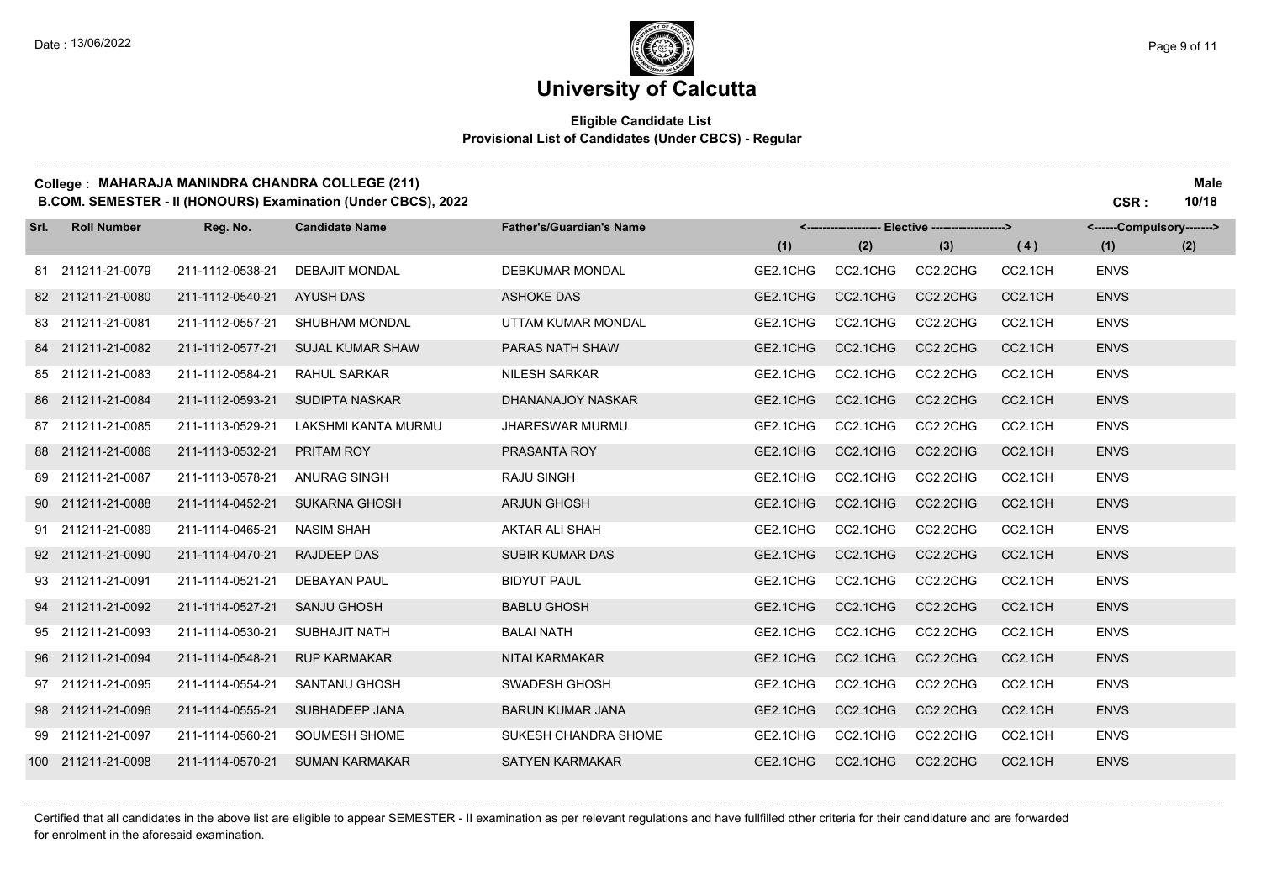#### **Eligible Candidate List Provisional List of Candidates (Under CBCS) - Regular**

#### **College : MAHARAJA MANINDRA CHANDRA COLLEGE (211) Male**

**B.COM. SEMESTER - II (HONOURS) Examination (Under CBCS), 2022 CSR : 10/18**

| Srl. | <b>Roll Number</b> | Reg. No.         | <b>Candidate Name</b>   | <b>Father's/Guardian's Name</b> |          |          | <-------------------- Elective ------------------> |                     | <------Compulsory-------> |     |
|------|--------------------|------------------|-------------------------|---------------------------------|----------|----------|----------------------------------------------------|---------------------|---------------------------|-----|
|      |                    |                  |                         |                                 | (1)      | (2)      | (3)                                                | (4)                 | (1)                       | (2) |
|      | 81 211211-21-0079  | 211-1112-0538-21 | <b>DEBAJIT MONDAL</b>   | <b>DEBKUMAR MONDAL</b>          | GE2.1CHG | CC2.1CHG | CC2.2CHG                                           | CC2.1CH             | <b>ENVS</b>               |     |
|      | 82 211211-21-0080  | 211-1112-0540-21 | <b>AYUSH DAS</b>        | <b>ASHOKE DAS</b>               | GE2.1CHG | CC2.1CHG | CC2.2CHG                                           | CC <sub>2.1CH</sub> | <b>ENVS</b>               |     |
|      | 83 211211-21-0081  | 211-1112-0557-21 | SHUBHAM MONDAL          | UTTAM KUMAR MONDAL              | GE2.1CHG | CC2.1CHG | CC2.2CHG                                           | CC2.1CH             | <b>ENVS</b>               |     |
|      | 84 211211-21-0082  | 211-1112-0577-21 | <b>SUJAL KUMAR SHAW</b> | PARAS NATH SHAW                 | GE2.1CHG | CC2.1CHG | CC2.2CHG                                           | CC2.1CH             | <b>ENVS</b>               |     |
|      | 85 211211-21-0083  | 211-1112-0584-21 | <b>RAHUL SARKAR</b>     | <b>NILESH SARKAR</b>            | GE2.1CHG | CC2.1CHG | CC2.2CHG                                           | CC2.1CH             | <b>ENVS</b>               |     |
|      | 86 211211-21-0084  | 211-1112-0593-21 | SUDIPTA NASKAR          | DHANANAJOY NASKAR               | GE2.1CHG | CC2.1CHG | CC2.2CHG                                           | CC2.1CH             | <b>ENVS</b>               |     |
|      | 87 211211-21-0085  | 211-1113-0529-21 | LAKSHMI KANTA MURMU     | <b>JHARESWAR MURMU</b>          | GE2.1CHG | CC2.1CHG | CC2.2CHG                                           | CC2.1CH             | <b>ENVS</b>               |     |
|      | 88 211211-21-0086  | 211-1113-0532-21 | PRITAM ROY              | PRASANTA ROY                    | GE2.1CHG | CC2.1CHG | CC2.2CHG                                           | CC2.1CH             | <b>ENVS</b>               |     |
|      | 89 211211-21-0087  | 211-1113-0578-21 | <b>ANURAG SINGH</b>     | <b>RAJU SINGH</b>               | GE2.1CHG | CC2.1CHG | CC2.2CHG                                           | CC2.1CH             | <b>ENVS</b>               |     |
|      | 90 211211-21-0088  | 211-1114-0452-21 | <b>SUKARNA GHOSH</b>    | <b>ARJUN GHOSH</b>              | GE2.1CHG | CC2.1CHG | CC2.2CHG                                           | CC2.1CH             | <b>ENVS</b>               |     |
|      | 91 211211-21-0089  | 211-1114-0465-21 | <b>NASIM SHAH</b>       | AKTAR ALI SHAH                  | GE2.1CHG | CC2.1CHG | CC2.2CHG                                           | CC2.1CH             | <b>ENVS</b>               |     |
|      | 92 211211-21-0090  | 211-1114-0470-21 | <b>RAJDEEP DAS</b>      | <b>SUBIR KUMAR DAS</b>          | GE2.1CHG | CC2.1CHG | CC2.2CHG                                           | CC2.1CH             | <b>ENVS</b>               |     |
|      | 93 211211-21-0091  | 211-1114-0521-21 | <b>DEBAYAN PAUL</b>     | <b>BIDYUT PAUL</b>              | GE2.1CHG | CC2.1CHG | CC2.2CHG                                           | CC2.1CH             | <b>ENVS</b>               |     |
|      | 94 211211-21-0092  | 211-1114-0527-21 | <b>SANJU GHOSH</b>      | <b>BABLU GHOSH</b>              | GE2.1CHG | CC2.1CHG | CC2.2CHG                                           | CC2.1CH             | <b>ENVS</b>               |     |
|      | 95 211211-21-0093  | 211-1114-0530-21 | SUBHAJIT NATH           | <b>BALAI NATH</b>               | GE2.1CHG | CC2.1CHG | CC2.2CHG                                           | CC2.1CH             | <b>ENVS</b>               |     |
|      | 96 211211-21-0094  | 211-1114-0548-21 | <b>RUP KARMAKAR</b>     | <b>NITAI KARMAKAR</b>           | GE2.1CHG | CC2.1CHG | CC2.2CHG                                           | CC2.1CH             | <b>ENVS</b>               |     |
|      | 97 211211-21-0095  | 211-1114-0554-21 | <b>SANTANU GHOSH</b>    | SWADESH GHOSH                   | GE2.1CHG | CC2.1CHG | CC2.2CHG                                           | CC2.1CH             | <b>ENVS</b>               |     |
|      | 98 211211-21-0096  | 211-1114-0555-21 | SUBHADEEP JANA          | <b>BARUN KUMAR JANA</b>         | GE2.1CHG | CC2.1CHG | CC2.2CHG                                           | CC2.1CH             | <b>ENVS</b>               |     |
|      | 99 211211-21-0097  | 211-1114-0560-21 | SOUMESH SHOME           | SUKESH CHANDRA SHOME            | GE2.1CHG | CC2.1CHG | CC2.2CHG                                           | CC2.1CH             | <b>ENVS</b>               |     |
|      | 100 211211-21-0098 | 211-1114-0570-21 | <b>SUMAN KARMAKAR</b>   | <b>SATYEN KARMAKAR</b>          | GE2.1CHG | CC2.1CHG | CC2.2CHG                                           | CC2.1CH             | <b>ENVS</b>               |     |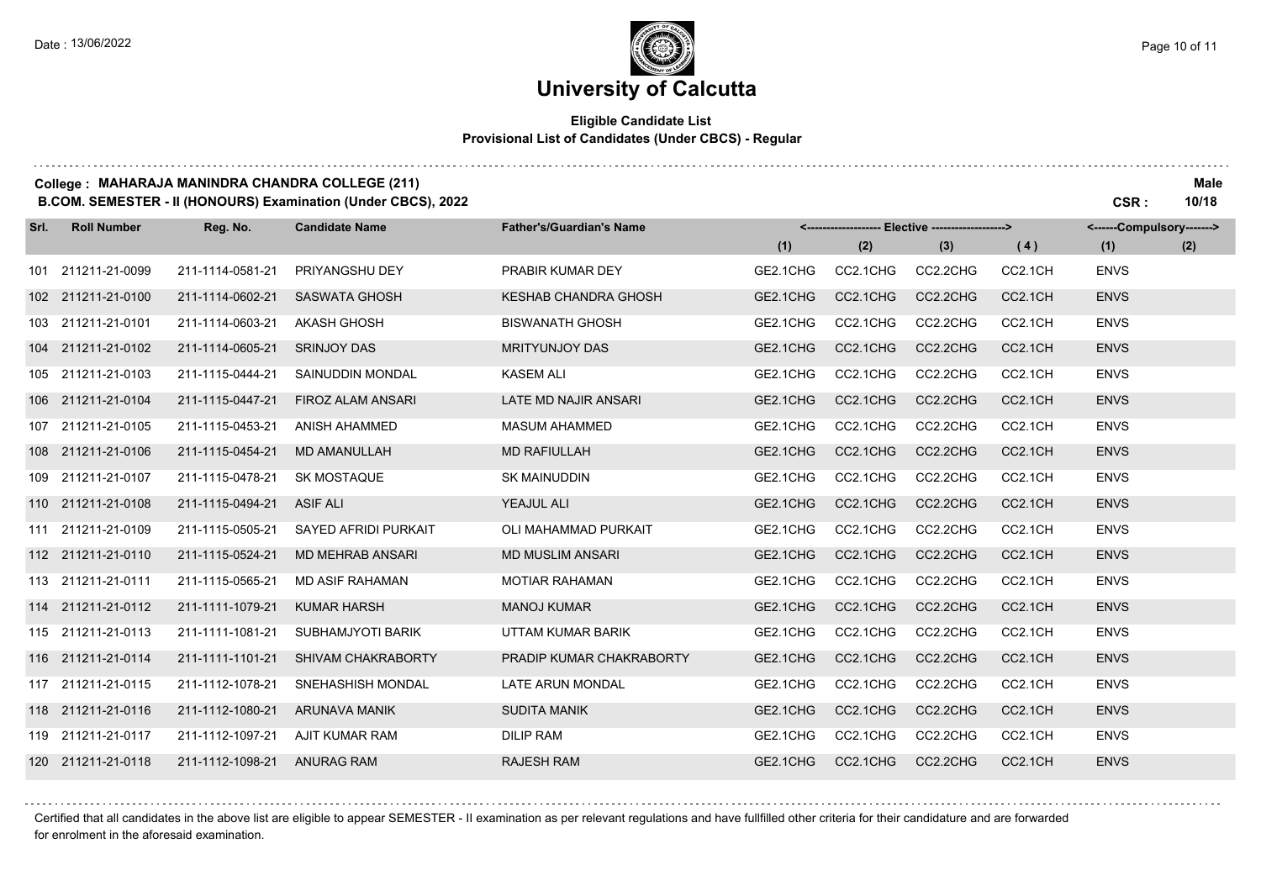### **University of Calcutta**

#### **Eligible Candidate List Provisional List of Candidates (Under CBCS) - Regular**

#### **College : MAHARAJA MANINDRA CHANDRA COLLEGE (211) Male**

**B.COM. SEMESTER - II (HONOURS) Examination (Under CBCS), 2022 CSR : 10/18**

| Srl. | <b>Roll Number</b> | Reg. No.         | <b>Candidate Name</b>    | <b>Father's/Guardian's Name</b> |          |          | <-------------------- Elective -------------------> |         | <------Compulsory-------> |     |
|------|--------------------|------------------|--------------------------|---------------------------------|----------|----------|-----------------------------------------------------|---------|---------------------------|-----|
|      |                    |                  |                          |                                 | (1)      | (2)      | (3)                                                 | (4)     | (1)                       | (2) |
| 101  | 211211-21-0099     | 211-1114-0581-21 | PRIYANGSHU DEY           | PRABIR KUMAR DEY                | GE2.1CHG | CC2.1CHG | CC2.2CHG                                            | CC2.1CH | <b>ENVS</b>               |     |
|      | 102 211211-21-0100 | 211-1114-0602-21 | <b>SASWATA GHOSH</b>     | <b>KESHAB CHANDRA GHOSH</b>     | GE2.1CHG | CC2.1CHG | CC2.2CHG                                            | CC2.1CH | <b>ENVS</b>               |     |
|      | 103 211211-21-0101 | 211-1114-0603-21 | <b>AKASH GHOSH</b>       | <b>BISWANATH GHOSH</b>          | GE2.1CHG | CC2.1CHG | CC2.2CHG                                            | CC2.1CH | <b>ENVS</b>               |     |
|      | 104 211211-21-0102 | 211-1114-0605-21 | <b>SRINJOY DAS</b>       | <b>MRITYUNJOY DAS</b>           | GE2.1CHG | CC2.1CHG | CC2.2CHG                                            | CC2.1CH | <b>ENVS</b>               |     |
|      | 105 211211-21-0103 | 211-1115-0444-21 | SAINUDDIN MONDAL         | <b>KASEM ALI</b>                | GE2.1CHG | CC2.1CHG | CC2.2CHG                                            | CC2.1CH | <b>ENVS</b>               |     |
|      | 106 211211-21-0104 | 211-1115-0447-21 | <b>FIROZ ALAM ANSARI</b> | LATE MD NAJIR ANSARI            | GE2.1CHG | CC2.1CHG | CC2.2CHG                                            | CC2.1CH | <b>ENVS</b>               |     |
|      | 107 211211-21-0105 | 211-1115-0453-21 | <b>ANISH AHAMMED</b>     | <b>MASUM AHAMMED</b>            | GE2.1CHG | CC2.1CHG | CC2.2CHG                                            | CC2.1CH | <b>ENVS</b>               |     |
|      | 108 211211-21-0106 | 211-1115-0454-21 | <b>MD AMANULLAH</b>      | <b>MD RAFIULLAH</b>             | GE2.1CHG | CC2.1CHG | CC2.2CHG                                            | CC2.1CH | <b>ENVS</b>               |     |
|      | 109 211211-21-0107 | 211-1115-0478-21 | <b>SK MOSTAQUE</b>       | <b>SK MAINUDDIN</b>             | GE2.1CHG | CC2.1CHG | CC2.2CHG                                            | CC2.1CH | <b>ENVS</b>               |     |
|      | 110 211211-21-0108 | 211-1115-0494-21 | <b>ASIF ALI</b>          | YEAJUL ALI                      | GE2.1CHG | CC2.1CHG | CC2.2CHG                                            | CC2.1CH | <b>ENVS</b>               |     |
|      | 111 211211-21-0109 | 211-1115-0505-21 | SAYED AFRIDI PURKAIT     | OLI MAHAMMAD PURKAIT            | GE2.1CHG | CC2.1CHG | CC2.2CHG                                            | CC2.1CH | <b>ENVS</b>               |     |
|      | 112 211211-21-0110 | 211-1115-0524-21 | <b>MD MEHRAB ANSARI</b>  | <b>MD MUSLIM ANSARI</b>         | GE2.1CHG | CC2.1CHG | CC2.2CHG                                            | CC2.1CH | <b>ENVS</b>               |     |
|      | 113 211211-21-0111 | 211-1115-0565-21 | <b>MD ASIF RAHAMAN</b>   | <b>MOTIAR RAHAMAN</b>           | GE2.1CHG | CC2.1CHG | CC2.2CHG                                            | CC2.1CH | <b>ENVS</b>               |     |
|      | 114 211211-21-0112 | 211-1111-1079-21 | <b>KUMAR HARSH</b>       | <b>MANOJ KUMAR</b>              | GE2.1CHG | CC2.1CHG | CC2.2CHG                                            | CC2.1CH | <b>ENVS</b>               |     |
|      | 115 211211-21-0113 | 211-1111-1081-21 | SUBHAMJYOTI BARIK        | UTTAM KUMAR BARIK               | GE2.1CHG | CC2.1CHG | CC2.2CHG                                            | CC2.1CH | <b>ENVS</b>               |     |
|      | 116 211211-21-0114 | 211-1111-1101-21 | SHIVAM CHAKRABORTY       | PRADIP KUMAR CHAKRABORTY        | GE2.1CHG | CC2.1CHG | CC2.2CHG                                            | CC2.1CH | <b>ENVS</b>               |     |
|      | 117 211211-21-0115 | 211-1112-1078-21 | <b>SNEHASHISH MONDAL</b> | <b>LATE ARUN MONDAL</b>         | GE2.1CHG | CC2.1CHG | CC2.2CHG                                            | CC2.1CH | <b>ENVS</b>               |     |
|      | 118 211211-21-0116 | 211-1112-1080-21 | <b>ARUNAVA MANIK</b>     | <b>SUDITA MANIK</b>             | GE2.1CHG | CC2.1CHG | CC2.2CHG                                            | CC2.1CH | <b>ENVS</b>               |     |
|      | 119 211211-21-0117 | 211-1112-1097-21 | AJIT KUMAR RAM           | <b>DILIP RAM</b>                | GE2.1CHG | CC2.1CHG | CC2.2CHG                                            | CC2.1CH | <b>ENVS</b>               |     |
|      | 120 211211-21-0118 | 211-1112-1098-21 | <b>ANURAG RAM</b>        | <b>RAJESH RAM</b>               | GE2.1CHG | CC2.1CHG | CC2.2CHG                                            | CC2.1CH | <b>ENVS</b>               |     |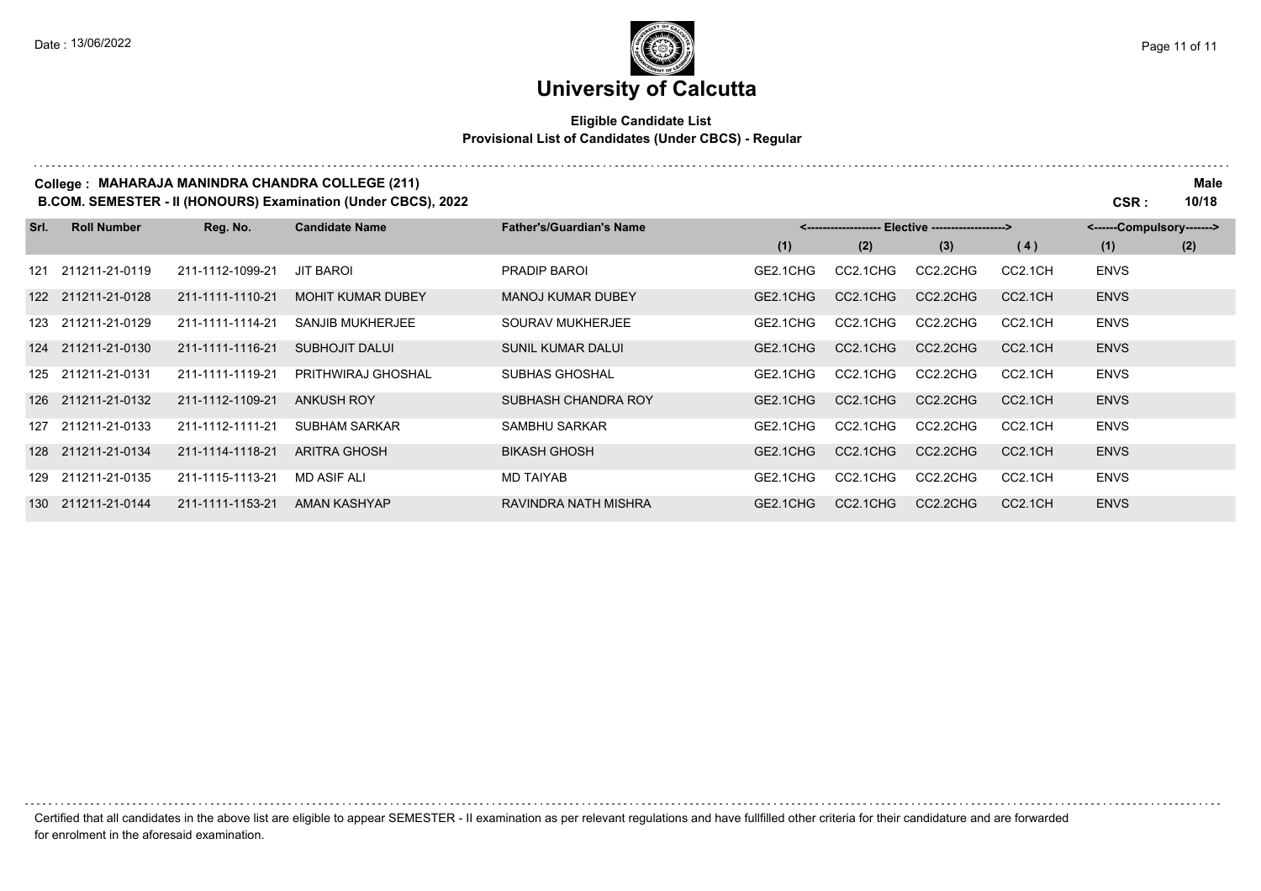# **University of Calcutta**

#### **Eligible Candidate List Provisional List of Candidates (Under CBCS) - Regular**

| College: MAHARAJA MANINDRA CHANDRA COLLEGE (211)<br>B.COM. SEMESTER - II (HONOURS) Examination (Under CBCS), 2022 |                    |                  |                          |                                 |          | CSR :    | <b>Male</b><br>10/18                              |         |                           |     |
|-------------------------------------------------------------------------------------------------------------------|--------------------|------------------|--------------------------|---------------------------------|----------|----------|---------------------------------------------------|---------|---------------------------|-----|
| Srl.                                                                                                              | <b>Roll Number</b> | Reg. No.         | <b>Candidate Name</b>    | <b>Father's/Guardian's Name</b> |          |          | <------------------- Elective ------------------> |         | <------Compulsory-------> |     |
|                                                                                                                   |                    |                  |                          |                                 | (1)      | (2)      | (3)                                               | (4)     | (1)                       | (2) |
| 121                                                                                                               | 211211-21-0119     | 211-1112-1099-21 | <b>JIT BAROI</b>         | PRADIP BAROL                    | GE2.1CHG | CC2.1CHG | CC2.2CHG                                          | CC2.1CH | <b>ENVS</b>               |     |
|                                                                                                                   | 122 211211-21-0128 | 211-1111-1110-21 | <b>MOHIT KUMAR DUBEY</b> | <b>MANOJ KUMAR DUBEY</b>        | GE2.1CHG | CC2.1CHG | CC2.2CHG                                          | CC2.1CH | <b>ENVS</b>               |     |
|                                                                                                                   | 123 211211-21-0129 | 211-1111-1114-21 | SANJIB MUKHERJEE         | SOURAV MUKHERJEE                | GE2.1CHG | CC2.1CHG | CC2.2CHG                                          | CC2.1CH | <b>ENVS</b>               |     |
|                                                                                                                   | 124 211211-21-0130 | 211-1111-1116-21 | <b>SUBHOJIT DALUI</b>    | <b>SUNIL KUMAR DALUI</b>        | GE2.1CHG | CC2.1CHG | CC2.2CHG                                          | CC2.1CH | <b>ENVS</b>               |     |
|                                                                                                                   | 125 211211-21-0131 | 211-1111-1119-21 | PRITHWIRAJ GHOSHAL       | SUBHAS GHOSHAL                  | GE2.1CHG | CC2.1CHG | CC2.2CHG                                          | CC2.1CH | <b>ENVS</b>               |     |
|                                                                                                                   | 126 211211-21-0132 | 211-1112-1109-21 | <b>ANKUSH ROY</b>        | SUBHASH CHANDRA ROY             | GE2.1CHG | CC2.1CHG | CC2.2CHG                                          | CC2.1CH | <b>ENVS</b>               |     |
|                                                                                                                   | 127 211211-21-0133 | 211-1112-1111-21 | <b>SUBHAM SARKAR</b>     | SAMBHU SARKAR                   | GE2.1CHG | CC2.1CHG | CC2.2CHG                                          | CC2.1CH | <b>ENVS</b>               |     |
| 128                                                                                                               | 211211-21-0134     | 211-1114-1118-21 | <b>ARITRA GHOSH</b>      | <b>BIKASH GHOSH</b>             | GE2.1CHG | CC2.1CHG | CC2.2CHG                                          | CC2.1CH | <b>ENVS</b>               |     |
|                                                                                                                   | 129 211211-21-0135 | 211-1115-1113-21 | <b>MD ASIF ALI</b>       | MD TAIYAB                       | GE2.1CHG | CC2.1CHG | CC2.2CHG                                          | CC2.1CH | <b>ENVS</b>               |     |
| 130                                                                                                               | 211211-21-0144     | 211-1111-1153-21 | <b>AMAN KASHYAP</b>      | RAVINDRA NATH MISHRA            | GE2.1CHG | CC2.1CHG | CC2.2CHG                                          | CC2.1CH | <b>ENVS</b>               |     |

Certified that all candidates in the above list are eligible to appear SEMESTER - II examination as per relevant regulations and have fullfilled other criteria for their candidature and are forwarded for enrolment in the aforesaid examination.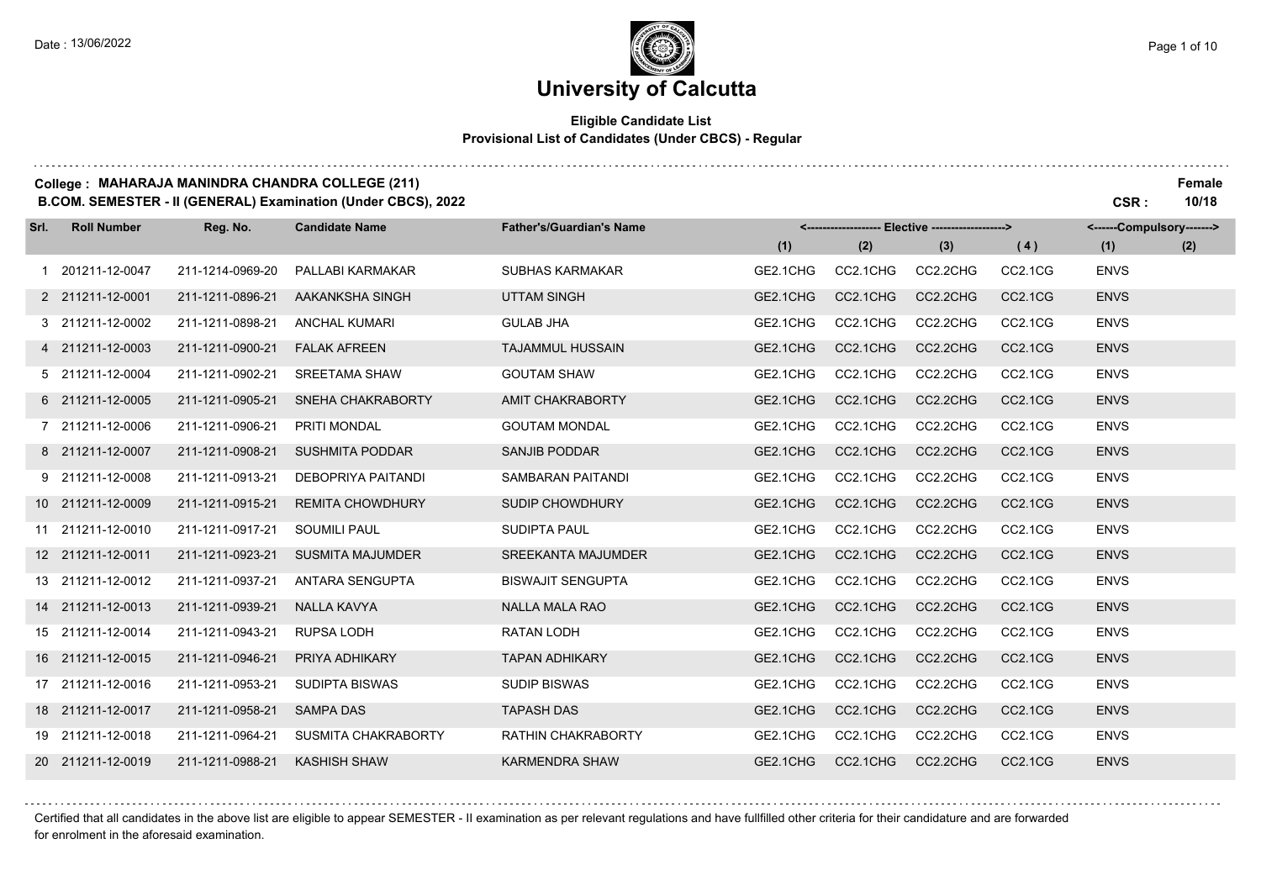#### **Eligible Candidate List Provisional List of Candidates (Under CBCS) - Regular**

#### **College : MAHARAJA MANINDRA CHANDRA COLLEGE (211) Female**

**B.COM. SEMESTER - II (GENERAL) Examination (Under CBCS), 2022 CSR : 10/18**

| Srl. | <b>Roll Number</b> | Reg. No.         | <b>Candidate Name</b>      | <b>Father's/Guardian's Name</b> |          |          | <-------------------- Elective -------------------> |                                  | <------Compulsory-------> |     |
|------|--------------------|------------------|----------------------------|---------------------------------|----------|----------|-----------------------------------------------------|----------------------------------|---------------------------|-----|
|      |                    |                  |                            |                                 | (1)      | (2)      | (3)                                                 | (4)                              | (1)                       | (2) |
|      | 1 201211-12-0047   | 211-1214-0969-20 | PALLABI KARMAKAR           | <b>SUBHAS KARMAKAR</b>          | GE2.1CHG | CC2.1CHG | CC2.2CHG                                            | CC2.1CG                          | <b>ENVS</b>               |     |
|      | 2 211211-12-0001   | 211-1211-0896-21 | AAKANKSHA SINGH            | <b>UTTAM SINGH</b>              | GE2.1CHG | CC2.1CHG | CC2.2CHG                                            | <b>CC2.1CG</b>                   | <b>ENVS</b>               |     |
|      | 3 211211-12-0002   | 211-1211-0898-21 | <b>ANCHAL KUMARI</b>       | <b>GULAB JHA</b>                | GE2.1CHG | CC2.1CHG | CC2.2CHG                                            | CC2.1CG                          | <b>ENVS</b>               |     |
|      | 4 211211-12-0003   | 211-1211-0900-21 | <b>FALAK AFREEN</b>        | <b>TAJAMMUL HUSSAIN</b>         | GE2.1CHG | CC2.1CHG | CC2.2CHG                                            | CC2.1CG                          | <b>ENVS</b>               |     |
|      | 5 211211-12-0004   | 211-1211-0902-21 | <b>SREETAMA SHAW</b>       | <b>GOUTAM SHAW</b>              | GE2.1CHG | CC2.1CHG | CC2.2CHG                                            | CC2.1CG                          | <b>ENVS</b>               |     |
|      | 6 211211-12-0005   | 211-1211-0905-21 | <b>SNEHA CHAKRABORTY</b>   | AMIT CHAKRABORTY                | GE2.1CHG | CC2.1CHG | CC2.2CHG                                            | CC2.1CG                          | <b>ENVS</b>               |     |
|      | 7 211211-12-0006   | 211-1211-0906-21 | <b>PRITI MONDAL</b>        | <b>GOUTAM MONDAL</b>            | GE2.1CHG | CC2.1CHG | CC2.2CHG                                            | CC2.1CG                          | <b>ENVS</b>               |     |
|      | 8 211211-12-0007   | 211-1211-0908-21 | <b>SUSHMITA PODDAR</b>     | <b>SANJIB PODDAR</b>            | GE2.1CHG | CC2.1CHG | CC2.2CHG                                            | CC2.1CG                          | <b>ENVS</b>               |     |
|      | 9 211211-12-0008   | 211-1211-0913-21 | DEBOPRIYA PAITANDI         | SAMBARAN PAITANDI               | GE2.1CHG | CC2.1CHG | CC2.2CHG                                            | CC2.1CG                          | <b>ENVS</b>               |     |
|      | 10 211211-12-0009  | 211-1211-0915-21 | <b>REMITA CHOWDHURY</b>    | SUDIP CHOWDHURY                 | GE2.1CHG | CC2.1CHG | CC2.2CHG                                            | CC2.1CG                          | <b>ENVS</b>               |     |
|      | 11 211211-12-0010  | 211-1211-0917-21 | <b>SOUMILI PAUL</b>        | <b>SUDIPTA PAUL</b>             | GE2.1CHG | CC2.1CHG | CC2.2CHG                                            | CC2.1CG                          | <b>ENVS</b>               |     |
|      | 12 211211-12-0011  | 211-1211-0923-21 | <b>SUSMITA MAJUMDER</b>    | <b>SREEKANTA MAJUMDER</b>       | GE2.1CHG | CC2.1CHG | CC2.2CHG                                            | CC2.1CG                          | <b>ENVS</b>               |     |
|      | 13 211211-12-0012  | 211-1211-0937-21 | <b>ANTARA SENGUPTA</b>     | <b>BISWAJIT SENGUPTA</b>        | GE2.1CHG | CC2.1CHG | CC2.2CHG                                            | CC2.1CG                          | <b>ENVS</b>               |     |
|      | 14 211211-12-0013  | 211-1211-0939-21 | <b>NALLA KAVYA</b>         | <b>NALLA MALA RAO</b>           | GE2.1CHG | CC2.1CHG | CC2.2CHG                                            | CC2.1CG                          | <b>ENVS</b>               |     |
|      | 15 211211-12-0014  | 211-1211-0943-21 | <b>RUPSA LODH</b>          | <b>RATAN LODH</b>               | GE2.1CHG | CC2.1CHG | CC2.2CHG                                            | CC2.1CG                          | <b>ENVS</b>               |     |
|      | 16 211211-12-0015  | 211-1211-0946-21 | PRIYA ADHIKARY             | <b>TAPAN ADHIKARY</b>           | GE2.1CHG | CC2.1CHG | CC2.2CHG                                            | CC <sub>2.1</sub> C <sub>G</sub> | <b>ENVS</b>               |     |
|      | 17 211211-12-0016  | 211-1211-0953-21 | <b>SUDIPTA BISWAS</b>      | <b>SUDIP BISWAS</b>             | GE2.1CHG | CC2.1CHG | CC2.2CHG                                            | CC2.1CG                          | <b>ENVS</b>               |     |
|      | 18 211211-12-0017  | 211-1211-0958-21 | <b>SAMPA DAS</b>           | <b>TAPASH DAS</b>               | GE2.1CHG | CC2.1CHG | CC2.2CHG                                            | CC2.1CG                          | <b>ENVS</b>               |     |
|      | 19 211211-12-0018  | 211-1211-0964-21 | <b>SUSMITA CHAKRABORTY</b> | RATHIN CHAKRABORTY              | GE2.1CHG | CC2.1CHG | CC2.2CHG                                            | CC2.1CG                          | <b>ENVS</b>               |     |
|      | 20 211211-12-0019  | 211-1211-0988-21 | <b>KASHISH SHAW</b>        | <b>KARMENDRA SHAW</b>           | GE2.1CHG | CC2.1CHG | CC2.2CHG                                            | CC2.1CG                          | <b>ENVS</b>               |     |

Certified that all candidates in the above list are eligible to appear SEMESTER - II examination as per relevant regulations and have fullfilled other criteria for their candidature and are forwarded

for enrolment in the aforesaid examination.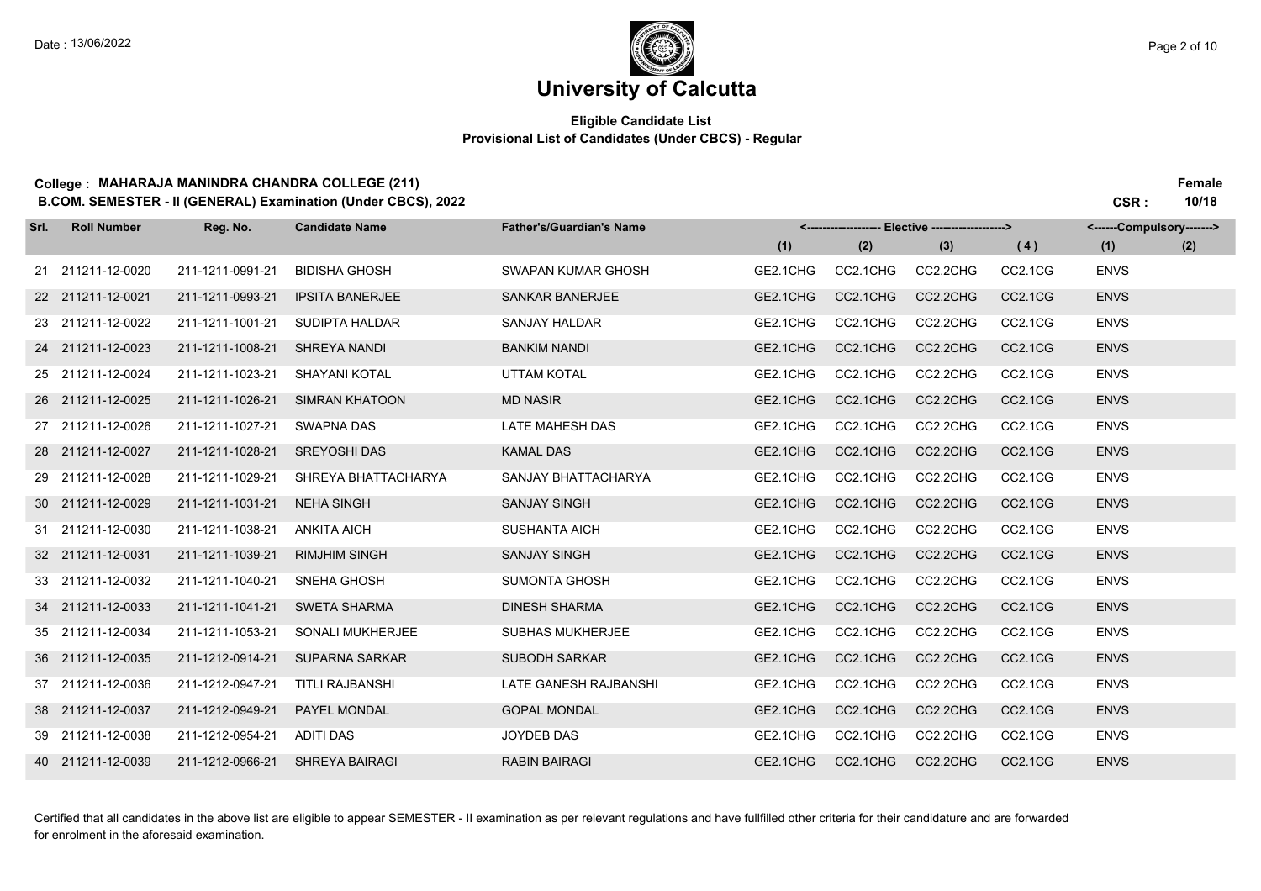### **University of Calcutta**

#### **Eligible Candidate List Provisional List of Candidates (Under CBCS) - Regular**

#### **College : MAHARAJA MANINDRA CHANDRA COLLEGE (211) Female**

**B.COM. SEMESTER - II (GENERAL) Examination (Under CBCS), 2022 CSR : 10/18**

| Srl. | <b>Roll Number</b> | Reg. No.         | <b>Candidate Name</b>  | <b>Father's/Guardian's Name</b> | <-------------------- Elective -------------------> |          |          | <------Compulsory------->        |             |     |
|------|--------------------|------------------|------------------------|---------------------------------|-----------------------------------------------------|----------|----------|----------------------------------|-------------|-----|
|      |                    |                  |                        |                                 | (1)                                                 | (2)      | (3)      | (4)                              | (1)         | (2) |
|      | 21 211211-12-0020  | 211-1211-0991-21 | <b>BIDISHA GHOSH</b>   | SWAPAN KUMAR GHOSH              | GE2.1CHG                                            | CC2.1CHG | CC2.2CHG | CC2.1CG                          | <b>ENVS</b> |     |
|      | 22 211211-12-0021  | 211-1211-0993-21 | <b>IPSITA BANERJEE</b> | SANKAR BANERJEE                 | GE2.1CHG                                            | CC2.1CHG | CC2.2CHG | CC2.1CG                          | <b>ENVS</b> |     |
|      | 23 211211-12-0022  | 211-1211-1001-21 | <b>SUDIPTA HALDAR</b>  | <b>SANJAY HALDAR</b>            | GE2.1CHG                                            | CC2.1CHG | CC2.2CHG | CC2.1CG                          | <b>ENVS</b> |     |
|      | 24 211211-12-0023  | 211-1211-1008-21 | SHREYA NANDI           | <b>BANKIM NANDI</b>             | GE2.1CHG                                            | CC2.1CHG | CC2.2CHG | CC2.1CG                          | <b>ENVS</b> |     |
|      | 25 211211-12-0024  | 211-1211-1023-21 | <b>SHAYANI KOTAL</b>   | <b>UTTAM KOTAL</b>              | GE2.1CHG                                            | CC2.1CHG | CC2.2CHG | CC <sub>2.1</sub> C <sub>G</sub> | <b>ENVS</b> |     |
|      | 26 211211-12-0025  | 211-1211-1026-21 | SIMRAN KHATOON         | <b>MD NASIR</b>                 | GE2.1CHG                                            | CC2.1CHG | CC2.2CHG | CC2.1CG                          | <b>ENVS</b> |     |
|      | 27 211211-12-0026  | 211-1211-1027-21 | <b>SWAPNA DAS</b>      | <b>LATE MAHESH DAS</b>          | GE2.1CHG                                            | CC2.1CHG | CC2.2CHG | CC2.1CG                          | <b>ENVS</b> |     |
|      | 28 211211-12-0027  | 211-1211-1028-21 | <b>SREYOSHI DAS</b>    | <b>KAMAL DAS</b>                | GE2.1CHG                                            | CC2.1CHG | CC2.2CHG | CC2.1CG                          | <b>ENVS</b> |     |
|      | 29 211211-12-0028  | 211-1211-1029-21 | SHREYA BHATTACHARYA    | SANJAY BHATTACHARYA             | GE2.1CHG                                            | CC2.1CHG | CC2.2CHG | CC2.1CG                          | <b>ENVS</b> |     |
|      | 30 211211-12-0029  | 211-1211-1031-21 | <b>NEHA SINGH</b>      | <b>SANJAY SINGH</b>             | GE2.1CHG                                            | CC2.1CHG | CC2.2CHG | CC2.1CG                          | <b>ENVS</b> |     |
|      | 31 211211-12-0030  | 211-1211-1038-21 | <b>ANKITA AICH</b>     | <b>SUSHANTA AICH</b>            | GE2.1CHG                                            | CC2.1CHG | CC2.2CHG | CC2.1CG                          | <b>ENVS</b> |     |
|      | 32 211211-12-0031  | 211-1211-1039-21 | <b>RIMJHIM SINGH</b>   | <b>SANJAY SINGH</b>             | GE2.1CHG                                            | CC2.1CHG | CC2.2CHG | CC2.1CG                          | <b>ENVS</b> |     |
|      | 33 211211-12-0032  | 211-1211-1040-21 | <b>SNEHA GHOSH</b>     | <b>SUMONTA GHOSH</b>            | GE2.1CHG                                            | CC2.1CHG | CC2.2CHG | CC <sub>2.1</sub> C <sub>G</sub> | <b>ENVS</b> |     |
|      | 34 211211-12-0033  | 211-1211-1041-21 | <b>SWETA SHARMA</b>    | <b>DINESH SHARMA</b>            | GE2.1CHG                                            | CC2.1CHG | CC2.2CHG | CC2.1CG                          | <b>ENVS</b> |     |
|      | 35 211211-12-0034  | 211-1211-1053-21 | SONALI MUKHERJEE       | <b>SUBHAS MUKHERJEE</b>         | GE2.1CHG                                            | CC2.1CHG | CC2.2CHG | CC2.1CG                          | <b>ENVS</b> |     |
|      | 36 211211-12-0035  | 211-1212-0914-21 | <b>SUPARNA SARKAR</b>  | <b>SUBODH SARKAR</b>            | GE2.1CHG                                            | CC2.1CHG | CC2.2CHG | CC2.1CG                          | <b>ENVS</b> |     |
|      | 37 211211-12-0036  | 211-1212-0947-21 | <b>TITLI RAJBANSHI</b> | LATE GANESH RAJBANSHI           | GE2.1CHG                                            | CC2.1CHG | CC2.2CHG | CC2.1CG                          | <b>ENVS</b> |     |
|      | 38 211211-12-0037  | 211-1212-0949-21 | PAYEL MONDAL           | <b>GOPAL MONDAL</b>             | GE2.1CHG                                            | CC2.1CHG | CC2.2CHG | CC2.1CG                          | <b>ENVS</b> |     |
|      | 39 211211-12-0038  | 211-1212-0954-21 | <b>ADITI DAS</b>       | JOYDEB DAS                      | GE2.1CHG                                            | CC2.1CHG | CC2.2CHG | CC2.1CG                          | <b>ENVS</b> |     |
|      | 40 211211-12-0039  | 211-1212-0966-21 | <b>SHREYA BAIRAGI</b>  | <b>RABIN BAIRAGI</b>            | GE2.1CHG                                            | CC2.1CHG | CC2.2CHG | CC2.1CG                          | <b>ENVS</b> |     |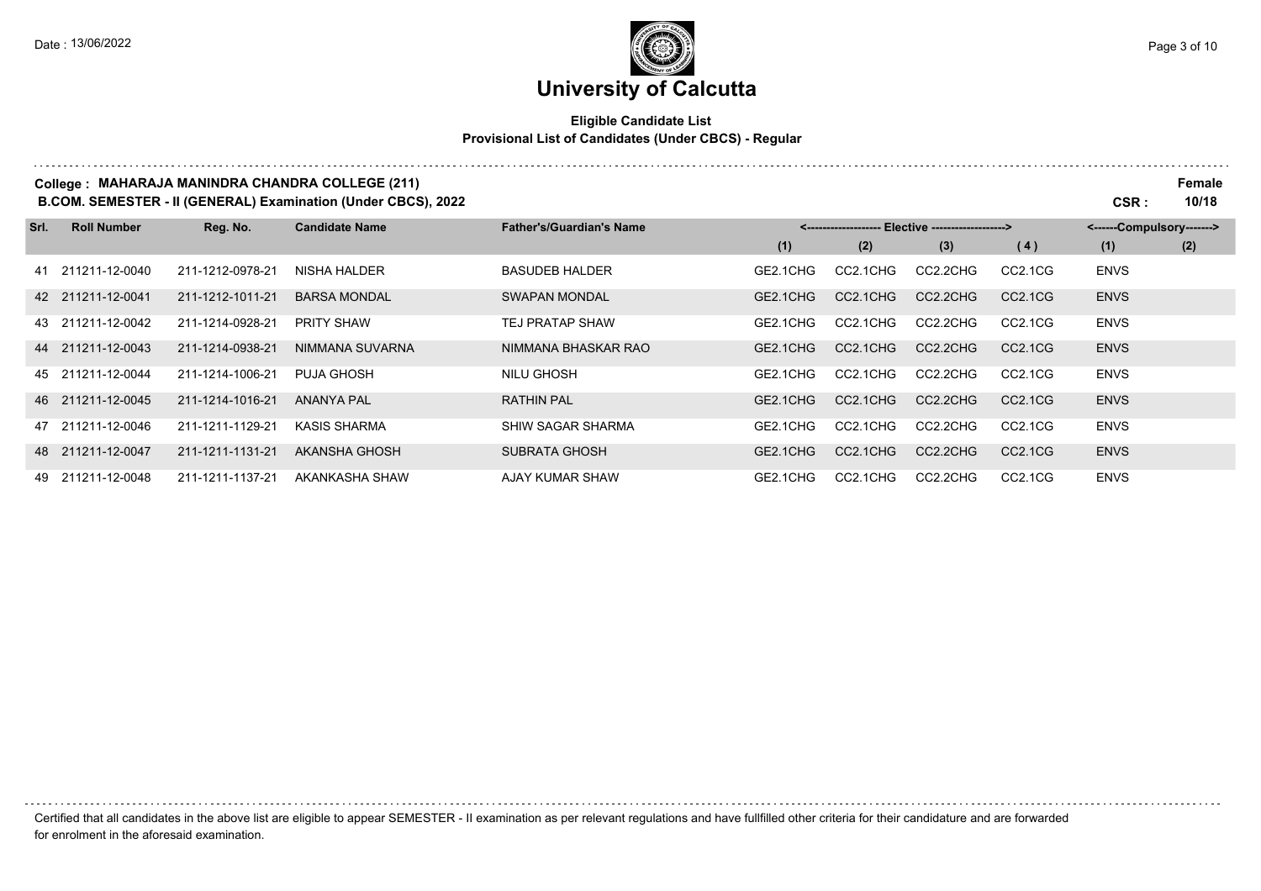. . . . . . . . .

# **University of Calcutta**

#### **Eligible Candidate List Provisional List of Candidates (Under CBCS) - Regular**

#### **College : MAHARAJA MANINDRA CHANDRA COLLEGE (211) Female**

**B.COM. SEMESTER - II (GENERAL) Examination (Under CBCS), 2022 CSR : 10/18**

| Srl. | <b>Roll Number</b> | Reg. No.         | <b>Candidate Name</b> | <b>Father's/Guardian's Name</b> | <-------------------- Elective -------------------> |          |          |                                  | <------Compulsory-------> |     |  |
|------|--------------------|------------------|-----------------------|---------------------------------|-----------------------------------------------------|----------|----------|----------------------------------|---------------------------|-----|--|
|      |                    |                  |                       |                                 | (1)                                                 | (2)      | (3)      | (4)                              | (1)                       | (2) |  |
|      | 41 211211-12-0040  | 211-1212-0978-21 | NISHA HALDER          | <b>BASUDEB HALDER</b>           | GE2.1CHG                                            | CC2.1CHG | CC2.2CHG | CC2.1CG                          | <b>ENVS</b>               |     |  |
|      | 42 211211-12-0041  | 211-1212-1011-21 | <b>BARSA MONDAL</b>   | <b>SWAPAN MONDAL</b>            | GE2.1CHG                                            | CC2.1CHG | CC2.2CHG | CC <sub>2.1</sub> C <sub>G</sub> | <b>ENVS</b>               |     |  |
|      | 43 211211-12-0042  | 211-1214-0928-21 | <b>PRITY SHAW</b>     | <b>TEJ PRATAP SHAW</b>          | GE2.1CHG                                            | CC2.1CHG | CC2.2CHG | CC2.1CG                          | <b>ENVS</b>               |     |  |
|      | 44 211211-12-0043  | 211-1214-0938-21 | NIMMANA SUVARNA       | NIMMANA BHASKAR RAO             | GE2.1CHG                                            | CC2.1CHG | CC2.2CHG | CC <sub>2.1</sub> C <sub>G</sub> | <b>ENVS</b>               |     |  |
|      | 45 211211-12-0044  | 211-1214-1006-21 | <b>PUJA GHOSH</b>     | NILU GHOSH                      | GE2.1CHG                                            | CC2.1CHG | CC2.2CHG | CC2.1CG                          | <b>ENVS</b>               |     |  |
|      | 46 211211-12-0045  | 211-1214-1016-21 | ANANYA PAL            | <b>RATHIN PAL</b>               | GE2.1CHG                                            | CC2.1CHG | CC2.2CHG | CC2.1CG                          | <b>ENVS</b>               |     |  |
|      | 47 211211-12-0046  | 211-1211-1129-21 | <b>KASIS SHARMA</b>   | SHIW SAGAR SHARMA               | GE2.1CHG                                            | CC2.1CHG | CC2.2CHG | CC2.1CG                          | <b>ENVS</b>               |     |  |
|      | 48 211211-12-0047  | 211-1211-1131-21 | AKANSHA GHOSH         | <b>SUBRATA GHOSH</b>            | GE2.1CHG                                            | CC2.1CHG | CC2.2CHG | CC <sub>2.1</sub> C <sub>G</sub> | <b>ENVS</b>               |     |  |
|      | 49 211211-12-0048  | 211-1211-1137-21 | AKANKASHA SHAW        | <b>AJAY KUMAR SHAW</b>          | GE2.1CHG                                            | CC2.1CHG | CC2.2CHG | CC2.1CG                          | <b>ENVS</b>               |     |  |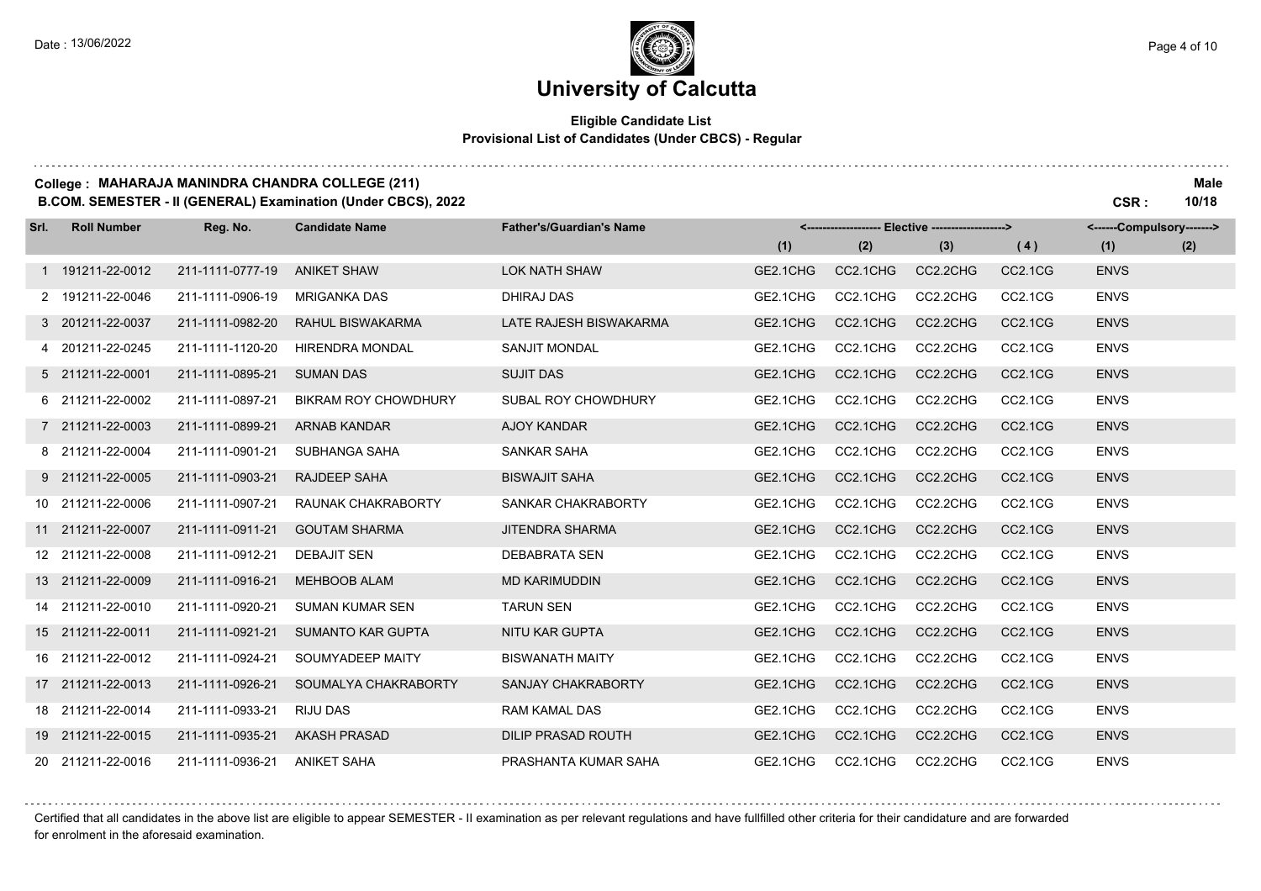and a straight

and a state of

### **University of Calcutta**

#### **Eligible Candidate List Provisional List of Candidates (Under CBCS) - Regular**

#### **College : MAHARAJA MANINDRA CHANDRA COLLEGE (211) Male**

**B.COM. SEMESTER - II (GENERAL) Examination (Under CBCS), 2022 CSR : 10/18**

| Srl. | <b>Roll Number</b> | Reg. No.         | <b>Candidate Name</b>       | <b>Father's/Guardian's Name</b> | <------------------- Elective ------------------> |          |          | <------Compulsory------->        |             |     |
|------|--------------------|------------------|-----------------------------|---------------------------------|---------------------------------------------------|----------|----------|----------------------------------|-------------|-----|
|      |                    |                  |                             |                                 | (1)                                               | (2)      | (3)      | (4)                              | (1)         | (2) |
|      | 1 191211-22-0012   | 211-1111-0777-19 | <b>ANIKET SHAW</b>          | <b>LOK NATH SHAW</b>            | GE2.1CHG                                          | CC2.1CHG | CC2.2CHG | CC2.1CG                          | <b>ENVS</b> |     |
|      | 2 191211-22-0046   | 211-1111-0906-19 | <b>MRIGANKA DAS</b>         | <b>DHIRAJ DAS</b>               | GE2.1CHG                                          | CC2.1CHG | CC2.2CHG | CC2.1CG                          | <b>ENVS</b> |     |
|      | 3 201211-22-0037   | 211-1111-0982-20 | <b>RAHUL BISWAKARMA</b>     | LATE RAJESH BISWAKARMA          | GE2.1CHG                                          | CC2.1CHG | CC2.2CHG | CC2.1CG                          | <b>ENVS</b> |     |
|      | 4 201211-22-0245   | 211-1111-1120-20 | <b>HIRENDRA MONDAL</b>      | <b>SANJIT MONDAL</b>            | GE2.1CHG                                          | CC2.1CHG | CC2.2CHG | CC2.1CG                          | <b>ENVS</b> |     |
|      | 5 211211-22-0001   | 211-1111-0895-21 | <b>SUMAN DAS</b>            | <b>SUJIT DAS</b>                | GE2.1CHG                                          | CC2.1CHG | CC2.2CHG | CC <sub>2.1</sub> C <sub>G</sub> | <b>ENVS</b> |     |
|      | 6 211211-22-0002   | 211-1111-0897-21 | <b>BIKRAM ROY CHOWDHURY</b> | SUBAL ROY CHOWDHURY             | GE2.1CHG                                          | CC2.1CHG | CC2.2CHG | CC2.1CG                          | <b>ENVS</b> |     |
|      | 7 211211-22-0003   | 211-1111-0899-21 | <b>ARNAB KANDAR</b>         | <b>AJOY KANDAR</b>              | GE2.1CHG                                          | CC2.1CHG | CC2.2CHG | CC2.1CG                          | <b>ENVS</b> |     |
|      | 8 211211-22-0004   | 211-1111-0901-21 | SUBHANGA SAHA               | SANKAR SAHA                     | GE2.1CHG                                          | CC2.1CHG | CC2.2CHG | CC2.1CG                          | <b>ENVS</b> |     |
|      | 9 211211-22-0005   | 211-1111-0903-21 | <b>RAJDEEP SAHA</b>         | <b>BISWAJIT SAHA</b>            | GE2.1CHG                                          | CC2.1CHG | CC2.2CHG | CC2.1CG                          | <b>ENVS</b> |     |
|      | 10 211211-22-0006  | 211-1111-0907-21 | RAUNAK CHAKRABORTY          | SANKAR CHAKRABORTY              | GE2.1CHG                                          | CC2.1CHG | CC2.2CHG | CC <sub>2.1</sub> C <sub>G</sub> | <b>ENVS</b> |     |
|      | 11 211211-22-0007  | 211-1111-0911-21 | <b>GOUTAM SHARMA</b>        | <b>JITENDRA SHARMA</b>          | GE2.1CHG                                          | CC2.1CHG | CC2.2CHG | CC2.1CG                          | <b>ENVS</b> |     |
|      | 12 211211-22-0008  | 211-1111-0912-21 | <b>DEBAJIT SEN</b>          | <b>DEBABRATA SEN</b>            | GE2.1CHG                                          | CC2.1CHG | CC2.2CHG | CC2.1CG                          | <b>ENVS</b> |     |
|      | 13 211211-22-0009  | 211-1111-0916-21 | <b>MEHBOOB ALAM</b>         | <b>MD KARIMUDDIN</b>            | GE2.1CHG                                          | CC2.1CHG | CC2.2CHG | CC2.1CG                          | <b>ENVS</b> |     |
|      | 14 211211-22-0010  | 211-1111-0920-21 | <b>SUMAN KUMAR SEN</b>      | <b>TARUN SEN</b>                | GE2.1CHG                                          | CC2.1CHG | CC2.2CHG | CC2.1CG                          | <b>ENVS</b> |     |
|      | 15 211211-22-0011  | 211-1111-0921-21 | <b>SUMANTO KAR GUPTA</b>    | <b>NITU KAR GUPTA</b>           | GE2.1CHG                                          | CC2.1CHG | CC2.2CHG | CC2.1CG                          | <b>ENVS</b> |     |
|      | 16 211211-22-0012  | 211-1111-0924-21 | SOUMYADEEP MAITY            | <b>BISWANATH MAITY</b>          | GE2.1CHG                                          | CC2.1CHG | CC2.2CHG | CC2.1CG                          | <b>ENVS</b> |     |
|      | 17 211211-22-0013  | 211-1111-0926-21 | SOUMALYA CHAKRABORTY        | SANJAY CHAKRABORTY              | GE2.1CHG                                          | CC2.1CHG | CC2.2CHG | CC2.1CG                          | <b>ENVS</b> |     |
|      | 18 211211-22-0014  | 211-1111-0933-21 | <b>RIJU DAS</b>             | <b>RAM KAMAL DAS</b>            | GE2.1CHG                                          | CC2.1CHG | CC2.2CHG | CC2.1CG                          | <b>ENVS</b> |     |
|      | 19 211211-22-0015  | 211-1111-0935-21 | <b>AKASH PRASAD</b>         | <b>DILIP PRASAD ROUTH</b>       | GE2.1CHG                                          | CC2.1CHG | CC2.2CHG | CC2.1CG                          | <b>ENVS</b> |     |
|      | 20 211211-22-0016  | 211-1111-0936-21 | <b>ANIKET SAHA</b>          | PRASHANTA KUMAR SAHA            | GE2.1CHG                                          | CC2.1CHG | CC2.2CHG | CC2.1CG                          | <b>ENVS</b> |     |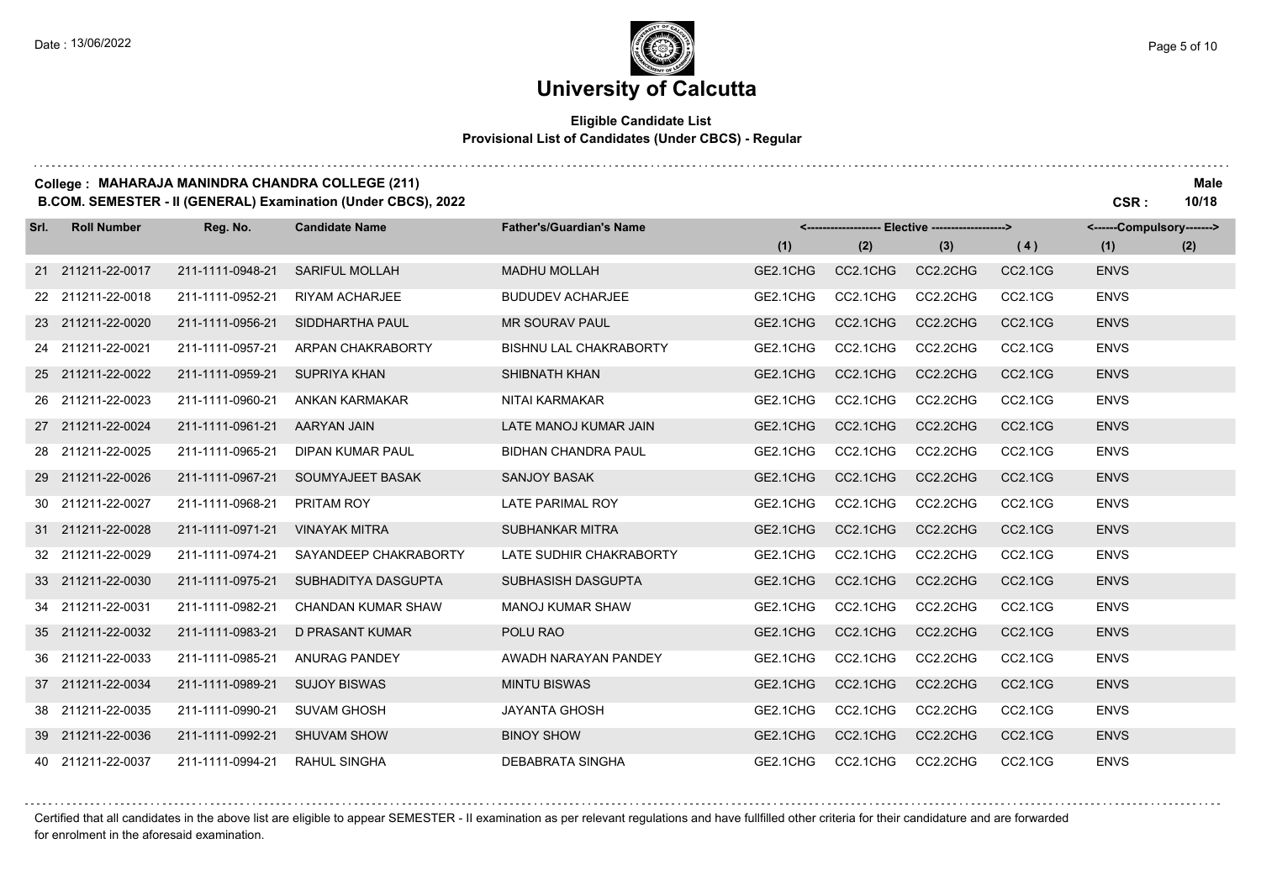### **University of Calcutta**

#### **Eligible Candidate List Provisional List of Candidates (Under CBCS) - Regular**

### **College : MAHARAJA MANINDRA CHANDRA COLLEGE (211) Male**

**B.COM. SEMESTER - II (GENERAL) Examination (Under CBCS), 2022 CSR : 10/18**

| Srl. | <b>Roll Number</b> | Reg. No.         | <b>Candidate Name</b>     | <b>Father's/Guardian's Name</b> | <------------------- Elective ------------------> |          |          | <------Compulsory-------> |             |     |
|------|--------------------|------------------|---------------------------|---------------------------------|---------------------------------------------------|----------|----------|---------------------------|-------------|-----|
|      |                    |                  |                           |                                 | (1)                                               | (2)      | (3)      | (4)                       | (1)         | (2) |
|      | 21 211211-22-0017  | 211-1111-0948-21 | <b>SARIFUL MOLLAH</b>     | <b>MADHU MOLLAH</b>             | GE2.1CHG                                          | CC2.1CHG | CC2.2CHG | CC2.1CG                   | <b>ENVS</b> |     |
|      | 22 211211-22-0018  | 211-1111-0952-21 | <b>RIYAM ACHARJEE</b>     | <b>BUDUDEV ACHARJEE</b>         | GE2.1CHG                                          | CC2.1CHG | CC2.2CHG | CC2.1CG                   | <b>ENVS</b> |     |
|      | 23 211211-22-0020  | 211-1111-0956-21 | SIDDHARTHA PAUL           | <b>MR SOURAV PAUL</b>           | GE2.1CHG                                          | CC2.1CHG | CC2.2CHG | <b>CC2.1CG</b>            | <b>ENVS</b> |     |
|      | 24 211211-22-0021  | 211-1111-0957-21 | ARPAN CHAKRABORTY         | <b>BISHNU LAL CHAKRABORTY</b>   | GE2.1CHG                                          | CC2.1CHG | CC2.2CHG | CC2.1CG                   | <b>ENVS</b> |     |
|      | 25 211211-22-0022  | 211-1111-0959-21 | <b>SUPRIYA KHAN</b>       | SHIBNATH KHAN                   | GE2.1CHG                                          | CC2.1CHG | CC2.2CHG | CC2.1CG                   | <b>ENVS</b> |     |
|      | 26 211211-22-0023  | 211-1111-0960-21 | <b>ANKAN KARMAKAR</b>     | NITAI KARMAKAR                  | GE2.1CHG                                          | CC2.1CHG | CC2.2CHG | CC2.1CG                   | <b>ENVS</b> |     |
|      | 27 211211-22-0024  | 211-1111-0961-21 | <b>AARYAN JAIN</b>        | LATE MANOJ KUMAR JAIN           | GE2.1CHG                                          | CC2.1CHG | CC2.2CHG | CC2.1CG                   | <b>ENVS</b> |     |
|      | 28 211211-22-0025  | 211-1111-0965-21 | DIPAN KUMAR PAUL          | <b>BIDHAN CHANDRA PAUL</b>      | GE2.1CHG                                          | CC2.1CHG | CC2.2CHG | CC2.1CG                   | <b>ENVS</b> |     |
|      | 29 211211-22-0026  | 211-1111-0967-21 | SOUMYAJEET BASAK          | <b>SANJOY BASAK</b>             | GE2.1CHG                                          | CC2.1CHG | CC2.2CHG | <b>CC2.1CG</b>            | <b>ENVS</b> |     |
|      | 30 211211-22-0027  | 211-1111-0968-21 | <b>PRITAM ROY</b>         | LATE PARIMAL ROY                | GE2.1CHG                                          | CC2.1CHG | CC2.2CHG | CC2.1CG                   | <b>ENVS</b> |     |
|      | 31 211211-22-0028  | 211-1111-0971-21 | <b>VINAYAK MITRA</b>      | <b>SUBHANKAR MITRA</b>          | GE2.1CHG                                          | CC2.1CHG | CC2.2CHG | CC2.1CG                   | <b>ENVS</b> |     |
|      | 32 211211-22-0029  | 211-1111-0974-21 | SAYANDEEP CHAKRABORTY     | LATE SUDHIR CHAKRABORTY         | GE2.1CHG                                          | CC2.1CHG | CC2.2CHG | CC2.1CG                   | <b>ENVS</b> |     |
|      | 33 211211-22-0030  | 211-1111-0975-21 | SUBHADITYA DASGUPTA       | <b>SUBHASISH DASGUPTA</b>       | GE2.1CHG                                          | CC2.1CHG | CC2.2CHG | <b>CC2.1CG</b>            | <b>ENVS</b> |     |
|      | 34 211211-22-0031  | 211-1111-0982-21 | <b>CHANDAN KUMAR SHAW</b> | <b>MANOJ KUMAR SHAW</b>         | GE2.1CHG                                          | CC2.1CHG | CC2.2CHG | CC2.1CG                   | <b>ENVS</b> |     |
|      | 35 211211-22-0032  | 211-1111-0983-21 | <b>D PRASANT KUMAR</b>    | POLU RAO                        | GE2.1CHG                                          | CC2.1CHG | CC2.2CHG | CC2.1CG                   | <b>ENVS</b> |     |
|      | 36 211211-22-0033  | 211-1111-0985-21 | <b>ANURAG PANDEY</b>      | AWADH NARAYAN PANDEY            | GE2.1CHG                                          | CC2.1CHG | CC2.2CHG | CC2.1CG                   | <b>ENVS</b> |     |
|      | 37 211211-22-0034  | 211-1111-0989-21 | <b>SUJOY BISWAS</b>       | <b>MINTU BISWAS</b>             | GE2.1CHG                                          | CC2.1CHG | CC2.2CHG | <b>CC2.1CG</b>            | <b>ENVS</b> |     |
|      | 38 211211-22-0035  | 211-1111-0990-21 | <b>SUVAM GHOSH</b>        | <b>JAYANTA GHOSH</b>            | GE2.1CHG                                          | CC2.1CHG | CC2.2CHG | CC2.1CG                   | <b>ENVS</b> |     |
|      | 39 211211-22-0036  | 211-1111-0992-21 | <b>SHUVAM SHOW</b>        | <b>BINOY SHOW</b>               | GE2.1CHG                                          | CC2.1CHG | CC2.2CHG | CC2.1CG                   | <b>ENVS</b> |     |
|      | 40 211211-22-0037  | 211-1111-0994-21 | <b>RAHUL SINGHA</b>       | <b>DEBABRATA SINGHA</b>         | GE2.1CHG                                          | CC2.1CHG | CC2.2CHG | CC2.1CG                   | <b>ENVS</b> |     |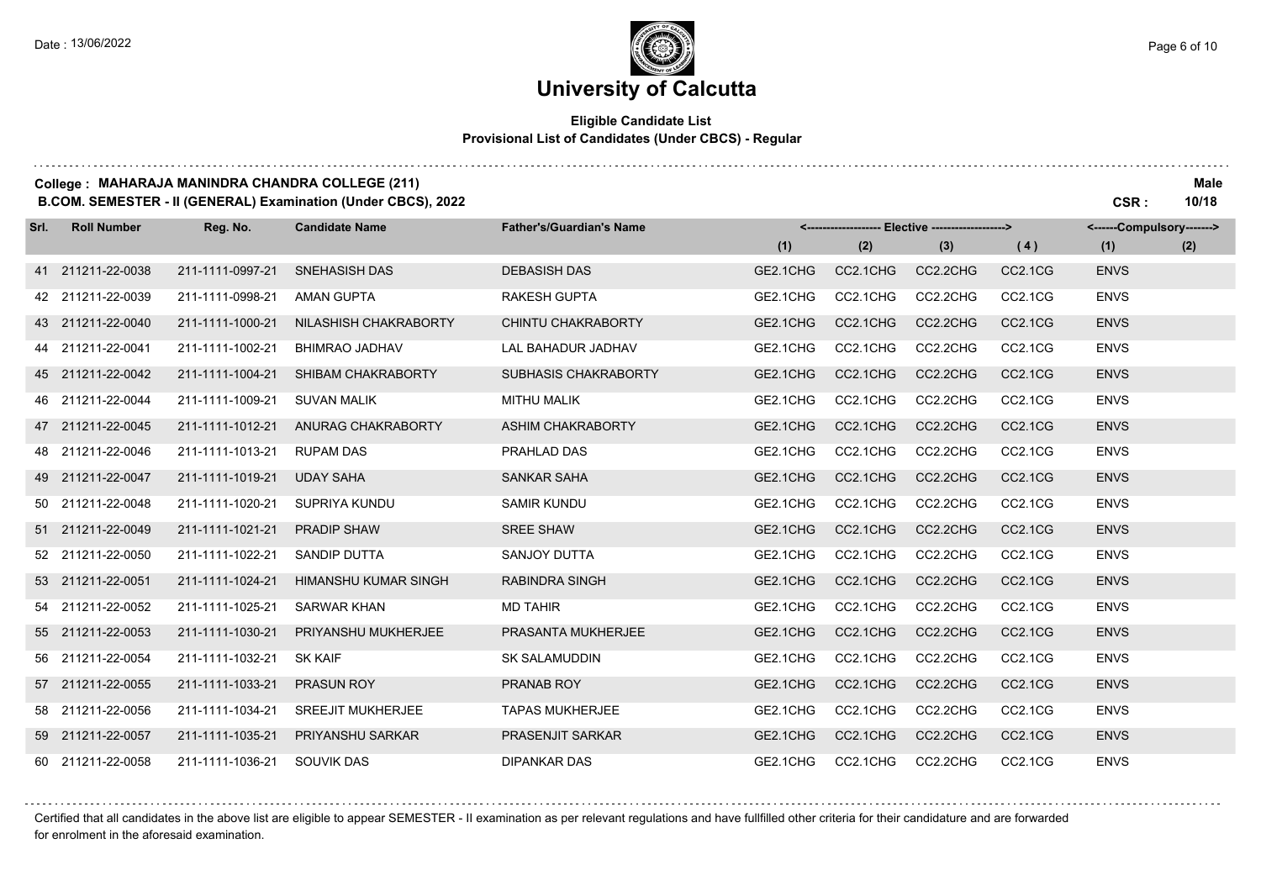and a straight

### **University of Calcutta**

#### **Eligible Candidate List Provisional List of Candidates (Under CBCS) - Regular**

#### **College : MAHARAJA MANINDRA CHANDRA COLLEGE (211) Male**

**B.COM. SEMESTER - II (GENERAL) Examination (Under CBCS), 2022 CSR : 10/18**

| Srl. | <b>Roll Number</b> | Reg. No.         | <b>Candidate Name</b>    | <b>Father's/Guardian's Name</b> | <------------------- Elective ------------------> |          |          | <------Compulsory------->        |             |     |
|------|--------------------|------------------|--------------------------|---------------------------------|---------------------------------------------------|----------|----------|----------------------------------|-------------|-----|
|      |                    |                  |                          |                                 | (1)                                               | (2)      | (3)      | (4)                              | (1)         | (2) |
|      | 41 211211-22-0038  | 211-1111-0997-21 | <b>SNEHASISH DAS</b>     | <b>DEBASISH DAS</b>             | GE2.1CHG                                          | CC2.1CHG | CC2.2CHG | CC <sub>2.1</sub> C <sub>G</sub> | <b>ENVS</b> |     |
|      | 42 211211-22-0039  | 211-1111-0998-21 | <b>AMAN GUPTA</b>        | <b>RAKESH GUPTA</b>             | GE2.1CHG                                          | CC2.1CHG | CC2.2CHG | CC2.1CG                          | <b>ENVS</b> |     |
|      | 43 211211-22-0040  | 211-1111-1000-21 | NILASHISH CHAKRABORTY    | CHINTU CHAKRABORTY              | GE2.1CHG                                          | CC2.1CHG | CC2.2CHG | CC2.1CG                          | <b>ENVS</b> |     |
|      | 44 211211-22-0041  | 211-1111-1002-21 | BHIMRAO JADHAV           | <b>LAL BAHADUR JADHAV</b>       | GE2.1CHG                                          | CC2.1CHG | CC2.2CHG | CC2.1CG                          | <b>ENVS</b> |     |
|      | 45 211211-22-0042  | 211-1111-1004-21 | SHIBAM CHAKRABORTY       | SUBHASIS CHAKRABORTY            | GE2.1CHG                                          | CC2.1CHG | CC2.2CHG | CC2.1CG                          | <b>ENVS</b> |     |
|      | 46 211211-22-0044  | 211-1111-1009-21 | <b>SUVAN MALIK</b>       | <b>MITHU MALIK</b>              | GE2.1CHG                                          | CC2.1CHG | CC2.2CHG | CC2.1CG                          | <b>ENVS</b> |     |
|      | 47 211211-22-0045  | 211-1111-1012-21 | ANURAG CHAKRABORTY       | ASHIM CHAKRABORTY               | GE2.1CHG                                          | CC2.1CHG | CC2.2CHG | CC <sub>2.1</sub> C <sub>G</sub> | <b>ENVS</b> |     |
|      | 48 211211-22-0046  | 211-1111-1013-21 | <b>RUPAM DAS</b>         | PRAHLAD DAS                     | GE2.1CHG                                          | CC2.1CHG | CC2.2CHG | CC2.1CG                          | <b>ENVS</b> |     |
|      | 49 211211-22-0047  | 211-1111-1019-21 | <b>UDAY SAHA</b>         | <b>SANKAR SAHA</b>              | GE2.1CHG                                          | CC2.1CHG | CC2.2CHG | CC <sub>2.1</sub> C <sub>G</sub> | <b>ENVS</b> |     |
|      | 50 211211-22-0048  | 211-1111-1020-21 | SUPRIYA KUNDU            | <b>SAMIR KUNDU</b>              | GE2.1CHG                                          | CC2.1CHG | CC2.2CHG | CC2.1CG                          | <b>ENVS</b> |     |
|      | 51 211211-22-0049  | 211-1111-1021-21 | <b>PRADIP SHAW</b>       | <b>SREE SHAW</b>                | GE2.1CHG                                          | CC2.1CHG | CC2.2CHG | CC2.1CG                          | <b>ENVS</b> |     |
|      | 52 211211-22-0050  | 211-1111-1022-21 | SANDIP DUTTA             | SANJOY DUTTA                    | GE2.1CHG                                          | CC2.1CHG | CC2.2CHG | CC2.1CG                          | <b>ENVS</b> |     |
|      | 53 211211-22-0051  | 211-1111-1024-21 | HIMANSHU KUMAR SINGH     | <b>RABINDRA SINGH</b>           | GE2.1CHG                                          | CC2.1CHG | CC2.2CHG | CC2.1CG                          | <b>ENVS</b> |     |
|      | 54 211211-22-0052  | 211-1111-1025-21 | <b>SARWAR KHAN</b>       | <b>MD TAHIR</b>                 | GE2.1CHG                                          | CC2.1CHG | CC2.2CHG | CC2.1CG                          | <b>ENVS</b> |     |
|      | 55 211211-22-0053  | 211-1111-1030-21 | PRIYANSHU MUKHERJEE      | PRASANTA MUKHERJEE              | GE2.1CHG                                          | CC2.1CHG | CC2.2CHG | CC <sub>2.1</sub> C <sub>G</sub> | <b>ENVS</b> |     |
|      | 56 211211-22-0054  | 211-1111-1032-21 | <b>SK KAIF</b>           | <b>SK SALAMUDDIN</b>            | GE2.1CHG                                          | CC2.1CHG | CC2.2CHG | CC2.1CG                          | <b>ENVS</b> |     |
|      | 57 211211-22-0055  | 211-1111-1033-21 | PRASUN ROY               | PRANAB ROY                      | GE2.1CHG                                          | CC2.1CHG | CC2.2CHG | CC2.1CG                          | <b>ENVS</b> |     |
|      | 58 211211-22-0056  | 211-1111-1034-21 | <b>SREEJIT MUKHERJEE</b> | <b>TAPAS MUKHERJEE</b>          | GE2.1CHG                                          | CC2.1CHG | CC2.2CHG | CC2.1CG                          | <b>ENVS</b> |     |
|      | 59 211211-22-0057  | 211-1111-1035-21 | PRIYANSHU SARKAR         | <b>PRASENJIT SARKAR</b>         | GE2.1CHG                                          | CC2.1CHG | CC2.2CHG | CC2.1CG                          | <b>ENVS</b> |     |
|      | 60 211211-22-0058  | 211-1111-1036-21 | SOUVIK DAS               | <b>DIPANKAR DAS</b>             | GE2.1CHG                                          | CC2.1CHG | CC2.2CHG | CC2.1CG                          | <b>ENVS</b> |     |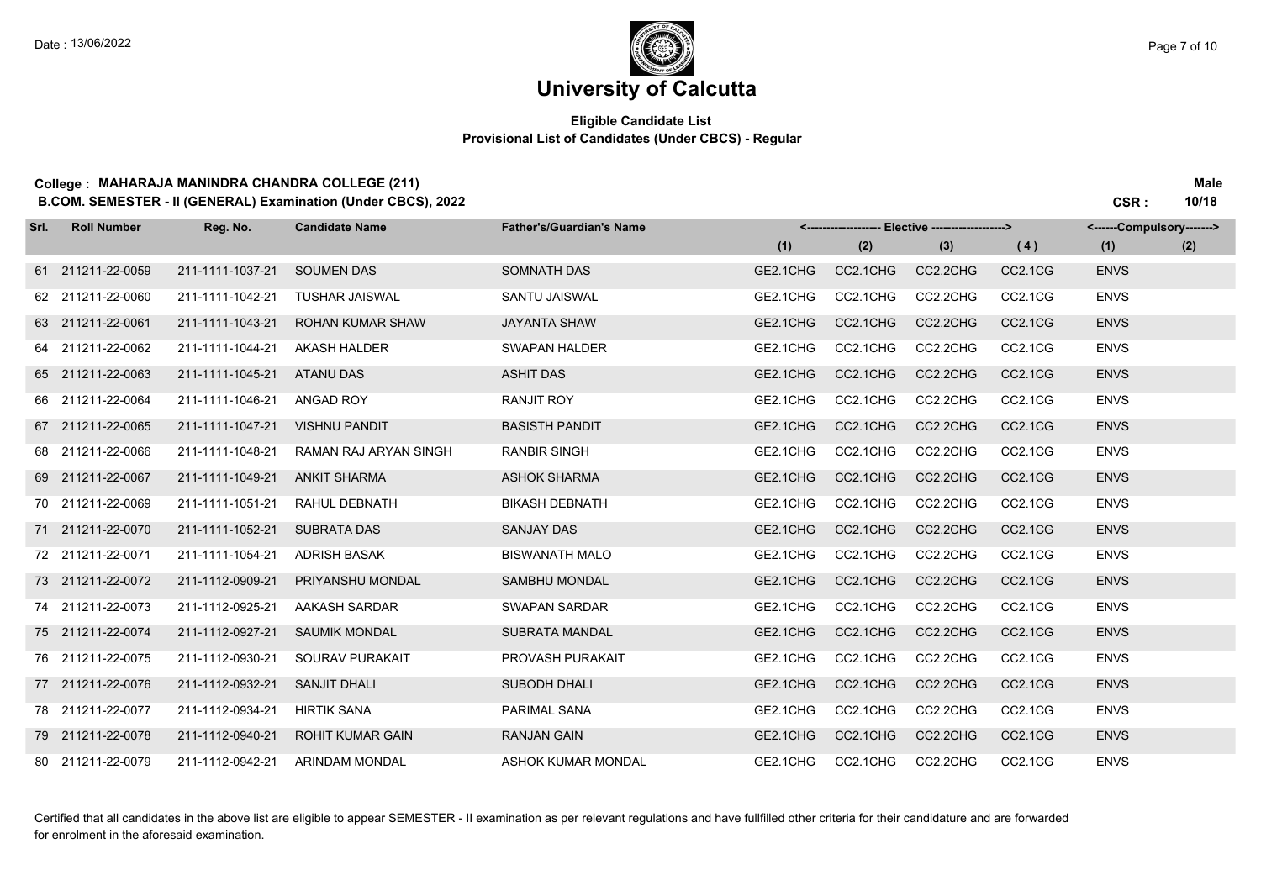and a straight

### **University of Calcutta**

#### **Eligible Candidate List Provisional List of Candidates (Under CBCS) - Regular**

#### **College : MAHARAJA MANINDRA CHANDRA COLLEGE (211) Male**

**B.COM. SEMESTER - II (GENERAL) Examination (Under CBCS), 2022 CSR : 10/18**

| Srl. | <b>Roll Number</b> | Reg. No.         | <b>Candidate Name</b>        | <b>Father's/Guardian's Name</b> | <------------------- Elective ------------------> |          |          | <------Compulsory------->        |             |     |
|------|--------------------|------------------|------------------------------|---------------------------------|---------------------------------------------------|----------|----------|----------------------------------|-------------|-----|
|      |                    |                  |                              |                                 | (1)                                               | (2)      | (3)      | (4)                              | (1)         | (2) |
|      | 61 211211-22-0059  | 211-1111-1037-21 | <b>SOUMEN DAS</b>            | <b>SOMNATH DAS</b>              | GE2.1CHG                                          | CC2.1CHG | CC2.2CHG | CC2.1CG                          | <b>ENVS</b> |     |
|      | 62 211211-22-0060  | 211-1111-1042-21 | <b>TUSHAR JAISWAL</b>        | <b>SANTU JAISWAL</b>            | GE2.1CHG                                          | CC2.1CHG | CC2.2CHG | CC2.1CG                          | <b>ENVS</b> |     |
|      | 63 211211-22-0061  | 211-1111-1043-21 | <b>ROHAN KUMAR SHAW</b>      | <b>JAYANTA SHAW</b>             | GE2.1CHG                                          | CC2.1CHG | CC2.2CHG | CC2.1CG                          | <b>ENVS</b> |     |
|      | 64 211211-22-0062  | 211-1111-1044-21 | <b>AKASH HALDER</b>          | <b>SWAPAN HALDER</b>            | GE2.1CHG                                          | CC2.1CHG | CC2.2CHG | CC2.1CG                          | <b>ENVS</b> |     |
|      | 65 211211-22-0063  | 211-1111-1045-21 | <b>ATANU DAS</b>             | <b>ASHIT DAS</b>                | GE2.1CHG                                          | CC2.1CHG | CC2.2CHG | CC2.1CG                          | <b>ENVS</b> |     |
|      | 66 211211-22-0064  | 211-1111-1046-21 | ANGAD ROY                    | <b>RANJIT ROY</b>               | GE2.1CHG                                          | CC2.1CHG | CC2.2CHG | CC <sub>2.1</sub> C <sub>G</sub> | <b>ENVS</b> |     |
|      | 67 211211-22-0065  | 211-1111-1047-21 | <b>VISHNU PANDIT</b>         | <b>BASISTH PANDIT</b>           | GE2.1CHG                                          | CC2.1CHG | CC2.2CHG | CC2.1CG                          | <b>ENVS</b> |     |
|      | 68 211211-22-0066  | 211-1111-1048-21 | <b>RAMAN RAJ ARYAN SINGH</b> | <b>RANBIR SINGH</b>             | GE2.1CHG                                          | CC2.1CHG | CC2.2CHG | CC <sub>2.1</sub> C <sub>G</sub> | <b>ENVS</b> |     |
|      | 69 211211-22-0067  | 211-1111-1049-21 | <b>ANKIT SHARMA</b>          | <b>ASHOK SHARMA</b>             | GE2.1CHG                                          | CC2.1CHG | CC2.2CHG | CC2.1CG                          | <b>ENVS</b> |     |
|      | 70 211211-22-0069  | 211-1111-1051-21 | RAHUL DEBNATH                | <b>BIKASH DEBNATH</b>           | GE2.1CHG                                          | CC2.1CHG | CC2.2CHG | CC <sub>2.1</sub> C <sub>G</sub> | <b>ENVS</b> |     |
|      | 71 211211-22-0070  | 211-1111-1052-21 | <b>SUBRATA DAS</b>           | <b>SANJAY DAS</b>               | GE2.1CHG                                          | CC2.1CHG | CC2.2CHG | CC2.1CG                          | <b>ENVS</b> |     |
|      | 72 211211-22-0071  | 211-1111-1054-21 | <b>ADRISH BASAK</b>          | <b>BISWANATH MALO</b>           | GE2.1CHG                                          | CC2.1CHG | CC2.2CHG | CC <sub>2.1</sub> C <sub>G</sub> | <b>ENVS</b> |     |
|      | 73 211211-22-0072  | 211-1112-0909-21 | PRIYANSHU MONDAL             | <b>SAMBHU MONDAL</b>            | GE2.1CHG                                          | CC2.1CHG | CC2.2CHG | CC2.1CG                          | <b>ENVS</b> |     |
|      | 74 211211-22-0073  | 211-1112-0925-21 | AAKASH SARDAR                | <b>SWAPAN SARDAR</b>            | GE2.1CHG                                          | CC2.1CHG | CC2.2CHG | CC <sub>2.1</sub> C <sub>G</sub> | <b>ENVS</b> |     |
|      | 75 211211-22-0074  | 211-1112-0927-21 | <b>SAUMIK MONDAL</b>         | <b>SUBRATA MANDAL</b>           | GE2.1CHG                                          | CC2.1CHG | CC2.2CHG | CC2.1CG                          | <b>ENVS</b> |     |
|      | 76 211211-22-0075  | 211-1112-0930-21 | <b>SOURAV PURAKAIT</b>       | PROVASH PURAKAIT                | GE2.1CHG                                          | CC2.1CHG | CC2.2CHG | CC2.1CG                          | <b>ENVS</b> |     |
|      | 77 211211-22-0076  | 211-1112-0932-21 | <b>SANJIT DHALI</b>          | <b>SUBODH DHALI</b>             | GE2.1CHG                                          | CC2.1CHG | CC2.2CHG | CC2.1CG                          | <b>ENVS</b> |     |
|      | 78 211211-22-0077  | 211-1112-0934-21 | <b>HIRTIK SANA</b>           | <b>PARIMAL SANA</b>             | GE2.1CHG                                          | CC2.1CHG | CC2.2CHG | CC <sub>2.1</sub> C <sub>G</sub> | <b>ENVS</b> |     |
|      | 79 211211-22-0078  | 211-1112-0940-21 | <b>ROHIT KUMAR GAIN</b>      | <b>RANJAN GAIN</b>              | GE2.1CHG                                          | CC2.1CHG | CC2.2CHG | CC2.1CG                          | <b>ENVS</b> |     |
|      | 80 211211-22-0079  | 211-1112-0942-21 | <b>ARINDAM MONDAL</b>        | ASHOK KUMAR MONDAL              | GE2.1CHG                                          | CC2.1CHG | CC2.2CHG | CC2.1CG                          | <b>ENVS</b> |     |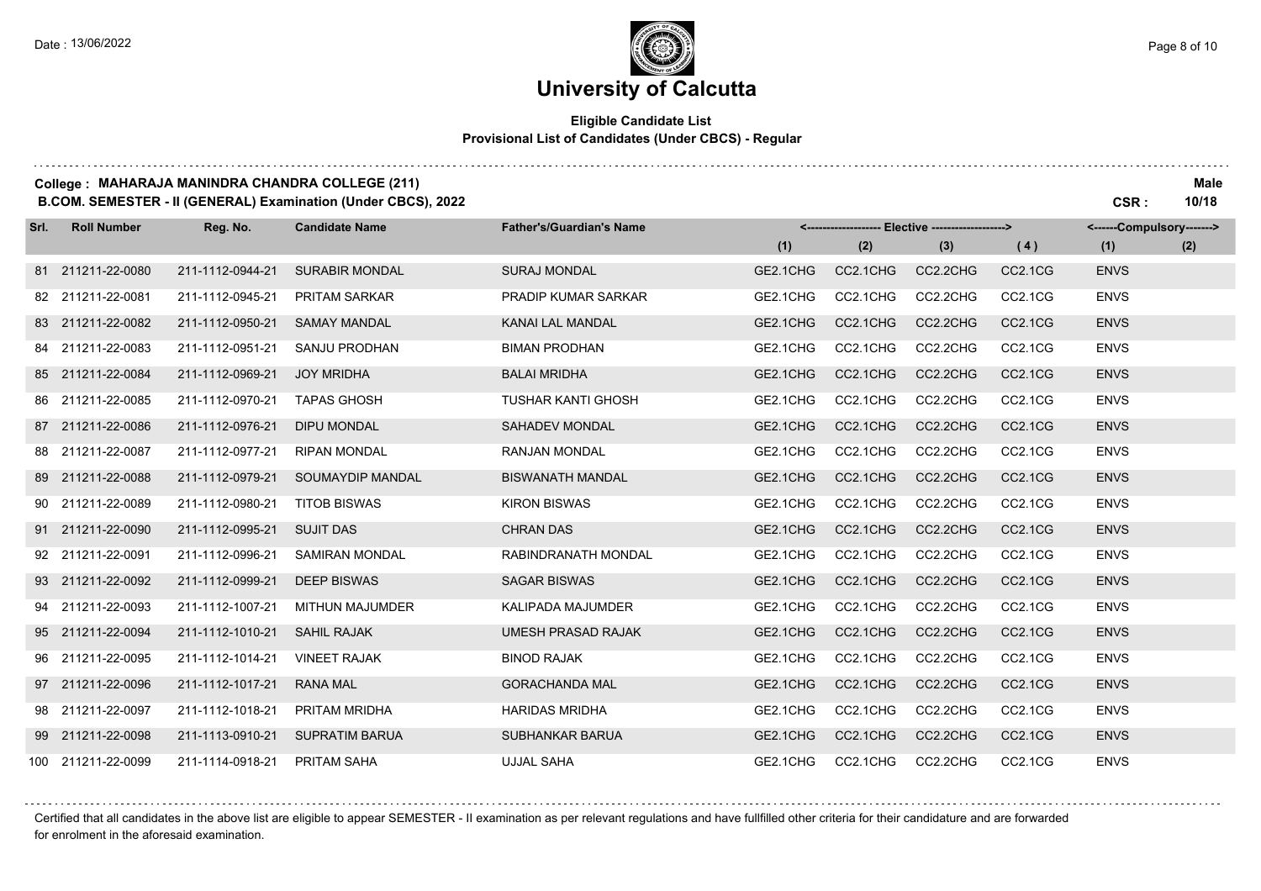. . . . . . . .

### **University of Calcutta**

#### **Eligible Candidate List Provisional List of Candidates (Under CBCS) - Regular**

|  | College : MAHARAJA MANINDRA CHANDRA COLLEGE (211) | <b>Male</b> |
|--|---------------------------------------------------|-------------|
|--|---------------------------------------------------|-------------|

**B.COM. SEMESTER - II (GENERAL) Examination (Under CBCS), 2022 CSR : 10/18**

| Srl. | <b>Roll Number</b> | Reg. No.         | <b>Candidate Name</b>  | <b>Father's/Guardian's Name</b> | <-------------------- Elective -------------------> |          |          |                                  | <------Compulsory-------> |     |
|------|--------------------|------------------|------------------------|---------------------------------|-----------------------------------------------------|----------|----------|----------------------------------|---------------------------|-----|
|      |                    |                  |                        |                                 | (1)                                                 | (2)      | (3)      | (4)                              | (1)                       | (2) |
|      | 81 211211-22-0080  | 211-1112-0944-21 | <b>SURABIR MONDAL</b>  | <b>SURAJ MONDAL</b>             | GE2.1CHG                                            | CC2.1CHG | CC2.2CHG | CC2.1CG                          | <b>ENVS</b>               |     |
|      | 82 211211-22-0081  | 211-1112-0945-21 | <b>PRITAM SARKAR</b>   | <b>PRADIP KUMAR SARKAR</b>      | GE2.1CHG                                            | CC2.1CHG | CC2.2CHG | CC2.1CG                          | <b>ENVS</b>               |     |
|      | 83 211211-22-0082  | 211-1112-0950-21 | <b>SAMAY MANDAL</b>    | KANAI LAL MANDAL                | GE2.1CHG                                            | CC2.1CHG | CC2.2CHG | CC2.1CG                          | <b>ENVS</b>               |     |
|      | 84 211211-22-0083  | 211-1112-0951-21 | SANJU PRODHAN          | <b>BIMAN PRODHAN</b>            | GE2.1CHG                                            | CC2.1CHG | CC2.2CHG | CC2.1CG                          | <b>ENVS</b>               |     |
|      | 85 211211-22-0084  | 211-1112-0969-21 | <b>JOY MRIDHA</b>      | <b>BALAI MRIDHA</b>             | GE2.1CHG                                            | CC2.1CHG | CC2.2CHG | CC2.1CG                          | <b>ENVS</b>               |     |
|      | 86 211211-22-0085  | 211-1112-0970-21 | <b>TAPAS GHOSH</b>     | <b>TUSHAR KANTI GHOSH</b>       | GE2.1CHG                                            | CC2.1CHG | CC2.2CHG | CC2.1CG                          | <b>ENVS</b>               |     |
|      | 87 211211-22-0086  | 211-1112-0976-21 | <b>DIPU MONDAL</b>     | <b>SAHADEV MONDAL</b>           | GE2.1CHG                                            | CC2.1CHG | CC2.2CHG | CC2.1CG                          | <b>ENVS</b>               |     |
|      | 88 211211-22-0087  | 211-1112-0977-21 | <b>RIPAN MONDAL</b>    | RANJAN MONDAL                   | GE2.1CHG                                            | CC2.1CHG | CC2.2CHG | CC2.1CG                          | <b>ENVS</b>               |     |
|      | 89 211211-22-0088  | 211-1112-0979-21 | SOUMAYDIP MANDAL       | <b>BISWANATH MANDAL</b>         | GE2.1CHG                                            | CC2.1CHG | CC2.2CHG | CC2.1CG                          | <b>ENVS</b>               |     |
|      | 90 211211-22-0089  | 211-1112-0980-21 | <b>TITOB BISWAS</b>    | <b>KIRON BISWAS</b>             | GE2.1CHG                                            | CC2.1CHG | CC2.2CHG | CC2.1CG                          | <b>ENVS</b>               |     |
|      | 91 211211-22-0090  | 211-1112-0995-21 | <b>SUJIT DAS</b>       | <b>CHRAN DAS</b>                | GE2.1CHG                                            | CC2.1CHG | CC2.2CHG | CC2.1CG                          | <b>ENVS</b>               |     |
|      | 92 211211-22-0091  | 211-1112-0996-21 | <b>SAMIRAN MONDAL</b>  | RABINDRANATH MONDAL             | GE2.1CHG                                            | CC2.1CHG | CC2.2CHG | CC2.1CG                          | <b>ENVS</b>               |     |
|      | 93 211211-22-0092  | 211-1112-0999-21 | <b>DEEP BISWAS</b>     | <b>SAGAR BISWAS</b>             | GE2.1CHG                                            | CC2.1CHG | CC2.2CHG | CC2.1CG                          | <b>ENVS</b>               |     |
|      | 94 211211-22-0093  | 211-1112-1007-21 | <b>MITHUN MAJUMDER</b> | <b>KALIPADA MAJUMDER</b>        | GE2.1CHG                                            | CC2.1CHG | CC2.2CHG | CC2.1CG                          | <b>ENVS</b>               |     |
|      | 95 211211-22-0094  | 211-1112-1010-21 | <b>SAHIL RAJAK</b>     | <b>UMESH PRASAD RAJAK</b>       | GE2.1CHG                                            | CC2.1CHG | CC2.2CHG | CC2.1CG                          | <b>ENVS</b>               |     |
|      | 96 211211-22-0095  | 211-1112-1014-21 | <b>VINEET RAJAK</b>    | <b>BINOD RAJAK</b>              | GE2.1CHG                                            | CC2.1CHG | CC2.2CHG | CC2.1CG                          | <b>ENVS</b>               |     |
|      | 97 211211-22-0096  | 211-1112-1017-21 | <b>RANA MAL</b>        | <b>GORACHANDA MAL</b>           | GE2.1CHG                                            | CC2.1CHG | CC2.2CHG | CC2.1CG                          | <b>ENVS</b>               |     |
|      | 98 211211-22-0097  | 211-1112-1018-21 | PRITAM MRIDHA          | <b>HARIDAS MRIDHA</b>           | GE2.1CHG                                            | CC2.1CHG | CC2.2CHG | CC2.1CG                          | <b>ENVS</b>               |     |
|      | 99 211211-22-0098  | 211-1113-0910-21 | <b>SUPRATIM BARUA</b>  | <b>SUBHANKAR BARUA</b>          | GE2.1CHG                                            | CC2.1CHG | CC2.2CHG | CC <sub>2.1</sub> C <sub>G</sub> | <b>ENVS</b>               |     |
|      | 100 211211-22-0099 | 211-1114-0918-21 | <b>PRITAM SAHA</b>     | <b>UJJAL SAHA</b>               | GE2.1CHG                                            | CC2.1CHG | CC2.2CHG | CC2.1CG                          | <b>ENVS</b>               |     |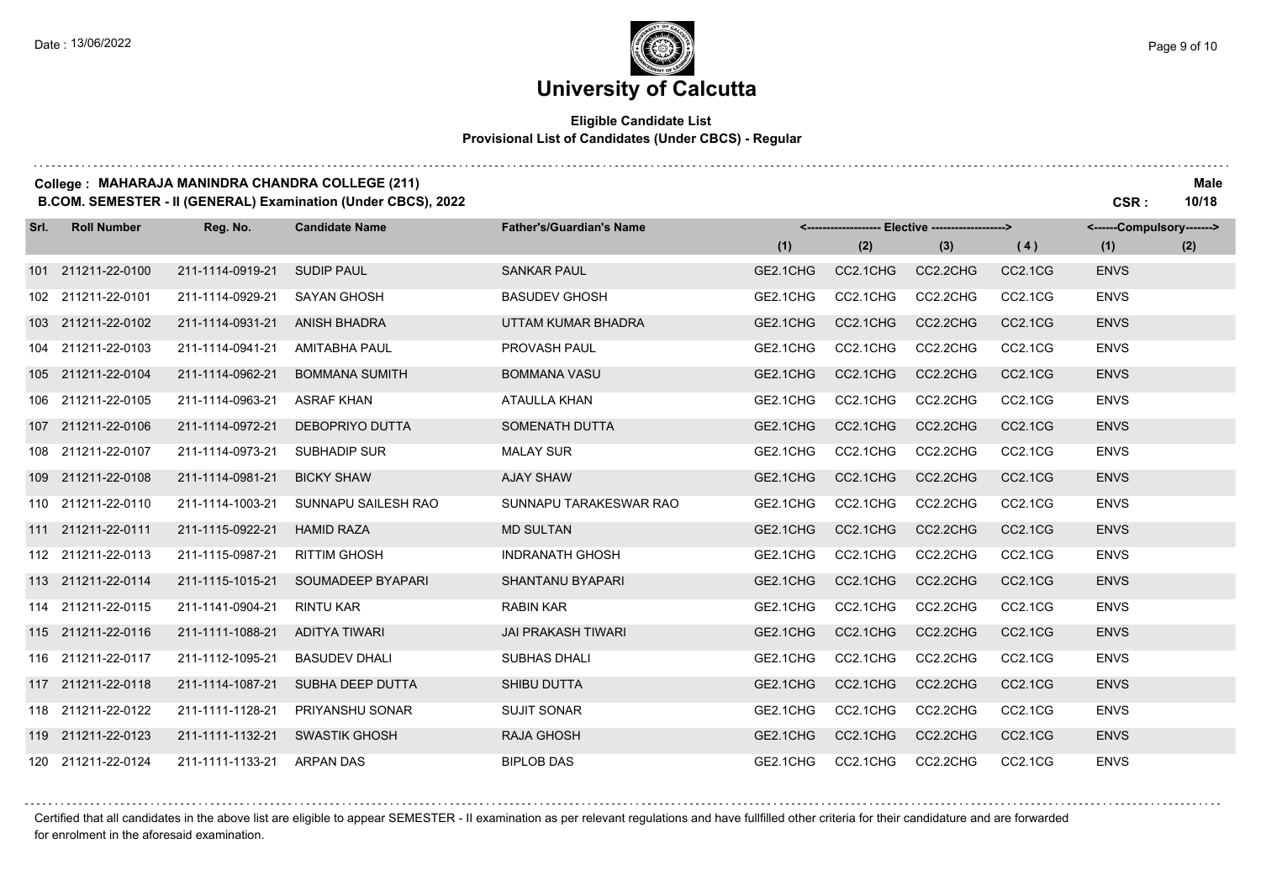for enrolment in the aforesaid examination.

## **University of Calcutta**

#### **Eligible Candidate List Provisional List of Candidates (Under CBCS) - Regular**

|  | College : MAHARAJA MANINDRA CHANDRA COLLEGE (211) | <b>Male</b> |
|--|---------------------------------------------------|-------------|
|--|---------------------------------------------------|-------------|

**B.COM. SEMESTER - II (GENERAL) Examination (Under CBCS), 2022 CSR : 10/18**

| Srl. | <b>Roll Number</b> | Reg. No.         | <b>Candidate Name</b>  | <b>Father's/Guardian's Name</b> | <-------------------- Elective ------------------> |          |          | <------Compulsory------->        |             |     |
|------|--------------------|------------------|------------------------|---------------------------------|----------------------------------------------------|----------|----------|----------------------------------|-------------|-----|
|      |                    |                  |                        |                                 | (1)                                                | (2)      | (3)      | (4)                              | (1)         | (2) |
|      | 101 211211-22-0100 | 211-1114-0919-21 | <b>SUDIP PAUL</b>      | <b>SANKAR PAUL</b>              | GE2.1CHG                                           | CC2.1CHG | CC2.2CHG | CC <sub>2.1</sub> C <sub>G</sub> | <b>ENVS</b> |     |
|      | 102 211211-22-0101 | 211-1114-0929-21 | <b>SAYAN GHOSH</b>     | <b>BASUDEV GHOSH</b>            | GE2.1CHG                                           | CC2.1CHG | CC2.2CHG | CC2.1CG                          | <b>ENVS</b> |     |
|      | 103 211211-22-0102 | 211-1114-0931-21 | <b>ANISH BHADRA</b>    | UTTAM KUMAR BHADRA              | GE2.1CHG                                           | CC2.1CHG | CC2.2CHG | CC2.1CG                          | <b>ENVS</b> |     |
|      | 104 211211-22-0103 | 211-1114-0941-21 | <b>AMITABHA PAUL</b>   | PROVASH PAUL                    | GE2.1CHG                                           | CC2.1CHG | CC2.2CHG | CC2.1CG                          | <b>ENVS</b> |     |
|      | 105 211211-22-0104 | 211-1114-0962-21 | <b>BOMMANA SUMITH</b>  | <b>BOMMANA VASU</b>             | GE2.1CHG                                           | CC2.1CHG | CC2.2CHG | CC2.1CG                          | <b>ENVS</b> |     |
|      | 106 211211-22-0105 | 211-1114-0963-21 | <b>ASRAF KHAN</b>      | ATAULLA KHAN                    | GE2.1CHG                                           | CC2.1CHG | CC2.2CHG | CC2.1CG                          | <b>ENVS</b> |     |
|      | 107 211211-22-0106 | 211-1114-0972-21 | <b>DEBOPRIYO DUTTA</b> | SOMENATH DUTTA                  | GE2.1CHG                                           | CC2.1CHG | CC2.2CHG | CC2.1CG                          | <b>ENVS</b> |     |
|      | 108 211211-22-0107 | 211-1114-0973-21 | <b>SUBHADIP SUR</b>    | <b>MALAY SUR</b>                | GE2.1CHG                                           | CC2.1CHG | CC2.2CHG | CC2.1CG                          | <b>ENVS</b> |     |
|      | 109 211211-22-0108 | 211-1114-0981-21 | <b>BICKY SHAW</b>      | <b>AJAY SHAW</b>                | GE2.1CHG                                           | CC2.1CHG | CC2.2CHG | CC2.1CG                          | <b>ENVS</b> |     |
|      | 110 211211-22-0110 | 211-1114-1003-21 | SUNNAPU SAILESH RAO    | SUNNAPU TARAKESWAR RAO          | GE2.1CHG                                           | CC2.1CHG | CC2.2CHG | CC2.1CG                          | <b>ENVS</b> |     |
|      | 111 211211-22-0111 | 211-1115-0922-21 | <b>HAMID RAZA</b>      | <b>MD SULTAN</b>                | GE2.1CHG                                           | CC2.1CHG | CC2.2CHG | CC2.1CG                          | <b>ENVS</b> |     |
|      | 112 211211-22-0113 | 211-1115-0987-21 | <b>RITTIM GHOSH</b>    | <b>INDRANATH GHOSH</b>          | GE2.1CHG                                           | CC2.1CHG | CC2.2CHG | CC2.1CG                          | <b>ENVS</b> |     |
|      | 113 211211-22-0114 | 211-1115-1015-21 | SOUMADEEP BYAPARI      | SHANTANU BYAPARI                | GE2.1CHG                                           | CC2.1CHG | CC2.2CHG | CC2.1CG                          | <b>ENVS</b> |     |
|      | 114 211211-22-0115 | 211-1141-0904-21 | <b>RINTU KAR</b>       | <b>RABIN KAR</b>                | GE2.1CHG                                           | CC2.1CHG | CC2.2CHG | CC2.1CG                          | <b>ENVS</b> |     |
|      | 115 211211-22-0116 | 211-1111-1088-21 | <b>ADITYA TIWARI</b>   | <b>JAI PRAKASH TIWARI</b>       | GE2.1CHG                                           | CC2.1CHG | CC2.2CHG | CC <sub>2.1</sub> C <sub>G</sub> | <b>ENVS</b> |     |
|      | 116 211211-22-0117 | 211-1112-1095-21 | <b>BASUDEV DHALI</b>   | <b>SUBHAS DHALI</b>             | GE2.1CHG                                           | CC2.1CHG | CC2.2CHG | CC2.1CG                          | <b>ENVS</b> |     |
|      | 117 211211-22-0118 | 211-1114-1087-21 | SUBHA DEEP DUTTA       | <b>SHIBU DUTTA</b>              | GE2.1CHG                                           | CC2.1CHG | CC2.2CHG | CC <sub>2.1</sub> C <sub>G</sub> | <b>ENVS</b> |     |
|      | 118 211211-22-0122 | 211-1111-1128-21 | <b>PRIYANSHU SONAR</b> | <b>SUJIT SONAR</b>              | GE2.1CHG                                           | CC2.1CHG | CC2.2CHG | CC2.1CG                          | <b>ENVS</b> |     |
|      | 119 211211-22-0123 | 211-1111-1132-21 | <b>SWASTIK GHOSH</b>   | <b>RAJA GHOSH</b>               | GE2.1CHG                                           | CC2.1CHG | CC2.2CHG | CC2.1CG                          | <b>ENVS</b> |     |
|      | 120 211211-22-0124 | 211-1111-1133-21 | <b>ARPAN DAS</b>       | <b>BIPLOB DAS</b>               | GE2.1CHG                                           | CC2.1CHG | CC2.2CHG | CC2.1CG                          | <b>ENVS</b> |     |

. . . . . . . . Certified that all candidates in the above list are eligible to appear SEMESTER - II examination as per relevant regulations and have fullfilled other criteria for their candidature and are forwarded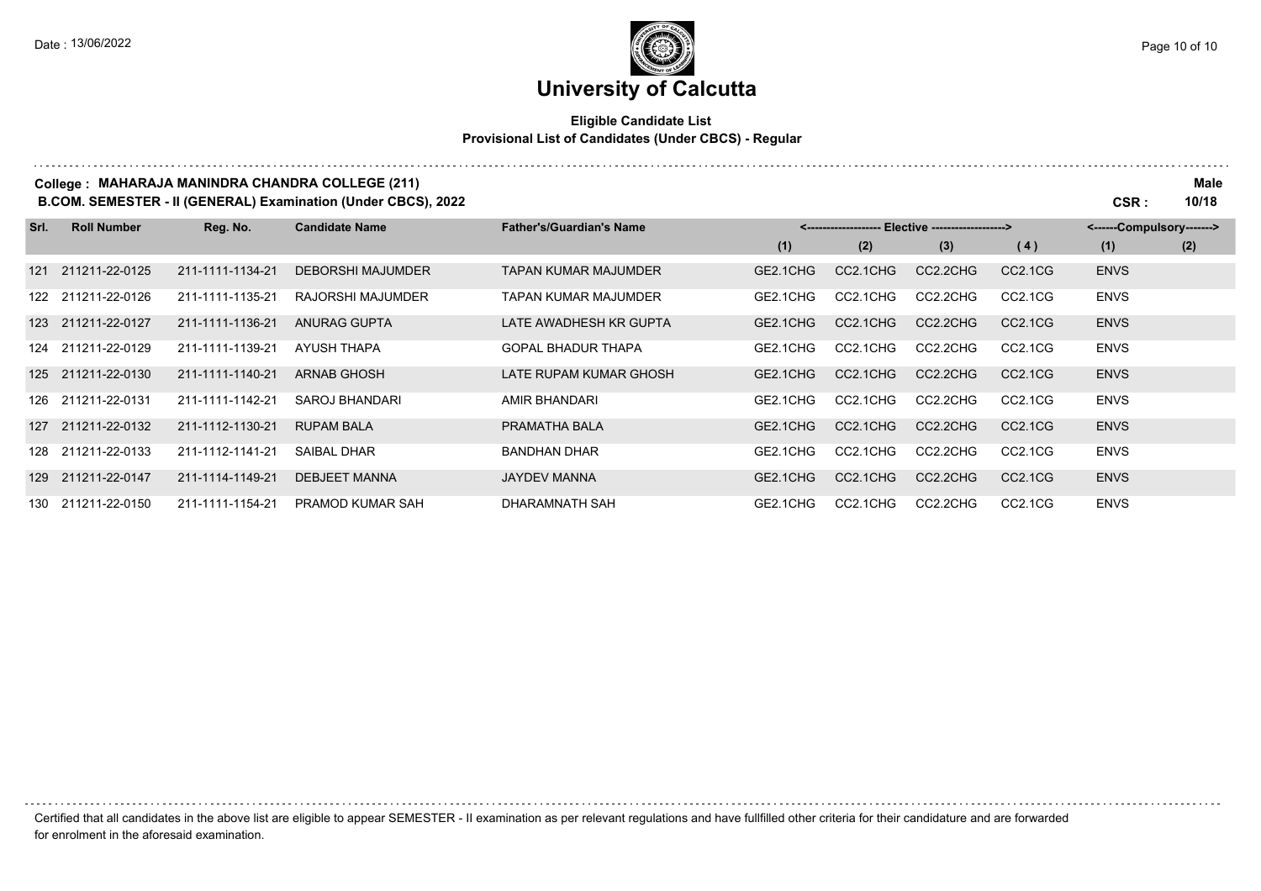# **University of Calcutta**

#### **Eligible Candidate List Provisional List of Candidates (Under CBCS) - Regular**

|      |                    |                  | College: MAHARAJA MANINDRA CHANDRA COLLEGE (211)<br><b>B.COM. SEMESTER - II (GENERAL) Examination (Under CBCS), 2022</b> |                                 |          |          |                                                   |                                  | CSR :                     | Male<br>10/18 |
|------|--------------------|------------------|--------------------------------------------------------------------------------------------------------------------------|---------------------------------|----------|----------|---------------------------------------------------|----------------------------------|---------------------------|---------------|
| Srl. | <b>Roll Number</b> | Reg. No.         | <b>Candidate Name</b>                                                                                                    | <b>Father's/Guardian's Name</b> |          |          | <------------------- Elective ------------------> |                                  | <------Compulsory-------> |               |
|      |                    |                  |                                                                                                                          |                                 | (1)      | (2)      | (3)                                               | (4)                              | (1)                       | (2)           |
| 121  | 211211-22-0125     | 211-1111-1134-21 | <b>DEBORSHI MAJUMDER</b>                                                                                                 | <b>TAPAN KUMAR MAJUMDER</b>     | GE2.1CHG | CC2.1CHG | CC2.2CHG                                          | CC2.1CG                          | <b>ENVS</b>               |               |
|      | 122 211211-22-0126 | 211-1111-1135-21 | RAJORSHI MAJUMDER                                                                                                        | <b>TAPAN KUMAR MAJUMDER</b>     | GE2.1CHG | CC2.1CHG | CC2.2CHG                                          | CC2.1CG                          | <b>ENVS</b>               |               |
|      | 123 211211-22-0127 | 211-1111-1136-21 | ANURAG GUPTA                                                                                                             | LATE AWADHESH KR GUPTA          | GE2.1CHG | CC2.1CHG | CC2.2CHG                                          | CC2.1CG                          | <b>ENVS</b>               |               |
|      | 124 211211-22-0129 | 211-1111-1139-21 | AYUSH THAPA                                                                                                              | <b>GOPAL BHADUR THAPA</b>       | GE2.1CHG | CC2.1CHG | CC2.2CHG                                          | CC <sub>2.1</sub> C <sub>G</sub> | <b>ENVS</b>               |               |
|      | 125 211211-22-0130 | 211-1111-1140-21 | <b>ARNAB GHOSH</b>                                                                                                       | LATE RUPAM KUMAR GHOSH          | GE2.1CHG | CC2.1CHG | CC2.2CHG                                          | CC2.1CG                          | <b>ENVS</b>               |               |
|      | 126 211211-22-0131 | 211-1111-1142-21 | SAROJ BHANDARI                                                                                                           | AMIR BHANDARI                   | GE2.1CHG | CC2.1CHG | CC2.2CHG                                          | CC <sub>2.1</sub> C <sub>G</sub> | <b>ENVS</b>               |               |
| 127  | 211211-22-0132     | 211-1112-1130-21 | <b>RUPAM BALA</b>                                                                                                        | PRAMATHA BALA                   | GE2.1CHG | CC2.1CHG | CC2.2CHG                                          | CC <sub>2.1</sub> C <sub>G</sub> | <b>ENVS</b>               |               |
|      | 128 211211-22-0133 | 211-1112-1141-21 | <b>SAIBAL DHAR</b>                                                                                                       | <b>BANDHAN DHAR</b>             | GE2.1CHG | CC2.1CHG | CC2.2CHG                                          | CC <sub>2.1</sub> C <sub>G</sub> | <b>ENVS</b>               |               |
|      | 129 211211-22-0147 | 211-1114-1149-21 | <b>DEBJEET MANNA</b>                                                                                                     | <b>JAYDEV MANNA</b>             | GE2.1CHG | CC2.1CHG | CC2.2CHG                                          | CC <sub>2.1</sub> C <sub>G</sub> | <b>ENVS</b>               |               |
|      | 130 211211-22-0150 | 211-1111-1154-21 | <b>PRAMOD KUMAR SAH</b>                                                                                                  | DHARAMNATH SAH                  | GE2.1CHG | CC2.1CHG | CC2.2CHG                                          | CC <sub>2.1</sub> C <sub>G</sub> | <b>ENVS</b>               |               |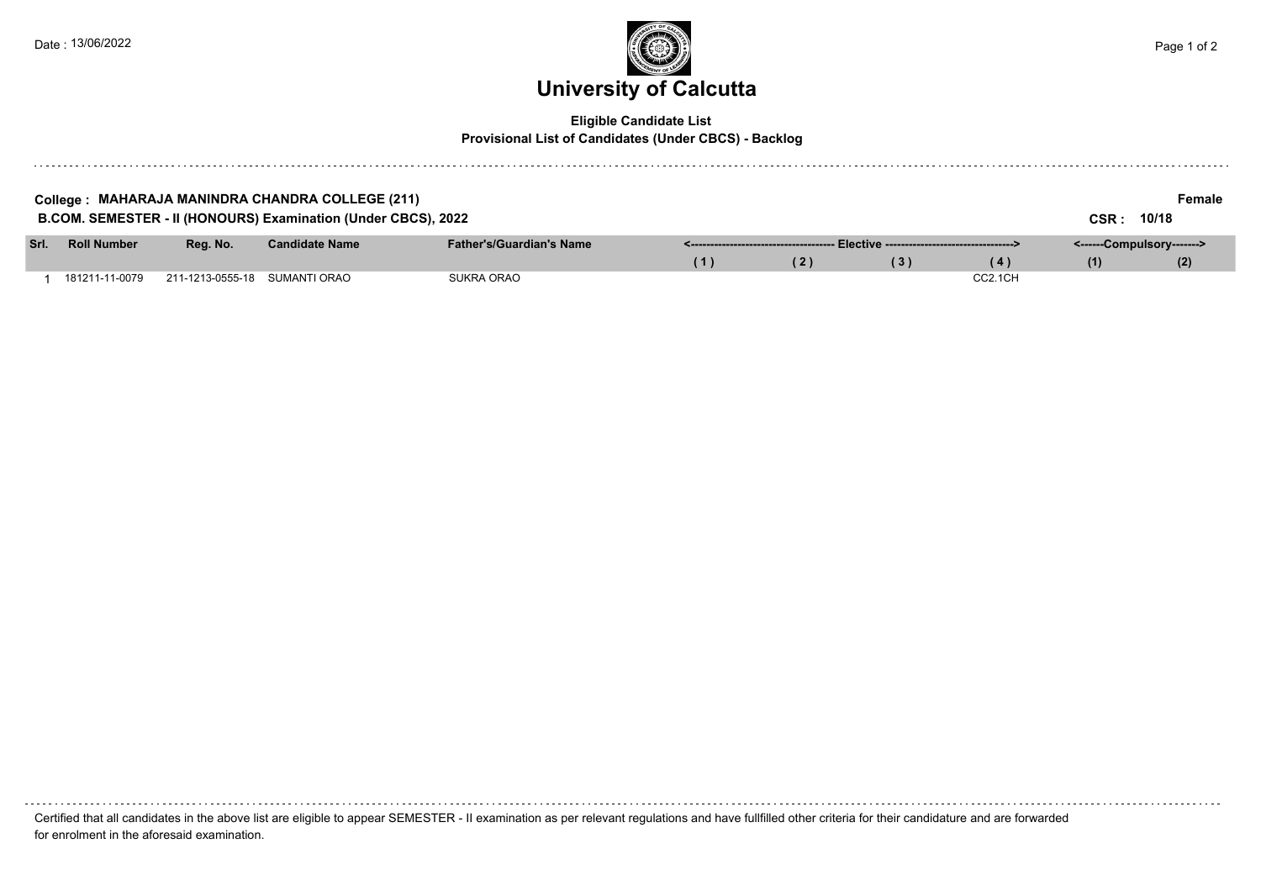

#### **Eligible Candidate List Provisional List of Candidates (Under CBCS) - Backlog**

| College : MAHARAJA MANINDRA CHANDRA COLLEGE (211)<br>Female<br>B.COM. SEMESTER - II (HONOURS) Examination (Under CBCS), 2022 |                               |                       |                                 |     |     |     |         |                           |       |  |  |  |  |
|------------------------------------------------------------------------------------------------------------------------------|-------------------------------|-----------------------|---------------------------------|-----|-----|-----|---------|---------------------------|-------|--|--|--|--|
|                                                                                                                              |                               |                       |                                 |     |     |     |         | <b>CSR :</b>              | 10/18 |  |  |  |  |
| Srl. Roll Number                                                                                                             | Reg. No.                      | <b>Candidate Name</b> | <b>Father's/Guardian's Name</b> |     |     |     |         | <------Compulsory-------> |       |  |  |  |  |
|                                                                                                                              |                               |                       |                                 | (1) | (2) | (3) | (4)     | (1)                       | (2)   |  |  |  |  |
| 181211-11-0079                                                                                                               | 211-1213-0555-18 SUMANTI ORAO |                       | SUKRA ORAO                      |     |     |     | CC2.1CH |                           |       |  |  |  |  |

Certified that all candidates in the above list are eligible to appear SEMESTER - II examination as per relevant regulations and have fullfilled other criteria for their candidature and are forwarded for enrolment in the aforesaid examination.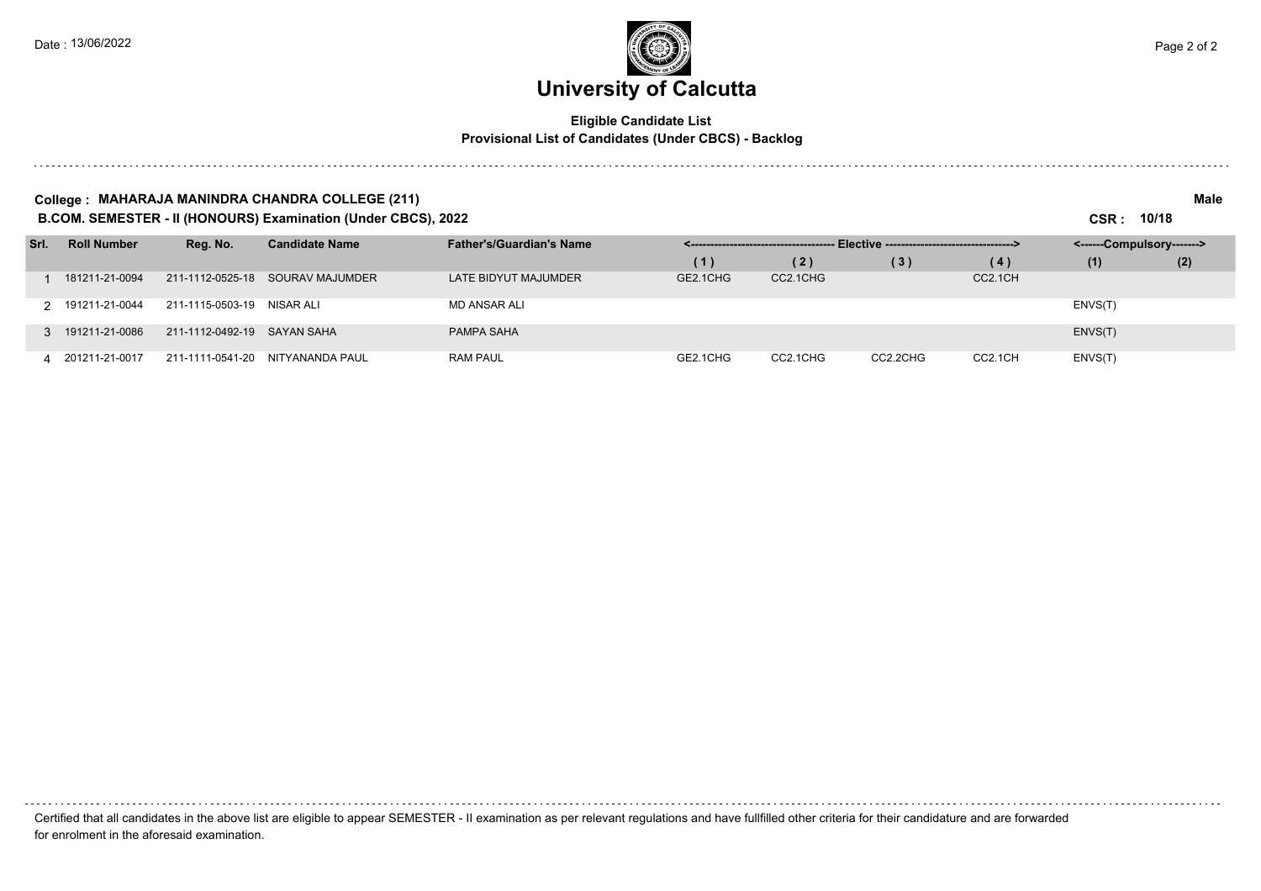# **University of Calcutta**

#### **Eligible Candidate List Provisional List of Candidates (Under CBCS) - Backlog**

#### **College : MAHARAJA MANINDRA CHANDRA COLLEGE (211) Male**

**B.COM. SEMESTER - II (HONOURS) Examination (Under CBCS), 2022 CSR : 10/18**

| Srl. | <b>Roll Number</b> | Reg. No.                    | <b>Candidate Name</b>            | <b>Father's/Guardian's Name</b> |          | - Elective ----------------------------------> | <------Compulsory-------> |         |         |     |
|------|--------------------|-----------------------------|----------------------------------|---------------------------------|----------|------------------------------------------------|---------------------------|---------|---------|-----|
|      |                    |                             |                                  |                                 | (1)      | (2)                                            | (3)                       | (4)     | (1)     | (2) |
|      | 181211-21-0094     |                             | 211-1112-0525-18 SOURAV MAJUMDER | LATE BIDYUT MAJUMDER            | GE2.1CHG | CC2.1CHG                                       |                           | CC2.1CH |         |     |
|      | 2 191211-21-0044   | 211-1115-0503-19 NISAR ALI  |                                  | MD ANSAR ALI                    |          |                                                |                           |         | ENVS(T) |     |
|      | 3 191211-21-0086   | 211-1112-0492-19 SAYAN SAHA |                                  | PAMPA SAHA                      |          |                                                |                           |         | ENVS(T) |     |
|      | 4 201211-21-0017   |                             | 211-1111-0541-20 NITYANANDA PAUL | <b>RAM PAUL</b>                 | GE2.1CHG | CC2.1CHG                                       | CC2.2CHG                  | CC2.1CH | ENVS(T) |     |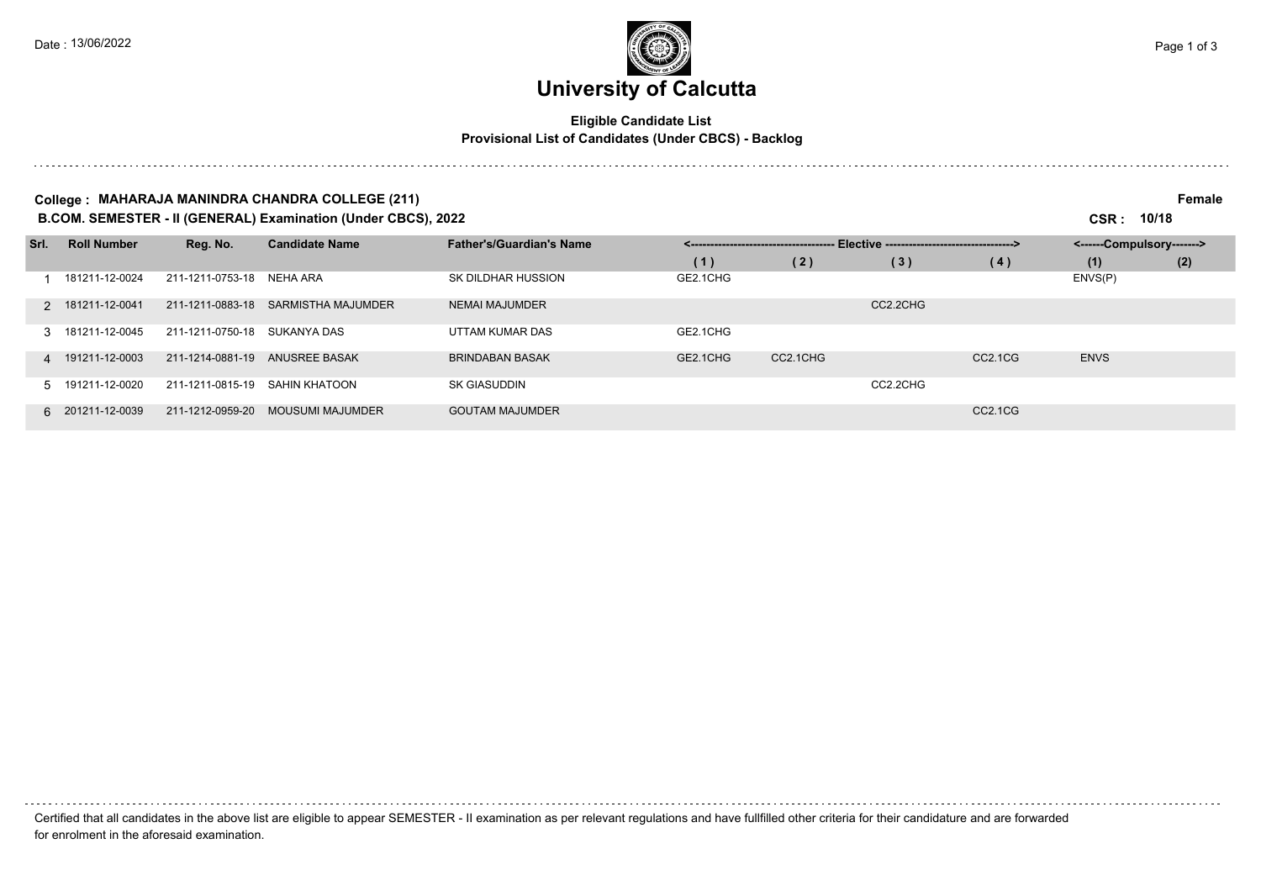### **University of Calcutta**

#### **Eligible Candidate List Provisional List of Candidates (Under CBCS) - Backlog**

#### **College : MAHARAJA MANINDRA CHANDRA COLLEGE (211) Female**

**B.COM. SEMESTER - II (GENERAL) Examination (Under CBCS), 2022 CSR : 10/18**

| Srl. | <b>Roll Number</b> | Reg. No.                     | <b>Candidate Name</b>   | <b>Father's/Guardian's Name</b> | - Elective ----------------------------------> |          |          |                                  | <------Compulsory-------> |     |
|------|--------------------|------------------------------|-------------------------|---------------------------------|------------------------------------------------|----------|----------|----------------------------------|---------------------------|-----|
|      |                    |                              |                         |                                 | (1)                                            | (2)      | (3)      | (4)                              | (1)                       | (2) |
|      | 181211-12-0024     | 211-1211-0753-18             | NEHA ARA                | SK DILDHAR HUSSION              | GE2.1CHG                                       |          |          |                                  | ENVS(P)                   |     |
|      | 2 181211-12-0041   | 211-1211-0883-18             | SARMISTHA MAJUMDER      | <b>NEMAI MAJUMDER</b>           |                                                |          | CC2.2CHG |                                  |                           |     |
|      | 3 181211-12-0045   | 211-1211-0750-18 SUKANYA DAS |                         | UTTAM KUMAR DAS                 | GE2.1CHG                                       |          |          |                                  |                           |     |
|      | 4 191211-12-0003   | 211-1214-0881-19             | ANUSREE BASAK           | <b>BRINDABAN BASAK</b>          | GE2.1CHG                                       | CC2.1CHG |          | CC <sub>2.1</sub> C <sub>G</sub> | <b>ENVS</b>               |     |
|      | 5 191211-12-0020   | 211-1211-0815-19             | SAHIN KHATOON           | <b>SK GIASUDDIN</b>             |                                                |          | CC2.2CHG |                                  |                           |     |
|      | 6 201211-12-0039   | 211-1212-0959-20             | <b>MOUSUMI MAJUMDER</b> | <b>GOUTAM MAJUMDER</b>          |                                                |          |          | CC2.1CG                          |                           |     |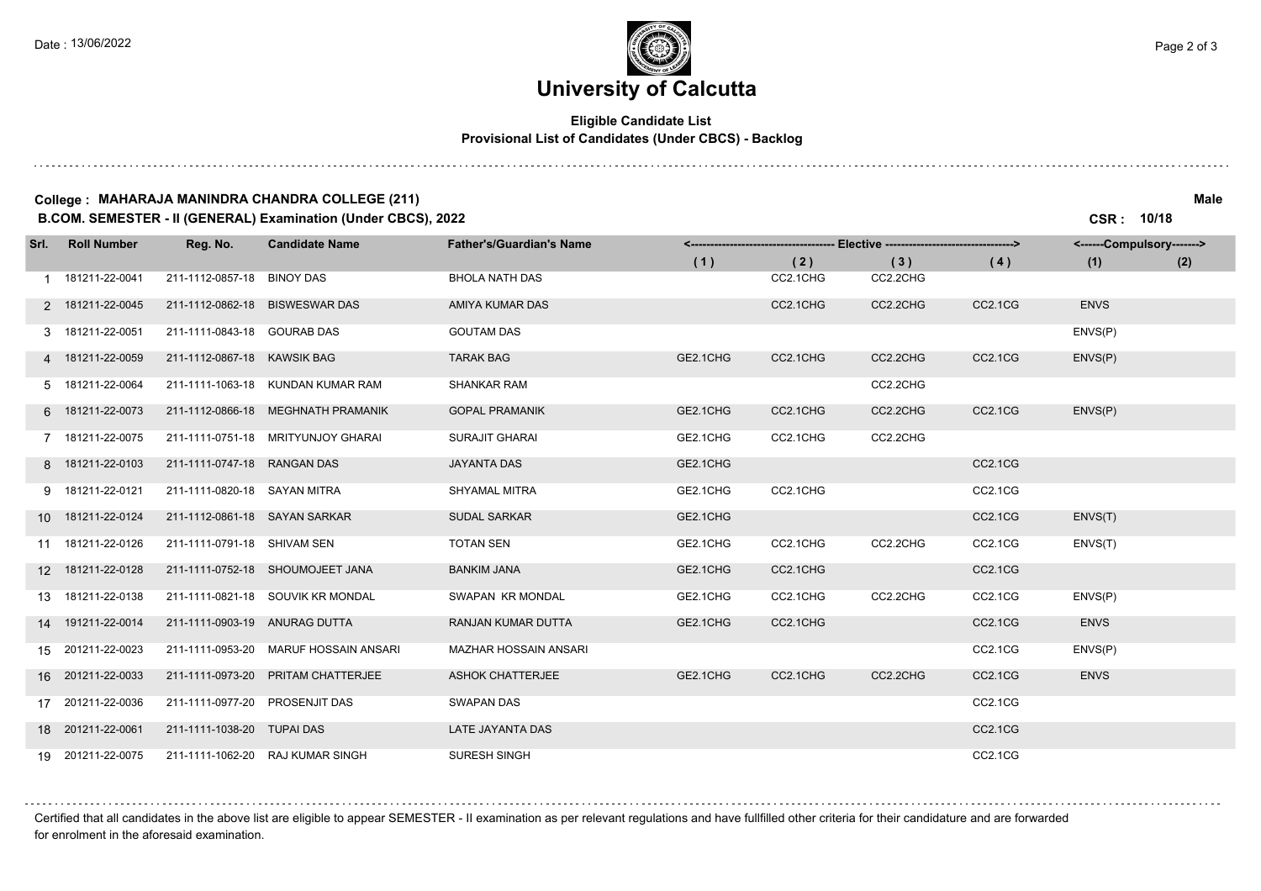### **University of Calcutta**

#### **Eligible Candidate List Provisional List of Candidates (Under CBCS) - Backlog**

#### **College : MAHARAJA MANINDRA CHANDRA COLLEGE (211) Male**

**B.COM. SEMESTER - II (GENERAL) Examination (Under CBCS), 2022 CSR : 10/18**

| Srl. | <b>Roll Number</b> | Reg. No.                       | <b>Candidate Name</b>              | <b>Father's/Guardian's Name</b> | --- Elective ----------------------------------><br><------------------------------------ |          |          |         | <------Compulsory-------> |     |
|------|--------------------|--------------------------------|------------------------------------|---------------------------------|-------------------------------------------------------------------------------------------|----------|----------|---------|---------------------------|-----|
|      |                    |                                |                                    |                                 | (1)                                                                                       | (2)      | (3)      | (4)     | (1)                       | (2) |
|      | 1 181211-22-0041   | 211-1112-0857-18               | <b>BINOY DAS</b>                   | <b>BHOLA NATH DAS</b>           |                                                                                           | CC2.1CHG | CC2.2CHG |         |                           |     |
|      | 2 181211-22-0045   | 211-1112-0862-18               | <b>BISWESWAR DAS</b>               | AMIYA KUMAR DAS                 |                                                                                           | CC2.1CHG | CC2.2CHG | CC2.1CG | <b>ENVS</b>               |     |
|      | 3 181211-22-0051   | 211-1111-0843-18               | <b>GOURAB DAS</b>                  | <b>GOUTAM DAS</b>               |                                                                                           |          |          |         | ENVS(P)                   |     |
|      | 4 181211-22-0059   | 211-1112-0867-18 KAWSIK BAG    |                                    | <b>TARAK BAG</b>                | GE2.1CHG                                                                                  | CC2.1CHG | CC2.2CHG | CC2.1CG | ENVS(P)                   |     |
|      | 5 181211-22-0064   |                                | 211-1111-1063-18 KUNDAN KUMAR RAM  | <b>SHANKAR RAM</b>              |                                                                                           |          | CC2.2CHG |         |                           |     |
|      | 6 181211-22-0073   |                                | 211-1112-0866-18 MEGHNATH PRAMANIK | <b>GOPAL PRAMANIK</b>           | GE2.1CHG                                                                                  | CC2.1CHG | CC2.2CHG | CC2.1CG | ENVS(P)                   |     |
|      | 7 181211-22-0075   | 211-1111-0751-18               | MRITYUNJOY GHARAI                  | <b>SURAJIT GHARAI</b>           | GE2.1CHG                                                                                  | CC2.1CHG | CC2.2CHG |         |                           |     |
|      | 8 181211-22-0103   | 211-1111-0747-18 RANGAN DAS    |                                    | <b>JAYANTA DAS</b>              | GE2.1CHG                                                                                  |          |          | CC2.1CG |                           |     |
|      | 9 181211-22-0121   | 211-1111-0820-18 SAYAN MITRA   |                                    | <b>SHYAMAL MITRA</b>            | GE2.1CHG                                                                                  | CC2.1CHG |          | CC2.1CG |                           |     |
|      | 10 181211-22-0124  | 211-1112-0861-18 SAYAN SARKAR  |                                    | <b>SUDAL SARKAR</b>             | GE2.1CHG                                                                                  |          |          | CC2.1CG | ENVS(T)                   |     |
|      | 11 181211-22-0126  | 211-1111-0791-18 SHIVAM SEN    |                                    | <b>TOTAN SEN</b>                | GE2.1CHG                                                                                  | CC2.1CHG | CC2.2CHG | CC2.1CG | ENVS(T)                   |     |
|      | 12 181211-22-0128  |                                | 211-1111-0752-18 SHOUMOJEET JANA   | <b>BANKIM JANA</b>              | GE2.1CHG                                                                                  | CC2.1CHG |          | CC2.1CG |                           |     |
|      | 13 181211-22-0138  |                                | 211-1111-0821-18 SOUVIK KR MONDAL  | SWAPAN KR MONDAL                | GE2.1CHG                                                                                  | CC2.1CHG | CC2.2CHG | CC2.1CG | ENVS(P)                   |     |
|      | 14 191211-22-0014  | 211-1111-0903-19 ANURAG DUTTA  |                                    | RANJAN KUMAR DUTTA              | GE2.1CHG                                                                                  | CC2.1CHG |          | CC2.1CG | <b>ENVS</b>               |     |
|      | 15 201211-22-0023  | 211-1111-0953-20               | MARUF HOSSAIN ANSARI               | MAZHAR HOSSAIN ANSARI           |                                                                                           |          |          | CC2.1CG | ENVS(P)                   |     |
|      | 16 201211-22-0033  | 211-1111-0973-20               | PRITAM CHATTERJEE                  | <b>ASHOK CHATTERJEE</b>         | GE2.1CHG                                                                                  | CC2.1CHG | CC2.2CHG | CC2.1CG | <b>ENVS</b>               |     |
|      | 17 201211-22-0036  | 211-1111-0977-20 PROSENJIT DAS |                                    | <b>SWAPAN DAS</b>               |                                                                                           |          |          | CC2.1CG |                           |     |
|      | 18 201211-22-0061  | 211-1111-1038-20 TUPAI DAS     |                                    | LATE JAYANTA DAS                |                                                                                           |          |          | CC2.1CG |                           |     |
|      | 19 201211-22-0075  |                                | 211-1111-1062-20 RAJ KUMAR SINGH   | <b>SURESH SINGH</b>             |                                                                                           |          |          | CC2.1CG |                           |     |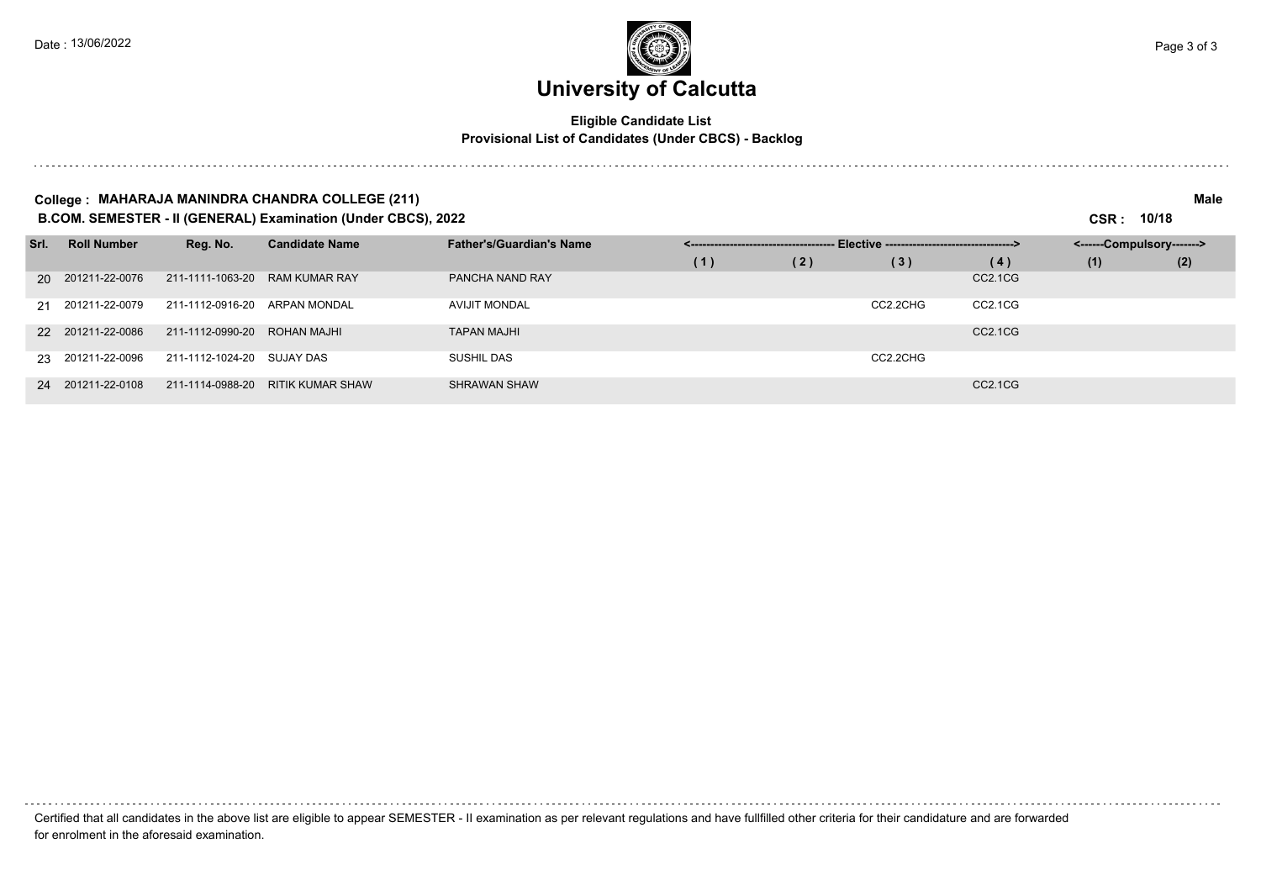# **University of Calcutta**

#### **Eligible Candidate List Provisional List of Candidates (Under CBCS) - Backlog**

#### **College : MAHARAJA MANINDRA CHANDRA COLLEGE (211) Male**

**B.COM. SEMESTER - II (GENERAL) Examination (Under CBCS), 2022 CSR : 10/18**

| Srl. | <b>Roll Number</b> | Reg. No.         | <b>Candidate Name</b>   | <b>Father's/Guardian's Name</b> | - Elective ----------------------------------> |     |          |                                  | <------Compulsory-------> |     |  |
|------|--------------------|------------------|-------------------------|---------------------------------|------------------------------------------------|-----|----------|----------------------------------|---------------------------|-----|--|
|      |                    |                  |                         |                                 | (1)                                            | (2) | (3)      | (4)                              | (1)                       | (2) |  |
|      | 20 201211-22-0076  | 211-1111-1063-20 | <b>RAM KUMAR RAY</b>    | PANCHA NAND RAY                 |                                                |     |          | CC <sub>2.1</sub> C <sub>G</sub> |                           |     |  |
|      | 21 201211-22-0079  | 211-1112-0916-20 | ARPAN MONDAL            | <b>AVIJIT MONDAL</b>            |                                                |     | CC2.2CHG | CC2.1CG                          |                           |     |  |
|      | 22 201211-22-0086  | 211-1112-0990-20 | ROHAN MAJHI             | <b>TAPAN MAJHI</b>              |                                                |     |          | CC <sub>2.1</sub> C <sub>G</sub> |                           |     |  |
|      | 23 201211-22-0096  | 211-1112-1024-20 | SUJAY DAS               | SUSHIL DAS                      |                                                |     | CC2.2CHG |                                  |                           |     |  |
|      | 24 201211-22-0108  | 211-1114-0988-20 | <b>RITIK KUMAR SHAW</b> | <b>SHRAWAN SHAW</b>             |                                                |     |          | CC <sub>2.1</sub> C <sub>G</sub> |                           |     |  |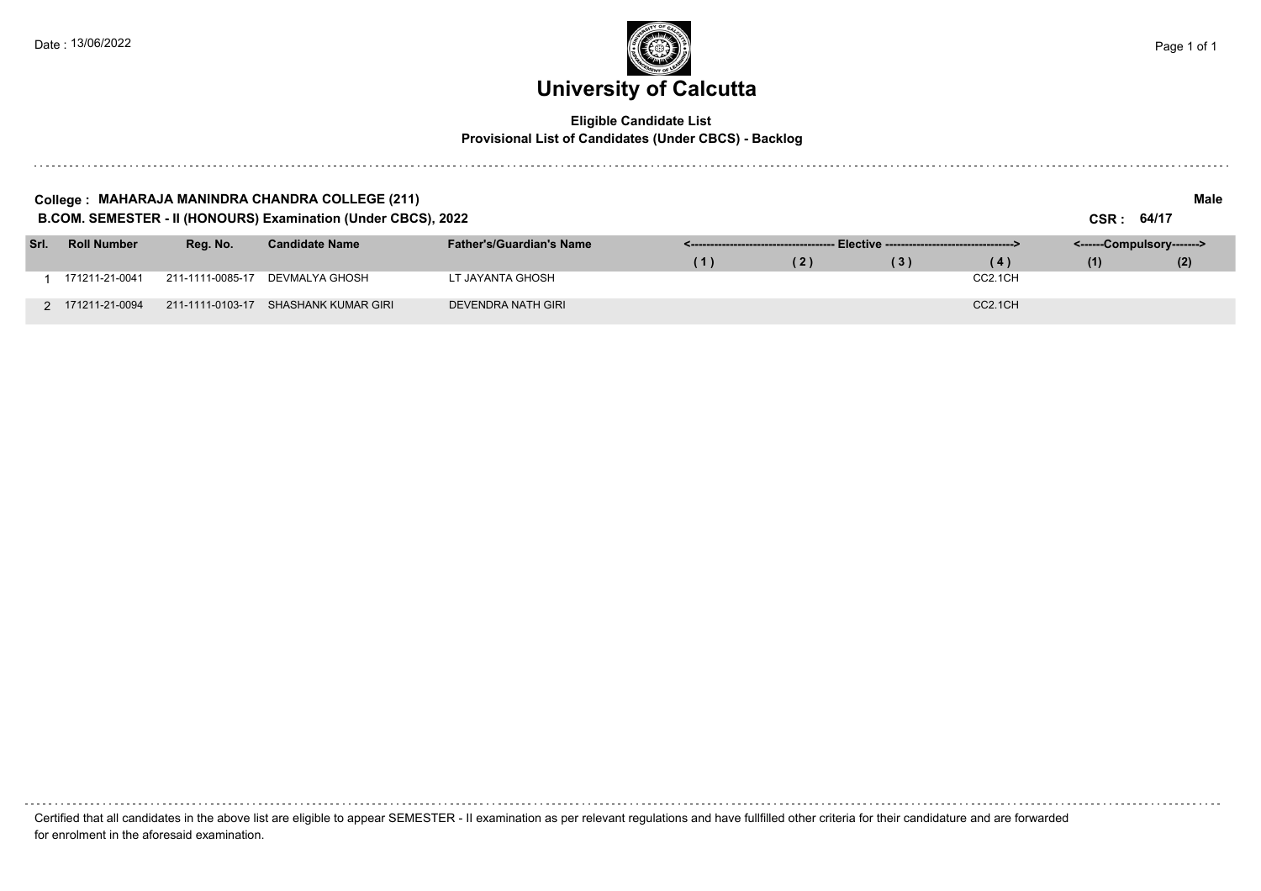

#### **Eligible Candidate List Provisional List of Candidates (Under CBCS) - Backlog**

| College : MAHARAJA MANINDRA CHANDRA COLLEGE (211)<br>B.COM. SEMESTER - II (HONOURS) Examination (Under CBCS), 2022 |                    |                  |                       |                                 |                                                |     |     | CSR: 64/17           | Male                      |     |
|--------------------------------------------------------------------------------------------------------------------|--------------------|------------------|-----------------------|---------------------------------|------------------------------------------------|-----|-----|----------------------|---------------------------|-----|
| Srl.                                                                                                               | <b>Roll Number</b> | Reg. No.         | <b>Candidate Name</b> | <b>Father's/Guardian's Name</b> | - Elective ----------------------------------> |     |     |                      | <------Compulsory-------> |     |
|                                                                                                                    |                    |                  |                       |                                 | (1)                                            | (2) | (3) | (4)                  | (1)                       | (2) |
|                                                                                                                    | 171211-21-0041     | 211-1111-0085-17 | DEVMALYA GHOSH        | LT JAYANTA GHOSH                |                                                |     |     | CC2.1CH              |                           |     |
|                                                                                                                    | 2 171211-21-0094   | 211-1111-0103-17 | SHASHANK KUMAR GIRI   | DEVENDRA NATH GIRI              |                                                |     |     | CC <sub>2.1</sub> CH |                           |     |

Certified that all candidates in the above list are eligible to appear SEMESTER - II examination as per relevant regulations and have fullfilled other criteria for their candidature and are forwarded for enrolment in the aforesaid examination.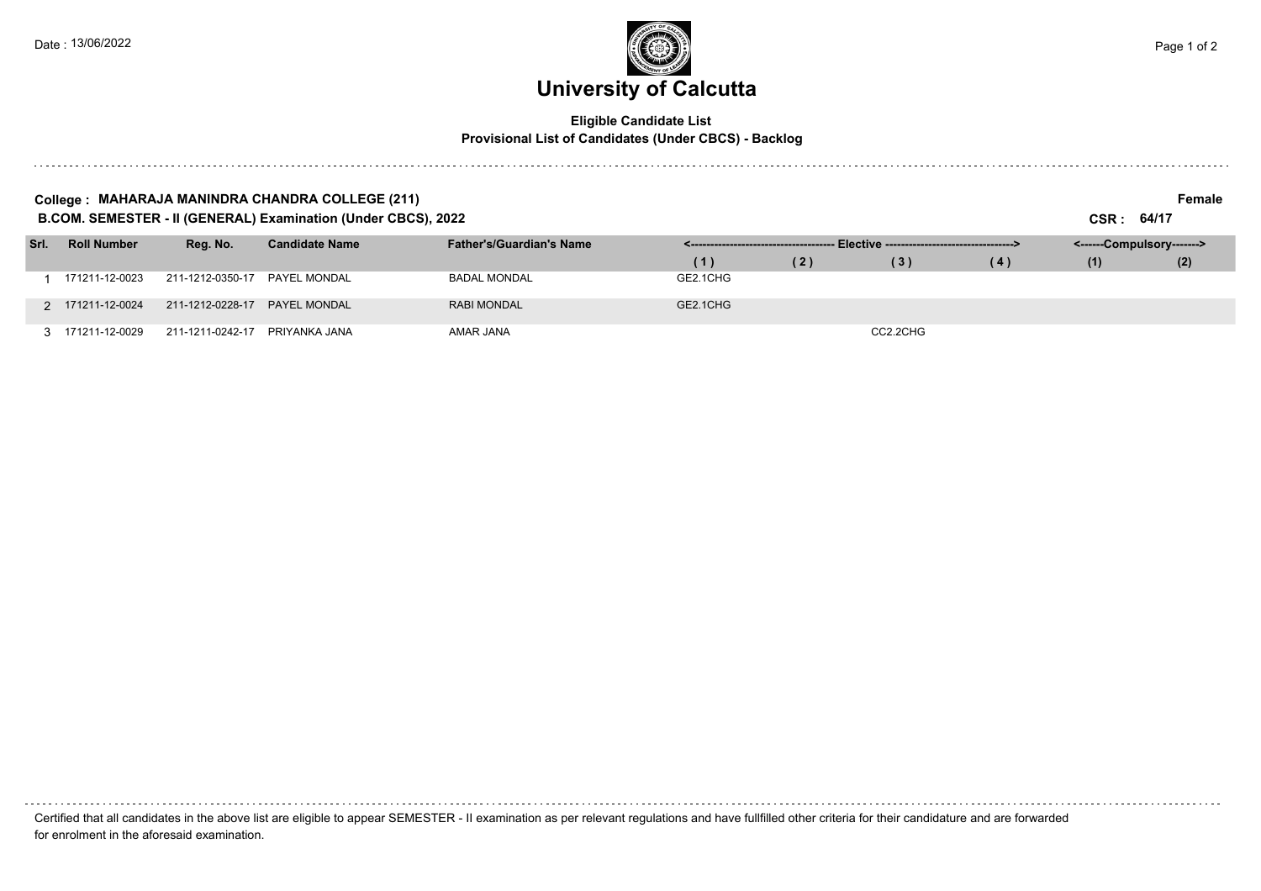and a state of

### **University of Calcutta**  Date : 13/06/2022  $\blacksquare$  Page 1 of 2

#### **Eligible Candidate List Provisional List of Candidates (Under CBCS) - Backlog**

#### **College : MAHARAJA MANINDRA CHANDRA COLLEGE (211) Female**

**B.COM. SEMESTER - II (GENERAL) Examination (Under CBCS), 2022 CSR : 64/17**

| Srl. | <b>Roll Number</b> | Reg. No.                          | <b>Candidate Name</b> | <b>Father's/Guardian's Name</b> |          |     |          |     | <------Compulsory-------> |     |  |
|------|--------------------|-----------------------------------|-----------------------|---------------------------------|----------|-----|----------|-----|---------------------------|-----|--|
|      |                    |                                   |                       |                                 | (1)      | (2) | (3)      | (4) | (1)                       | (2) |  |
|      | 171211-12-0023     | 211-1212-0350-17                  | PAYEL MONDAL          | <b>BADAL MONDAL</b>             | GE2.1CHG |     |          |     |                           |     |  |
|      | 2 171211-12-0024   |                                   |                       | <b>RABI MONDAL</b>              | GE2.1CHG |     |          |     |                           |     |  |
|      |                    | 3 171211-12-0029 211-1211-0242-17 | PRIYANKA JANA         | AMAR JANA                       |          |     | CC2.2CHG |     |                           |     |  |